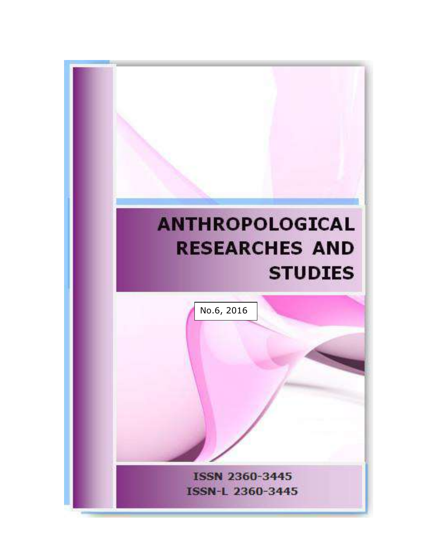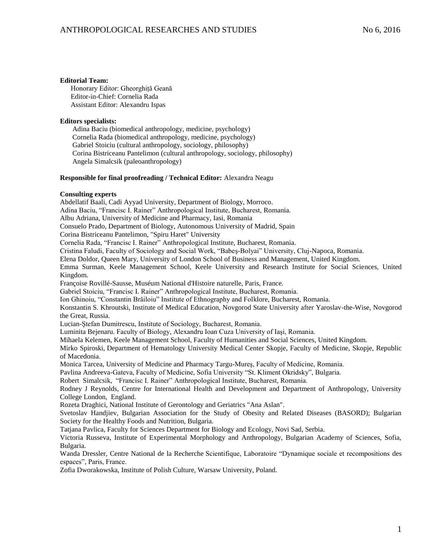#### **Editorial Team:**

 Honorary Editor: Gheorghiță Geană Editor-in-Chief: Cornelia Rada Assistant Editor: Alexandru Ispas

#### **Editors specialists:**

 Adina Baciu (biomedical anthropology, medicine, psychology) Cornelia Rada (biomedical anthropology, medicine, psychology) Gabriel Stoiciu (cultural anthropology, sociology, philosophy) Corina Bistriceanu Pantelimon (cultural anthropology, sociology, philosophy) Angela Simalcsik (paleoanthropology)

#### **Responsible for final proofreading / Technical Editor:** Alexandra Neagu

#### **Consulting experts**

Abdellatif Baali, Cadi Ayyad University, Department of Biology, Morroco. Adina Baciu, "Francisc I. Rainer" Anthropological Institute, Bucharest, Romania. Albu Adriana, University of Medicine and Pharmacy, Iasi, Romania Consuelo Prado, Department of Biology, Autonomous University of Madrid, Spain Corina Bistriceanu Pantelimon, "Spiru Haret" University Cornelia Rada, "Francisc I. Rainer" Anthropological Institute, Bucharest, Romania. Cristina Faludi, Faculty of Sociology and Social Work, "Babeş-Bolyai" University, Cluj-Napoca, Romania. Elena Doldor, Queen Mary, University of London School of Business and Management, United Kingdom. Emma Surman, Keele Management School, Keele University and Research Institute for Social Sciences, United Kingdom. Françoise Rovillé-Sausse, Muséum National d'Histoire naturelle, Paris, France. Gabriel Stoiciu, "Francisc I. Rainer" Anthropological Institute, Bucharest, Romania. Ion Ghinoiu, "Constantin Brăiloiu" Institute of Ethnography and Folklore, Bucharest, Romania. Konstantin S. Khroutski, Institute of Medical Education, Novgorod State University after Yaroslav-the-Wise, Novgorod the Great, Russia. Lucian-Ştefan Dumitrescu, Institute of Sociology, Bucharest, Romania. Luminita Bejenaru. Faculty of Biology, Alexandru Ioan Cuza University of Iaşi, Romania. Mihaela Kelemen, Keele Management School, Faculty of Humanities and Social Sciences, United Kingdom. Mirko Spiroski, Department of Hematology University Medical Center Skopje, Faculty of Medicine, Skopje, Republic of Macedonia. Monica Tarcea, University of Medicine and Pharmacy Targu-Mureş, Faculty of Medicine, Romania. Pavlina Andreeva-Gateva, Faculty of Medicine, Sofia University "St. Kliment Okridsky", Bulgaria. Robert Simalcsik, "Francisc I. Rainer" Anthropological Institute, Bucharest, Romania. Rodney J Reynolds, Centre for International Health and Development and Department of Anthropology, University College London, England. Rozeta Draghici, National Institute of Gerontology and Geriatrics "Ana Aslan". Svetoslav Handjiev, Bulgarian Association for the Study of Obesity and Related Diseases (BASORD); Bulgarian Society for the Healthy Foods and Nutrition, Bulgaria. Tatjana Pavlica, Faculty for Sciences Department for Biology and Ecology, Novi Sad, Serbia. Victoria Russeva, Institute of Experimental Morphology and Anthropology, Bulgarian Academy of Sciences, Sofia, Bulgaria. Wanda Dressler, Centre National de la Recherche Scientifique, Laboratoire "Dynamique sociale et recompositions des espaces", Paris, France.

Zofia Dworakowska, Institute of Polish Culture, Warsaw University, Poland.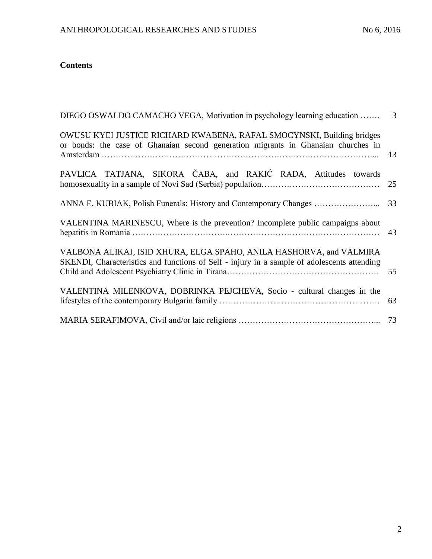# **Contents**

| DIEGO OSWALDO CAMACHO VEGA, Motivation in psychology learning education<br>3                                                                                       |    |  |  |  |  |  |  |
|--------------------------------------------------------------------------------------------------------------------------------------------------------------------|----|--|--|--|--|--|--|
| OWUSU KYEI JUSTICE RICHARD KWABENA, RAFAL SMOCYNSKI, Building bridges<br>or bonds: the case of Ghanaian second generation migrants in Ghanaian churches in         | 13 |  |  |  |  |  |  |
| PAVLICA TATJANA, SIKORA ČABA, and RAKIĆ RADA, Attitudes towards                                                                                                    | 25 |  |  |  |  |  |  |
| ANNA E. KUBIAK, Polish Funerals: History and Contemporary Changes                                                                                                  | 33 |  |  |  |  |  |  |
| VALENTINA MARINESCU, Where is the prevention? Incomplete public campaigns about                                                                                    |    |  |  |  |  |  |  |
| VALBONA ALIKAJ, ISID XHURA, ELGA SPAHO, ANILA HASHORVA, and VALMIRA<br>SKENDI, Characteristics and functions of Self - injury in a sample of adolescents attending | 55 |  |  |  |  |  |  |
| VALENTINA MILENKOVA, DOBRINKA PEJCHEVA, Socio - cultural changes in the                                                                                            | 63 |  |  |  |  |  |  |
|                                                                                                                                                                    |    |  |  |  |  |  |  |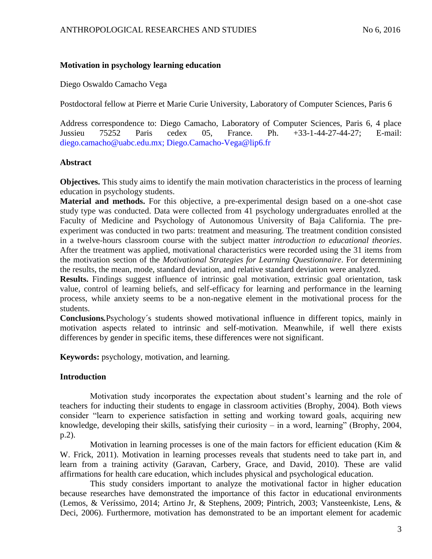### **Motivation in psychology learning education**

Diego Oswaldo Camacho Vega

Postdoctoral fellow at Pierre et Marie Curie University, Laboratory of Computer Sciences, Paris 6

Address correspondence to: Diego Camacho, Laboratory of Computer Sciences, Paris 6, 4 place Jussieu 75252 Paris cedex 05, France. Ph. +33-1-44-27-44-27; E-mail: diego.camacho@uabc.edu.mx; Diego.Camacho-Vega@lip6.fr

### **Abstract**

**Objectives.** This study aims to identify the main motivation characteristics in the process of learning education in psychology students.

**Material and methods.** For this objective, a pre-experimental design based on a one-shot case study type was conducted. Data were collected from 41 psychology undergraduates enrolled at the Faculty of Medicine and Psychology of Autonomous University of Baja California. The preexperiment was conducted in two parts: treatment and measuring. The treatment condition consisted in a twelve-hours classroom course with the subject matter *introduction to educational theories*. After the treatment was applied, motivational characteristics were recorded using the 31 items from the motivation section of the *Motivational Strategies for Learning Questionnaire*. For determining the results, the mean, mode, standard deviation, and relative standard deviation were analyzed.

**Results.** Findings suggest influence of intrinsic goal motivation, extrinsic goal orientation, task value, control of learning beliefs, and self-efficacy for learning and performance in the learning process, while anxiety seems to be a non-negative element in the motivational process for the students.

**Conclusions***.*Psychology´s students showed motivational influence in different topics, mainly in motivation aspects related to intrinsic and self-motivation. Meanwhile, if well there exists differences by gender in specific items, these differences were not significant.

**Keywords:** psychology, motivation, and learning.

# **Introduction**

Motivation study incorporates the expectation about student's learning and the role of teachers for inducting their students to engage in classroom activities (Brophy, 2004). Both views consider "learn to experience satisfaction in setting and working toward goals, acquiring new knowledge, developing their skills, satisfying their curiosity – in a word, learning" (Brophy, 2004, p.2).

Motivation in learning processes is one of the main factors for efficient education (Kim & W. Frick, 2011). Motivation in learning processes reveals that students need to take part in, and learn from a training activity (Garavan, Carbery, Grace, and David, 2010). These are valid affirmations for health care education, which includes physical and psychological education.

This study considers important to analyze the motivational factor in higher education because researches have demonstrated the importance of this factor in educational environments (Lemos, & Veríssimo, 2014; Artino Jr, & Stephens, 2009; Pintrich, 2003; Vansteenkiste, Lens, & Deci, 2006). Furthermore, motivation has demonstrated to be an important element for academic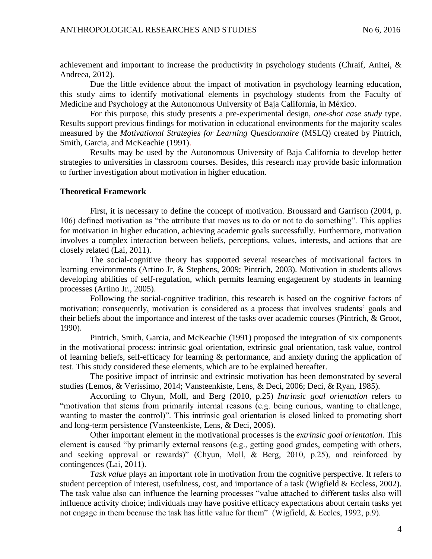achievement and important to increase the productivity in psychology students (Chraif, Anitei, & Andreea, 2012).

Due the little evidence about the impact of motivation in psychology learning education, this study aims to identify motivational elements in psychology students from the Faculty of Medicine and Psychology at the Autonomous University of Baja California, in México.

For this purpose, this study presents a pre-experimental design, *one-shot case study* type. Results support previous findings for motivation in educational environments for the majority scales measured by the *Motivational Strategies for Learning Questionnaire* (MSLQ) created by Pintrich, Smith, Garcia, and McKeachie (1991).

Results may be used by the Autonomous University of Baja California to develop better strategies to universities in classroom courses. Besides, this research may provide basic information to further investigation about motivation in higher education.

### **Theoretical Framework**

First, it is necessary to define the concept of motivation. Broussard and Garrison (2004, p. 106) defined motivation as "the attribute that moves us to do or not to do something". This applies for motivation in higher education, achieving academic goals successfully. Furthermore, motivation involves a complex interaction between beliefs, perceptions, values, interests, and actions that are closely related (Lai, 2011).

The social-cognitive theory has supported several researches of motivational factors in learning environments (Artino Jr, & Stephens, 2009; Pintrich, 2003). Motivation in students allows developing abilities of self-regulation, which permits learning engagement by students in learning processes (Artino Jr., 2005).

Following the social-cognitive tradition, this research is based on the cognitive factors of motivation; consequently, motivation is considered as a process that involves students' goals and their beliefs about the importance and interest of the tasks over academic courses (Pintrich, & Groot, 1990).

Pintrich, Smith, Garcia, and McKeachie (1991) proposed the integration of six components in the motivational process: intrinsic goal orientation, extrinsic goal orientation, task value, control of learning beliefs, self-efficacy for learning & performance, and anxiety during the application of test. This study considered these elements, which are to be explained hereafter.

The positive impact of intrinsic and extrinsic motivation has been demonstrated by several studies (Lemos, & Veríssimo, 2014; Vansteenkiste, Lens, & Deci, 2006; Deci, & Ryan, 1985).

According to Chyun, Moll, and Berg (2010, p.25) *Intrinsic goal orientation* refers to "motivation that stems from primarily internal reasons (e.g. being curious, wanting to challenge, wanting to master the control)". This intrinsic goal orientation is closed linked to promoting short and long-term persistence (Vansteenkiste, Lens, & Deci, 2006).

Other important element in the motivational processes is the *extrinsic goal orientation.* This element is caused "by primarily external reasons (e.g., getting good grades, competing with others, and seeking approval or rewards)" (Chyun, Moll, & Berg, 2010, p.25), and reinforced by contingences (Lai, 2011).

*Task value* plays an important role in motivation from the cognitive perspective. It refers to student perception of interest, usefulness, cost, and importance of a task (Wigfield & Eccless, 2002). The task value also can influence the learning processes "value attached to different tasks also will influence activity choice; individuals may have positive efficacy expectations about certain tasks yet not engage in them because the task has little value for them" (Wigfield, & Eccles, 1992, p.9).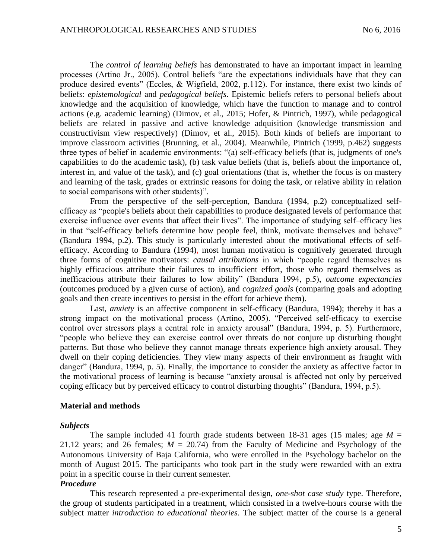The *control of learning beliefs* has demonstrated to have an important impact in learning processes (Artino Jr., 2005). Control beliefs "are the expectations individuals have that they can produce desired events" (Eccles, & Wigfield, 2002, p.112). For instance, there exist two kinds of beliefs: *epistemological* and *pedagogical beliefs*. Epistemic beliefs refers to personal beliefs about knowledge and the acquisition of knowledge, which have the function to manage and to control actions (e.g. academic learning) (Dimov, et al., 2015; Hofer, & Pintrich, 1997), while pedagogical beliefs are related in passive and active knowledge adquisition (knowledge transmission and constructivism view respectively) (Dimov, et al., 2015). Both kinds of beliefs are important to improve classroom activities (Brunning, et al., 2004). Meanwhile, Pintrich (1999, p.462) suggests three types of belief in academic environments: "(a) self-efficacy beliefs (that is, judgments of one's capabilities to do the academic task), (b) task value beliefs (that is, beliefs about the importance of, interest in, and value of the task), and (c) goal orientations (that is, whether the focus is on mastery and learning of the task, grades or extrinsic reasons for doing the task, or relative ability in relation to social comparisons with other students)".

From the perspective of the self-perception, Bandura (1994, p.2) conceptualized selfefficacy as "people's beliefs about their capabilities to produce designated levels of performance that exercise influence over events that affect their lives". The importance of studying self–efficacy lies in that "self-efficacy beliefs determine how people feel, think, motivate themselves and behave" (Bandura 1994, p.2). This study is particularly interested about the motivational effects of selfefficacy. According to Bandura (1994), most human motivation is cognitively generated through three forms of cognitive motivators: *causal attributions* in which "people regard themselves as highly efficacious attribute their failures to insufficient effort, those who regard themselves as inefficacious attribute their failures to low ability" (Bandura 1994, p.5), *outcome expectancies* (outcomes produced by a given curse of action), and *cognized goals* (comparing goals and adopting goals and then create incentives to persist in the effort for achieve them).

Last, *anxiety* is an affective component in self-efficacy (Bandura, 1994); thereby it has a strong impact on the motivational process (Artino, 2005). "Perceived self-efficacy to exercise control over stressors plays a central role in anxiety arousal" (Bandura, 1994, p. 5). Furthermore, "people who believe they can exercise control over threats do not conjure up disturbing thought patterns. But those who believe they cannot manage threats experience high anxiety arousal. They dwell on their coping deficiencies. They view many aspects of their environment as fraught with danger" (Bandura, 1994, p. 5). Finally, the importance to consider the anxiety as affective factor in the motivational process of learning is because "anxiety arousal is affected not only by perceived coping efficacy but by perceived efficacy to control disturbing thoughts" (Bandura, 1994, p.5).

#### **Material and methods**

#### *Subjects*

The sample included 41 fourth grade students between 18-31 ages (15 males; age  $M =$ 21.12 years; and 26 females;  $M = 20.74$ ) from the Faculty of Medicine and Psychology of the Autonomous University of Baja California, who were enrolled in the Psychology bachelor on the month of August 2015. The participants who took part in the study were rewarded with an extra point in a specific course in their current semester.

#### *Procedure*

This research represented a pre-experimental design, *one-shot case study* type. Therefore, the group of students participated in a treatment, which consisted in a twelve-hours course with the subject matter *introduction to educational theories*. The subject matter of the course is a general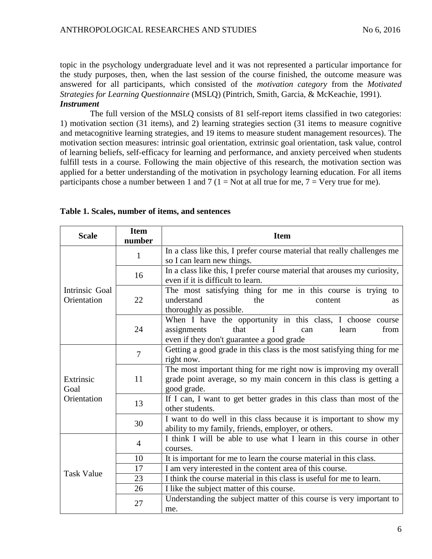topic in the psychology undergraduate level and it was not represented a particular importance for the study purposes, then, when the last session of the course finished, the outcome measure was answered for all participants, which consisted of the *motivation category* from the *Motivated Strategies for Learning Questionnaire* (MSLQ) (Pintrich, Smith, Garcia, & McKeachie, 1991). *Instrument*

The full version of the MSLQ consists of 81 self-report items classified in two categories: 1) motivation section (31 items), and 2) learning strategies section (31 items to measure cognitive and metacognitive learning strategies, and 19 items to measure student management resources). The motivation section measures: intrinsic goal orientation, extrinsic goal orientation, task value, control of learning beliefs, self-efficacy for learning and performance, and anxiety perceived when students fulfill tests in a course. Following the main objective of this research, the motivation section was applied for a better understanding of the motivation in psychology learning education. For all items participants chose a number between 1 and 7 (1 = Not at all true for me, 7 = Very true for me).

| <b>Scale</b>                  | <b>Item</b><br>number | <b>Item</b>                                                                                                                                            |  |  |  |  |  |  |  |
|-------------------------------|-----------------------|--------------------------------------------------------------------------------------------------------------------------------------------------------|--|--|--|--|--|--|--|
|                               | 1                     | In a class like this, I prefer course material that really challenges me<br>so I can learn new things.                                                 |  |  |  |  |  |  |  |
|                               | 16                    | In a class like this, I prefer course material that arouses my curiosity,<br>even if it is difficult to learn.                                         |  |  |  |  |  |  |  |
| Intrinsic Goal<br>Orientation | 22                    | The most satisfying thing for me in this course is trying to<br>understand<br>the<br>content<br>as<br>thoroughly as possible.                          |  |  |  |  |  |  |  |
|                               | 24                    | When I have the opportunity in this class, I choose course<br>assignments<br>that<br>from<br>learn<br>can<br>even if they don't guarantee a good grade |  |  |  |  |  |  |  |
| Extrinsic<br>Goal             | $\overline{7}$        | Getting a good grade in this class is the most satisfying thing for me<br>right now.                                                                   |  |  |  |  |  |  |  |
|                               | 11                    | The most important thing for me right now is improving my overall<br>grade point average, so my main concern in this class is getting a<br>good grade. |  |  |  |  |  |  |  |
| Orientation                   | 13                    | If I can, I want to get better grades in this class than most of the<br>other students.                                                                |  |  |  |  |  |  |  |
|                               | 30                    | I want to do well in this class because it is important to show my<br>ability to my family, friends, employer, or others.                              |  |  |  |  |  |  |  |
|                               | $\overline{4}$        | I think I will be able to use what I learn in this course in other<br>courses.                                                                         |  |  |  |  |  |  |  |
|                               | 10                    | It is important for me to learn the course material in this class.                                                                                     |  |  |  |  |  |  |  |
| <b>Task Value</b>             | 17                    | I am very interested in the content area of this course.                                                                                               |  |  |  |  |  |  |  |
|                               | 23                    | I think the course material in this class is useful for me to learn.                                                                                   |  |  |  |  |  |  |  |
|                               | 26                    | I like the subject matter of this course.                                                                                                              |  |  |  |  |  |  |  |
|                               | 27                    | Understanding the subject matter of this course is very important to<br>me.                                                                            |  |  |  |  |  |  |  |

|  |  |  | Table 1. Scales, number of items, and sentences |
|--|--|--|-------------------------------------------------|
|--|--|--|-------------------------------------------------|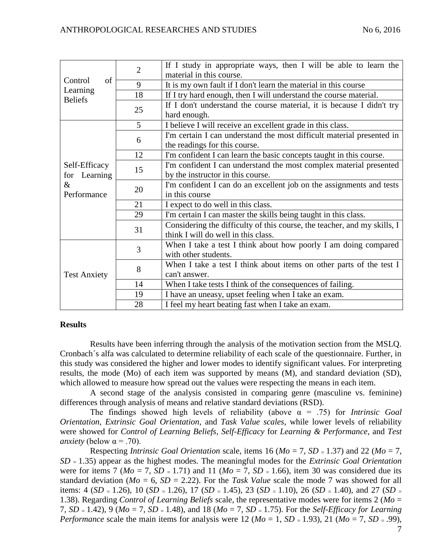| of<br>Control<br>Learning | $\overline{2}$ | If I study in appropriate ways, then I will be able to learn the         |  |  |  |  |  |
|---------------------------|----------------|--------------------------------------------------------------------------|--|--|--|--|--|
|                           |                | material in this course.                                                 |  |  |  |  |  |
|                           | 9              | It is my own fault if I don't learn the material in this course          |  |  |  |  |  |
|                           | 18             | If I try hard enough, then I will understand the course material.        |  |  |  |  |  |
| <b>Beliefs</b>            |                | If I don't understand the course material, it is because I didn't try    |  |  |  |  |  |
|                           | 25             | hard enough.                                                             |  |  |  |  |  |
|                           | 5              | I believe I will receive an excellent grade in this class.               |  |  |  |  |  |
|                           |                | I'm certain I can understand the most difficult material presented in    |  |  |  |  |  |
|                           | 6              | the readings for this course.                                            |  |  |  |  |  |
|                           | 12             | I'm confident I can learn the basic concepts taught in this course.      |  |  |  |  |  |
| Self-Efficacy             |                | I'm confident I can understand the most complex material presented       |  |  |  |  |  |
| Learning<br>for           | 15             | by the instructor in this course.                                        |  |  |  |  |  |
| $\&$                      |                | I'm confident I can do an excellent job on the assignments and tests     |  |  |  |  |  |
| Performance               | 20             | in this course                                                           |  |  |  |  |  |
|                           | 21             | I expect to do well in this class.                                       |  |  |  |  |  |
|                           | 29             | I'm certain I can master the skills being taught in this class.          |  |  |  |  |  |
|                           | 31             | Considering the difficulty of this course, the teacher, and my skills, I |  |  |  |  |  |
|                           |                | think I will do well in this class.                                      |  |  |  |  |  |
|                           | 3              | When I take a test I think about how poorly I am doing compared          |  |  |  |  |  |
|                           |                | with other students.                                                     |  |  |  |  |  |
|                           | 8              | When I take a test I think about items on other parts of the test I      |  |  |  |  |  |
| <b>Test Anxiety</b>       |                | can't answer.                                                            |  |  |  |  |  |
|                           | 14             | When I take tests I think of the consequences of failing.                |  |  |  |  |  |
|                           | 19             | I have an uneasy, upset feeling when I take an exam.                     |  |  |  |  |  |
|                           | 28             | I feel my heart beating fast when I take an exam.                        |  |  |  |  |  |

### **Results**

Results have been inferring through the analysis of the motivation section from the MSLQ. Cronbach´s alfa was calculated to determine reliability of each scale of the questionnaire. Further, in this study was considered the higher and lower modes to identify significant values. For interpreting results, the mode (Mo) of each item was supported by means (M), and standard deviation (SD), which allowed to measure how spread out the values were respecting the means in each item.

A second stage of the analysis consisted in comparing genre (masculine vs. feminine) differences through analysis of means and relative standard deviations (RSD).

The findings showed high levels of reliability (above α = .75) for *Intrinsic Goal Orientation*, *Extrinsic Goal Orientation*, and *Task Value scales*, while lower levels of reliability were showed for *Control of Learning Beliefs*, *Self-Efficacy* for *Learning & Performance*, and *Test anxiety* (below  $\alpha$  = .70).

Respecting *Intrinsic Goal Orientation* scale, items 16 ( $Mo = 7$ ,  $SD = 1.37$ ) and 22 ( $Mo = 7$ , *SD* <sup>=</sup>1.35) appear as the highest modes. The meaningful modes for the *Extrinsic Goal Orientation* were for items 7 ( $Mo = 7$ ,  $SD = 1.71$ ) and 11 ( $Mo = 7$ ,  $SD = 1.66$ ), item 30 was considered due its standard deviation (*Mo* = 6, *SD* = 2.22). For the *Task Value* scale the mode 7 was showed for all items: 4 (*SD* = 1.26), 10 (*SD* = 1.26), 17 (*SD* = 1.45), 23 (*SD* = 1.10), 26 (*SD* = 1.40), and 27 (*SD* = 1.38). Regarding *Control of Learning Beliefs* scale, the representative modes were for items 2 (*Mo* = 7, *SD* <sup>=</sup>1.42), 9 (*Mo* = 7, *SD* <sup>=</sup>1.48), and 18 (*Mo* = 7, *SD* <sup>=</sup>1.75). For the *Self-Efficacy for Learning Performance* scale the main items for analysis were 12 ( $Mo = 1$ ,  $SD = 1.93$ ), 21 ( $Mo = 7$ ,  $SD = .99$ ),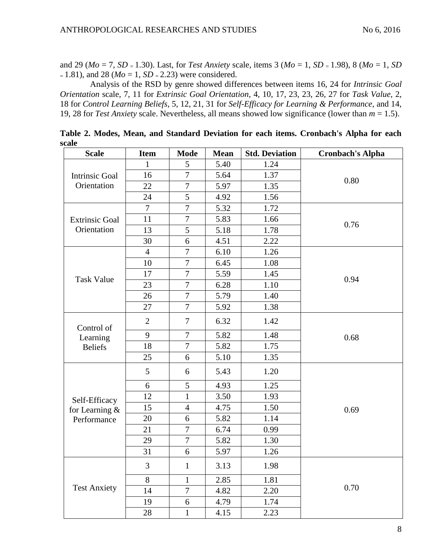and 29 (*Mo* = 7, *SD* <sup>=</sup>1.30). Last, for *Test Anxiety* scale, items 3 (*Mo* = 1, *SD* = 1.98), 8 (*Mo* = 1, *SD*  $=1.81$ ), and 28 (*Mo* = 1, *SD*  $= 2.23$ ) were considered.

Analysis of the RSD by genre showed differences between items 16, 24 for *Intrinsic Goal Orientation* scale, 7, 11 for *Extrinsic Goal Orientation*, 4, 10, 17, 23, 23, 26, 27 for *Task Value*, 2, 18 for *Control Learning Beliefs*, 5, 12, 21, 31 for *Self-Efficacy for Learning & Performance*, and 14, 19, 28 for *Test Anxiety* scale. Nevertheless, all means showed low significance (lower than *m* = 1.5).

| <b>Scale</b>          | <b>Item</b>    | <b>Mode</b>      | <b>Mean</b> | <b>Std. Deviation</b> | <b>Cronbach's Alpha</b> |
|-----------------------|----------------|------------------|-------------|-----------------------|-------------------------|
|                       | 1              | 5                | 5.40        | 1.24                  |                         |
| <b>Intrinsic Goal</b> | 16             | $\overline{7}$   | 5.64        | 1.37                  | 0.80                    |
| Orientation           | 22             | $\overline{7}$   | 5.97        | 1.35                  |                         |
|                       | 24             | 5                | 4.92        | 1.56                  |                         |
|                       | $\overline{7}$ | $\overline{7}$   | 5.32        | 1.72                  |                         |
| <b>Extrinsic Goal</b> | 11             | $\overline{7}$   | 5.83        | 1.66                  | 0.76                    |
| Orientation           | 13             | 5                | 5.18        | 1.78                  |                         |
|                       | 30             | 6                | 4.51        | 2.22                  |                         |
|                       | $\overline{4}$ | $\overline{7}$   | 6.10        | 1.26                  |                         |
|                       | 10             | $\overline{7}$   | 6.45        | 1.08                  |                         |
| <b>Task Value</b>     | 17             | $\overline{7}$   | 5.59        | 1.45                  | 0.94                    |
|                       | 23             | $\overline{7}$   | 6.28        | 1.10                  |                         |
|                       | 26             | $\overline{7}$   | 5.79        | 1.40                  |                         |
|                       | 27             | $\overline{7}$   | 5.92        | 1.38                  |                         |
| Control of            | $\mathbf{2}$   | 7                | 6.32        | 1.42                  |                         |
| Learning              | 9              | $\overline{7}$   | 5.82        | 1.48                  | 0.68                    |
| <b>Beliefs</b>        | 18             | $\overline{7}$   | 5.82        | 1.75                  |                         |
|                       | 25             | 6                | 5.10        | 1.35                  |                         |
|                       | 5              | 6                | 5.43        | 1.20                  |                         |
|                       | 6              | 5                | 4.93        | 1.25                  |                         |
| Self-Efficacy         | 12             | $\mathbf{1}$     | 3.50        | 1.93                  |                         |
| for Learning $&$      | 15             | $\overline{4}$   | 4.75        | 1.50                  | 0.69                    |
| Performance           | 20             | 6                | 5.82        | 1.14                  |                         |
|                       | 21             | $\overline{7}$   | 6.74        | 0.99                  |                         |
|                       | 29             | $\overline{7}$   | 5.82        | 1.30                  |                         |
|                       | 31             | 6                | 5.97        | 1.26                  |                         |
|                       | 3              | $\mathbf 1$      | 3.13        | 1.98                  |                         |
|                       | 8              | $\mathbf{1}$     | 2.85        | 1.81                  |                         |
| <b>Test Anxiety</b>   | 14             | $\boldsymbol{7}$ | 4.82        | 2.20                  | 0.70                    |
|                       | 19             | $\boldsymbol{6}$ | 4.79        | 1.74                  |                         |
|                       | 28             | $\mathbf{1}$     | 4.15        | 2.23                  |                         |

**Table 2. Modes, Mean, and Standard Deviation for each items. Cronbach's Alpha for each scale**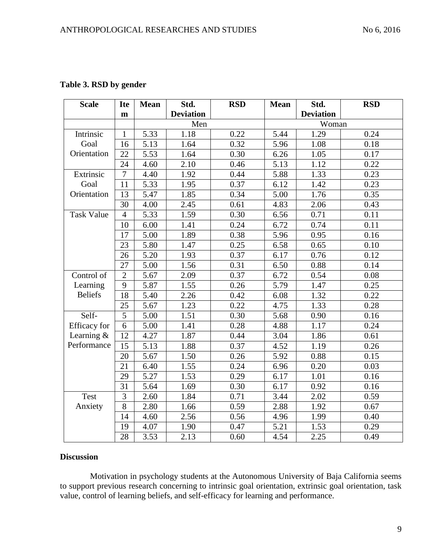| <b>Scale</b>      | <b>Ite</b>     | <b>Mean</b> | Std.             | <b>RSD</b> | <b>Mean</b> | Std.             | <b>RSD</b> |  |
|-------------------|----------------|-------------|------------------|------------|-------------|------------------|------------|--|
|                   | m              |             | <b>Deviation</b> |            |             | <b>Deviation</b> |            |  |
|                   |                |             | Men              |            |             | Woman            |            |  |
| Intrinsic         | 1              | 5.33        | 1.18             | 0.22       | 5.44        | 1.29             | 0.24       |  |
| Goal              | 16             | 5.13        | 1.64             | 0.32       | 5.96        | 1.08             | 0.18       |  |
| Orientation       | 22             | 5.53        | 1.64             | 0.30       | 6.26        | 1.05             | 0.17       |  |
|                   | 24             | 4.60        | 2.10             | 0.46       | 5.13        | 1.12             | 0.22       |  |
| Extrinsic         | $\tau$         | 4.40        | 1.92             | 0.44       | 5.88        | 1.33             | 0.23       |  |
| Goal              | 11             | 5.33        | 1.95             | 0.37       | 6.12        | 1.42             | 0.23       |  |
| Orientation       | 13             | 5.47        | 1.85             | 0.34       | 5.00        | 1.76             | 0.35       |  |
|                   | 30             | 4.00        | 2.45             | 0.61       | 4.83        | 2.06             | 0.43       |  |
| <b>Task Value</b> | $\overline{4}$ | 5.33        | 1.59             | 0.30       | 6.56        | 0.71             | 0.11       |  |
|                   | 10             | 6.00        | 1.41             | 0.24       | 6.72        | 0.74             | 0.11       |  |
|                   | 17             | 5.00        | 1.89             | 0.38       | 5.96        | 0.95             | 0.16       |  |
|                   | 23             | 5.80        | 1.47             | 0.25       | 6.58        | 0.65             | 0.10       |  |
|                   | 26             | 5.20        | 1.93             | 0.37       | 6.17        | 0.76             | 0.12       |  |
|                   | 27             | 5.00        | 1.56             | 0.31       | 6.50        | 0.88             | 0.14       |  |
| Control of        | $\overline{2}$ | 5.67        | 2.09             | 0.37       | 6.72        | 0.54             | 0.08       |  |
| Learning          | 9              | 5.87        | 1.55             | 0.26       | 5.79        | 1.47             | 0.25       |  |
| <b>Beliefs</b>    | 18             | 5.40        | 2.26             | 0.42       | 6.08        | 1.32             | 0.22       |  |
|                   | 25             | 5.67        | 1.23             | 0.22       | 4.75        | 1.33             | 0.28       |  |
| Self-             | 5              | 5.00        | 1.51             | 0.30       | 5.68        | 0.90             | 0.16       |  |
| Efficacy for      | 6              | 5.00        | 1.41             | 0.28       | 4.88        | 1.17             | 0.24       |  |
| Learning $&$      | 12             | 4.27        | 1.87             | 0.44       | 3.04        | 1.86             | 0.61       |  |
| Performance       | 15             | 5.13        | 1.88             | 0.37       | 4.52        | 1.19             | 0.26       |  |
|                   | 20             | 5.67        | 1.50             | 0.26       | 5.92        | 0.88             | 0.15       |  |
|                   | 21             | 6.40        | 1.55             | 0.24       | 6.96        | 0.20             | 0.03       |  |
|                   | 29             | 5.27        | 1.53             | 0.29       | 6.17        | 1.01             | 0.16       |  |
|                   | 31             | 5.64        | 1.69             | 0.30       | 6.17        | 0.92             | 0.16       |  |
| Test              | $\overline{3}$ | 2.60        | 1.84             | 0.71       | 3.44        | 2.02             | 0.59       |  |
| Anxiety           | 8              | 2.80        | 1.66             | 0.59       | 2.88        | 1.92             | 0.67       |  |
|                   | 14             | 4.60        | 2.56             | 0.56       | 4.96        | 1.99             | 0.40       |  |
|                   | 19             | 4.07        | 1.90             | 0.47       | 5.21        | 1.53             | 0.29       |  |
|                   | 28             | 3.53        | 2.13             | 0.60       | 4.54        | 2.25             | 0.49       |  |

# **Table 3. RSD by gender**

### **Discussion**

Motivation in psychology students at the Autonomous University of Baja California seems to support previous research concerning to intrinsic goal orientation, extrinsic goal orientation, task value, control of learning beliefs, and self-efficacy for learning and performance.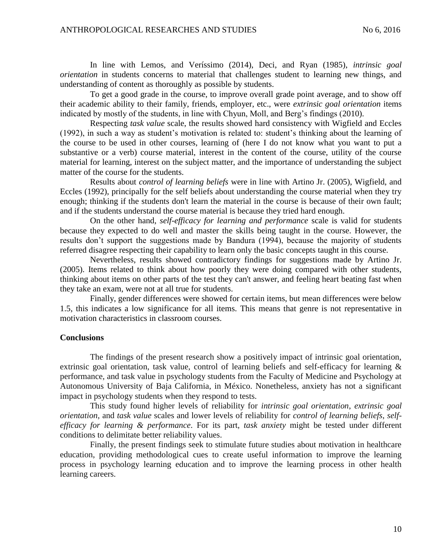In line with Lemos, and Veríssimo (2014), Deci, and Ryan (1985), *intrinsic goal orientation* in students concerns to material that challenges student to learning new things, and understanding of content as thoroughly as possible by students.

To get a good grade in the course, to improve overall grade point average, and to show off their academic ability to their family, friends, employer, etc., were *extrinsic goal orientation* items indicated by mostly of the students, in line with Chyun, Moll, and Berg's findings (2010).

Respecting *task value* scale, the results showed hard consistency with Wigfield and Eccles (1992), in such a way as student's motivation is related to: student's thinking about the learning of the course to be used in other courses, learning of (here I do not know what you want to put a substantive or a verb) course material, interest in the content of the course, utility of the course material for learning, interest on the subject matter, and the importance of understanding the subject matter of the course for the students.

Results about *control of learning beliefs* were in line with Artino Jr. (2005), Wigfield, and Eccles (1992), principally for the self beliefs about understanding the course material when they try enough; thinking if the students don't learn the material in the course is because of their own fault; and if the students understand the course material is because they tried hard enough.

On the other hand, *self-efficacy for learning and performance* scale is valid for students because they expected to do well and master the skills being taught in the course. However, the results don't support the suggestions made by Bandura (1994), because the majority of students referred disagree respecting their capability to learn only the basic concepts taught in this course.

Nevertheless, results showed contradictory findings for suggestions made by Artino Jr. (2005). Items related to think about how poorly they were doing compared with other students, thinking about items on other parts of the test they can't answer, and feeling heart beating fast when they take an exam, were not at all true for students.

Finally, gender differences were showed for certain items, but mean differences were below 1.5, this indicates a low significance for all items. This means that genre is not representative in motivation characteristics in classroom courses.

### **Conclusions**

The findings of the present research show a positively impact of intrinsic goal orientation, extrinsic goal orientation, task value, control of learning beliefs and self-efficacy for learning & performance, and task value in psychology students from the Faculty of Medicine and Psychology at Autonomous University of Baja California, in México. Nonetheless, anxiety has not a significant impact in psychology students when they respond to tests.

This study found higher levels of reliability for *intrinsic goal orientation*, *extrinsic goal orientation*, and *task value* scales and lower levels of reliability for *control of learning beliefs*, *selfefficacy for learning & performance*. For its part, *task anxiety* might be tested under different conditions to delimitate better reliability values.

Finally, the present findings seek to stimulate future studies about motivation in healthcare education, providing methodological cues to create useful information to improve the learning process in psychology learning education and to improve the learning process in other health learning careers.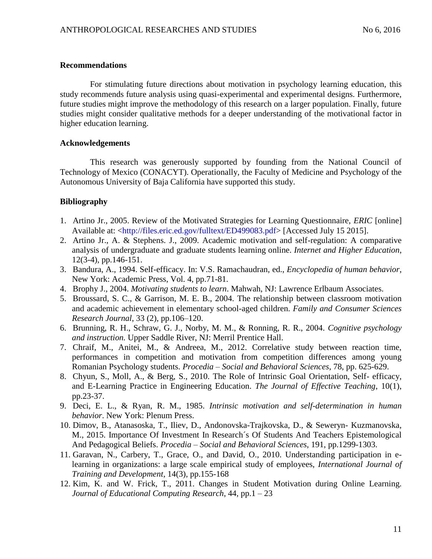### **Recommendations**

For stimulating future directions about motivation in psychology learning education, this study recommends future analysis using quasi-experimental and experimental designs. Furthermore, future studies might improve the methodology of this research on a larger population. Finally, future studies might consider qualitative methods for a deeper understanding of the motivational factor in higher education learning.

### **Acknowledgements**

This research was generously supported by founding from the National Council of Technology of Mexico (CONACYT). Operationally, the Faculty of Medicine and Psychology of the Autonomous University of Baja California have supported this study.

### **Bibliography**

- 1. Artino Jr., 2005. Review of the Motivated Strategies for Learning Questionnaire, *ERIC* [online] Available at: [<http://files.eric.ed.gov/fulltext/ED499083.pdf>](http://files.eric.ed.gov/fulltext/ED499083.pdf) [Accessed July 15 2015].
- 2. Artino Jr., A. & Stephens. J., 2009. Academic motivation and self-regulation: A comparative analysis of undergraduate and graduate students learning online. *Internet and Higher Education*, 12(3-4), pp.146-151.
- 3. Bandura, A., 1994. Self-efficacy. In: V.S. Ramachaudran, ed., *Encyclopedia of human behavior*, New York: Academic Press, Vol. 4, pp.71-81.
- 4. Brophy J., 2004. *Motivating students to learn*. Mahwah, NJ: Lawrence Erlbaum Associates.
- 5. Broussard, S. C., & Garrison, M. E. B., 2004. The relationship between classroom motivation and academic achievement in elementary school-aged children. *Family and Consumer Sciences Research Journal*, 33 (2), pp.106–120.
- 6. Brunning, R. H., Schraw, G. J., Norby, M. M., & Ronning, R. R., 2004. *Cognitive psychology and instruction.* Upper Saddle River, NJ: Merril Prentice Hall.
- 7. Chraif, M., Anitei, M., & Andreea, M., 2012. Correlative study between reaction time, performances in competition and motivation from competition differences among young Romanian Psychology students. *Procedia – Social and Behavioral Sciences*, 78, pp. 625-629.
- 8. Chyun, S., Moll, A., & Berg, S., 2010. The Role of Intrinsic Goal Orientation, Self- efficacy, and E-Learning Practice in Engineering Education. *The Journal of Effective Teaching*, 10(1), pp.23-37.
- 9. Deci, E. L., & Ryan, R. M., 1985. *Intrinsic motivation and self-determination in human behavior*. New York: Plenum Press.
- 10. Dimov, B., Atanasoska, T., Iliev, D., Andonovska-Trajkovska, D., & Seweryn- Kuzmanovska, M., 2015. Importance Of Investment In Research´s Of Students And Teachers Epistemological And Pedagogical Beliefs. *Procedia – Social and Behavioral Sciences*, 191, pp.1299-1303.
- 11. Garavan, N., Carbery, T., Grace, O., and David, O., 2010. Understanding participation in elearning in organizations: a large scale empirical study of employees, *International Journal of Training and Development*, 14(3), pp.155-168
- 12. Kim, K. and W. Frick, T., 2011. Changes in Student Motivation during Online Learning. *Journal of Educational Computing Research*, 44, pp.1 – 23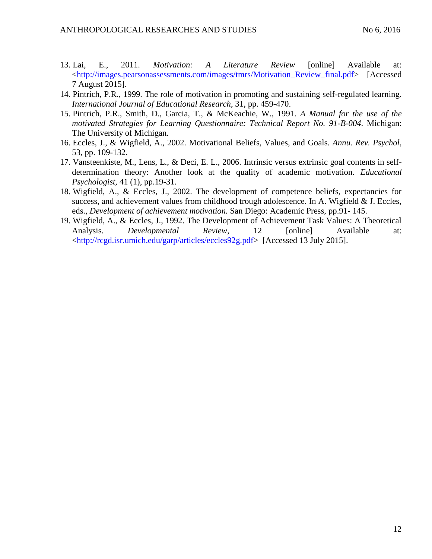- 13. Lai, E., 2011. *Motivation: A Literature Review* [online] Available at: [<http://images.pearsonassessments.com/images/tmrs/Motivation\\_Review\\_final.pdf>](http://images.pearsonassessments.com/images/tmrs/Motivation_Review_final.pdf) [Accessed 7 August 2015].
- 14. Pintrich, P.R., 1999. The role of motivation in promoting and sustaining self-regulated learning. *International Journal of Educational Research*, 31, pp. 459-470.
- 15. Pintrich, P.R., Smith, D., Garcia, T., & McKeachie, W., 1991. *A Manual for the use of the motivated Strategies for Learning Questionnaire: Technical Report No. 91-B-004*. Michigan: The University of Michigan.
- 16. Eccles, J., & Wigfield, A., 2002. Motivational Beliefs, Values, and Goals. *Annu. Rev. Psychol*, 53, pp. 109-132.
- 17. Vansteenkiste, M., Lens, L., & Deci, E. L., 2006. Intrinsic versus extrinsic goal contents in selfdetermination theory: Another look at the quality of academic motivation. *Educational Psychologist,* 41 (1), pp.19-31.
- 18. Wigfield, A., & Eccles, J., 2002. The development of competence beliefs, expectancies for success, and achievement values from childhood trough adolescence. In A. Wigfield & J. Eccles, eds., *Development of achievement motivation.* San Diego: Academic Press, pp.91- 145.
- 19. Wigfield, A., & Eccles, J., 1992. The Development of Achievement Task Values: A Theoretical Analysis. *Developmental Review*, 12 [online] Available at: [<http://rcgd.isr.umich.edu/garp/articles/eccles92g.pdf>](http://rcgd.isr.umich.edu/garp/articles/eccles92g.pdf) [Accessed 13 July 2015].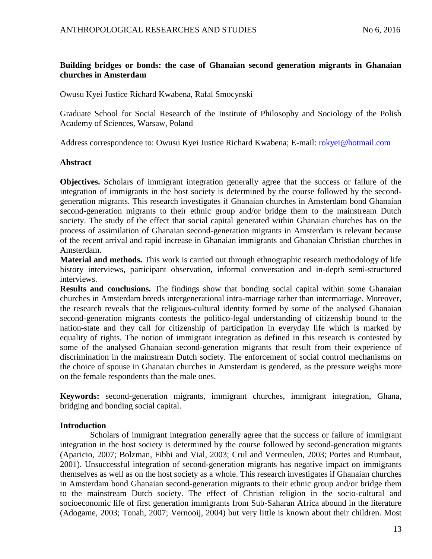# **Building bridges or bonds: the case of Ghanaian second generation migrants in Ghanaian churches in Amsterdam**

Owusu Kyei Justice Richard Kwabena, Rafal Smocynski

Graduate School for Social Research of the Institute of Philosophy and Sociology of the Polish Academy of Sciences, Warsaw, Poland

Address correspondence to: Owusu Kyei Justice Richard Kwabena; E-mail: [rokyei@hotmail.com](mailto:rokyei@hotmail.com)

### **Abstract**

**Objectives.** Scholars of immigrant integration generally agree that the success or failure of the integration of immigrants in the host society is determined by the course followed by the secondgeneration migrants. This research investigates if Ghanaian churches in Amsterdam bond Ghanaian second-generation migrants to their ethnic group and/or bridge them to the mainstream Dutch society. The study of the effect that social capital generated within Ghanaian churches has on the process of assimilation of Ghanaian second-generation migrants in Amsterdam is relevant because of the recent arrival and rapid increase in Ghanaian immigrants and Ghanaian Christian churches in Amsterdam.

**Material and methods.** This work is carried out through ethnographic research methodology of life history interviews, participant observation, informal conversation and in-depth semi-structured interviews.

**Results and conclusions.** The findings show that bonding social capital within some Ghanaian churches in Amsterdam breeds intergenerational intra-marriage rather than intermarriage. Moreover, the research reveals that the religious-cultural identity formed by some of the analysed Ghanaian second-generation migrants contests the politico-legal understanding of citizenship bound to the nation-state and they call for citizenship of participation in everyday life which is marked by equality of rights. The notion of immigrant integration as defined in this research is contested by some of the analysed Ghanaian second-generation migrants that result from their experience of discrimination in the mainstream Dutch society. The enforcement of social control mechanisms on the choice of spouse in Ghanaian churches in Amsterdam is gendered, as the pressure weighs more on the female respondents than the male ones.

**Keywords:** second-generation migrants, immigrant churches, immigrant integration, Ghana, bridging and bonding social capital.

# **Introduction**

Scholars of immigrant integration generally agree that the success or failure of immigrant integration in the host society is determined by the course followed by second-generation migrants (Aparicio, 2007; Bolzman, Fibbi and Vial, 2003; Crul and Vermeulen, 2003; Portes and Rumbaut, 2001). Unsuccessful integration of second-generation migrants has negative impact on immigrants themselves as well as on the host society as a whole. This research investigates if Ghanaian churches in Amsterdam bond Ghanaian second-generation migrants to their ethnic group and/or bridge them to the mainstream Dutch society. The effect of Christian religion in the socio-cultural and socioeconomic life of first generation immigrants from Sub-Saharan Africa abound in the literature (Adogame, 2003; Tonah, 2007; Vernooij, 2004) but very little is known about their children. Most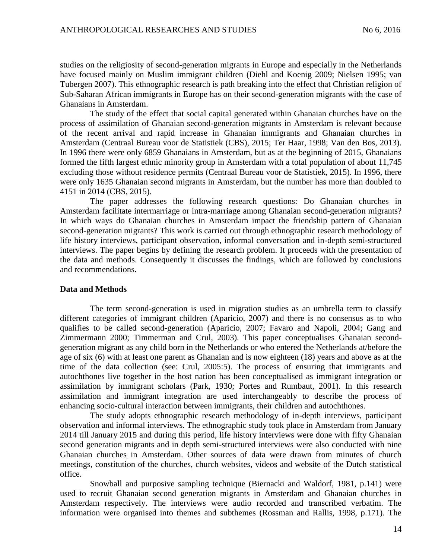studies on the religiosity of second-generation migrants in Europe and especially in the Netherlands have focused mainly on Muslim immigrant children (Diehl and Koenig 2009; Nielsen 1995; van Tubergen 2007). This ethnographic research is path breaking into the effect that Christian religion of Sub-Saharan African immigrants in Europe has on their second-generation migrants with the case of Ghanaians in Amsterdam.

The study of the effect that social capital generated within Ghanaian churches have on the process of assimilation of Ghanaian second-generation migrants in Amsterdam is relevant because of the recent arrival and rapid increase in Ghanaian immigrants and Ghanaian churches in Amsterdam (Centraal Bureau voor de Statistiek (CBS), 2015; Ter Haar, 1998; Van den Bos, 2013). In 1996 there were only 6859 Ghanaians in Amsterdam, but as at the beginning of 2015, Ghanaians formed the fifth largest ethnic minority group in Amsterdam with a total population of about 11,745 excluding those without residence permits (Centraal Bureau voor de Statistiek, 2015). In 1996, there were only 1635 Ghanaian second migrants in Amsterdam, but the number has more than doubled to 4151 in 2014 (CBS, 2015).

The paper addresses the following research questions: Do Ghanaian churches in Amsterdam facilitate intermarriage or intra-marriage among Ghanaian second-generation migrants? In which ways do Ghanaian churches in Amsterdam impact the friendship pattern of Ghanaian second-generation migrants? This work is carried out through ethnographic research methodology of life history interviews, participant observation, informal conversation and in-depth semi-structured interviews. The paper begins by defining the research problem. It proceeds with the presentation of the data and methods. Consequently it discusses the findings, which are followed by conclusions and recommendations.

#### **Data and Methods**

The term second-generation is used in migration studies as an umbrella term to classify different categories of immigrant children (Aparicio, 2007) and there is no consensus as to who qualifies to be called second-generation (Aparicio, 2007; Favaro and Napoli, 2004; Gang and Zimmermann 2000; Timmerman and Crul, 2003). This paper conceptualises Ghanaian secondgeneration migrant as any child born in the Netherlands or who entered the Netherlands at/before the age of six (6) with at least one parent as Ghanaian and is now eighteen (18) years and above as at the time of the data collection (see: Crul, 2005:5). The process of ensuring that immigrants and autochthones live together in the host nation has been conceptualised as immigrant integration or assimilation by immigrant scholars (Park, 1930; Portes and Rumbaut, 2001). In this research assimilation and immigrant integration are used interchangeably to describe the process of enhancing socio-cultural interaction between immigrants, their children and autochthones.

The study adopts ethnographic research methodology of in-depth interviews, participant observation and informal interviews. The ethnographic study took place in Amsterdam from January 2014 till January 2015 and during this period, life history interviews were done with fifty Ghanaian second generation migrants and in depth semi-structured interviews were also conducted with nine Ghanaian churches in Amsterdam. Other sources of data were drawn from minutes of church meetings, constitution of the churches, church websites, videos and website of the Dutch statistical office.

Snowball and purposive sampling technique (Biernacki and Waldorf, 1981, p.141) were used to recruit Ghanaian second generation migrants in Amsterdam and Ghanaian churches in Amsterdam respectively. The interviews were audio recorded and transcribed verbatim. The information were organised into themes and subthemes (Rossman and Rallis, 1998, p.171). The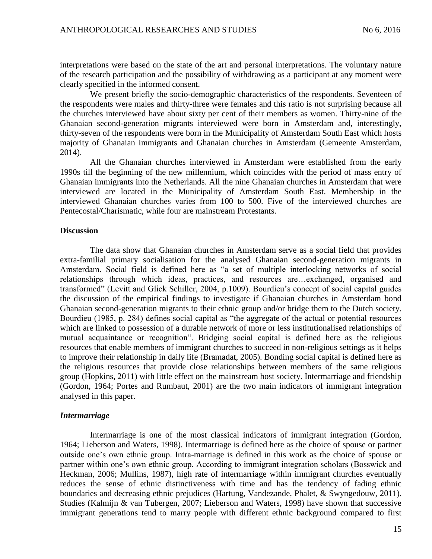interpretations were based on the state of the art and personal interpretations. The voluntary nature of the research participation and the possibility of withdrawing as a participant at any moment were clearly specified in the informed consent.

We present briefly the socio-demographic characteristics of the respondents. Seventeen of the respondents were males and thirty-three were females and this ratio is not surprising because all the churches interviewed have about sixty per cent of their members as women. Thirty-nine of the Ghanaian second-generation migrants interviewed were born in Amsterdam and, interestingly, thirty-seven of the respondents were born in the Municipality of Amsterdam South East which hosts majority of Ghanaian immigrants and Ghanaian churches in Amsterdam (Gemeente Amsterdam, 2014).

All the Ghanaian churches interviewed in Amsterdam were established from the early 1990s till the beginning of the new millennium, which coincides with the period of mass entry of Ghanaian immigrants into the Netherlands. All the nine Ghanaian churches in Amsterdam that were interviewed are located in the Municipality of Amsterdam South East. Membership in the interviewed Ghanaian churches varies from 100 to 500. Five of the interviewed churches are Pentecostal/Charismatic, while four are mainstream Protestants.

#### **Discussion**

The data show that Ghanaian churches in Amsterdam serve as a social field that provides extra-familial primary socialisation for the analysed Ghanaian second-generation migrants in Amsterdam. Social field is defined here as "a set of multiple interlocking networks of social relationships through which ideas, practices, and resources are…exchanged, organised and transformed" (Levitt and Glick Schiller, 2004, p.1009). Bourdieu's concept of social capital guides the discussion of the empirical findings to investigate if Ghanaian churches in Amsterdam bond Ghanaian second-generation migrants to their ethnic group and/or bridge them to the Dutch society. Bourdieu (1985, p. 284) defines social capital as "the aggregate of the actual or potential resources which are linked to possession of a durable network of more or less institutionalised relationships of mutual acquaintance or recognition". Bridging social capital is defined here as the religious resources that enable members of immigrant churches to succeed in non-religious settings as it helps to improve their relationship in daily life (Bramadat, 2005). Bonding social capital is defined here as the religious resources that provide close relationships between members of the same religious group (Hopkins, 2011) with little effect on the mainstream host society. Intermarriage and friendship (Gordon, 1964; Portes and Rumbaut, 2001) are the two main indicators of immigrant integration analysed in this paper.

#### *Intermarriage*

Intermarriage is one of the most classical indicators of immigrant integration (Gordon, 1964; Lieberson and Waters, 1998). Intermarriage is defined here as the choice of spouse or partner outside one's own ethnic group. Intra-marriage is defined in this work as the choice of spouse or partner within one's own ethnic group. According to immigrant integration scholars (Bosswick and Heckman, 2006; Mullins, 1987), high rate of intermarriage within immigrant churches eventually reduces the sense of ethnic distinctiveness with time and has the tendency of fading ethnic boundaries and decreasing ethnic prejudices (Hartung, Vandezande, Phalet, & Swyngedouw, 2011). Studies (Kalmijn & van Tubergen, 2007; Lieberson and Waters, 1998) have shown that successive immigrant generations tend to marry people with different ethnic background compared to first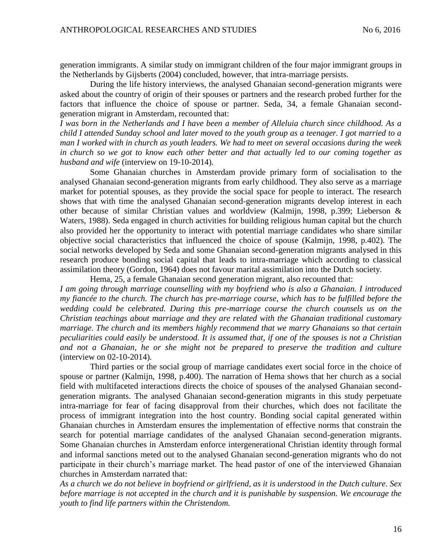generation immigrants. A similar study on immigrant children of the four major immigrant groups in the Netherlands by Gijsberts (2004) concluded, however, that intra-marriage persists.

During the life history interviews, the analysed Ghanaian second-generation migrants were asked about the country of origin of their spouses or partners and the research probed further for the factors that influence the choice of spouse or partner. Seda, 34, a female Ghanaian secondgeneration migrant in Amsterdam, recounted that:

*I was born in the Netherlands and I have been a member of Alleluia church since childhood. As a child I attended Sunday school and later moved to the youth group as a teenager. I got married to a man I worked with in church as youth leaders. We had to meet on several occasions during the week in church so we got to know each other better and that actually led to our coming together as husband and wife* (interview on 19-10-2014).

Some Ghanaian churches in Amsterdam provide primary form of socialisation to the analysed Ghanaian second-generation migrants from early childhood. They also serve as a marriage market for potential spouses, as they provide the social space for people to interact. The research shows that with time the analysed Ghanaian second-generation migrants develop interest in each other because of similar Christian values and worldview (Kalmijn, 1998, p.399; Lieberson & Waters, 1988). Seda engaged in church activities for building religious human capital but the church also provided her the opportunity to interact with potential marriage candidates who share similar objective social characteristics that influenced the choice of spouse (Kalmijn, 1998, p.402). The social networks developed by Seda and some Ghanaian second-generation migrants analysed in this research produce bonding social capital that leads to intra-marriage which according to classical assimilation theory (Gordon, 1964) does not favour marital assimilation into the Dutch society.

Hema, 25, a female Ghanaian second generation migrant, also recounted that: *I am going through marriage counselling with my boyfriend who is also a Ghanaian. I introduced my fiancée to the church. The church has pre-marriage course, which has to be fulfilled before the wedding could be celebrated. During this pre-marriage course the church counsels us on the Christian teachings about marriage and they are related with the Ghanaian traditional customary marriage. The church and its members highly recommend that we marry Ghanaians so that certain peculiarities could easily be understood. It is assumed that, if one of the spouses is not a Christian and not a Ghanaian, he or she might not be prepared to preserve the tradition and culture*  (interview on 02-10-2014)*.*

Third parties or the social group of marriage candidates exert social force in the choice of spouse or partner (Kalmijn, 1998, p.400). The narration of Hema shows that her church as a social field with multifaceted interactions directs the choice of spouses of the analysed Ghanaian secondgeneration migrants. The analysed Ghanaian second-generation migrants in this study perpetuate intra-marriage for fear of facing disapproval from their churches, which does not facilitate the process of immigrant integration into the host country. Bonding social capital generated within Ghanaian churches in Amsterdam ensures the implementation of effective norms that constrain the search for potential marriage candidates of the analysed Ghanaian second-generation migrants. Some Ghanaian churches in Amsterdam enforce intergenerational Christian identity through formal and informal sanctions meted out to the analysed Ghanaian second-generation migrants who do not participate in their church's marriage market. The head pastor of one of the interviewed Ghanaian churches in Amsterdam narrated that:

*As a church we do not believe in boyfriend or girlfriend, as it is understood in the Dutch culture. Sex before marriage is not accepted in the church and it is punishable by suspension. We encourage the youth to find life partners within the Christendom.*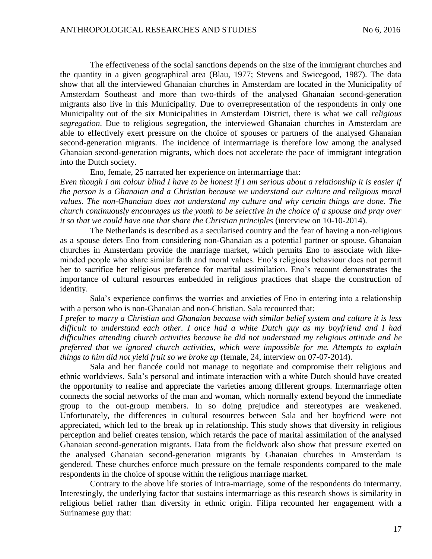The effectiveness of the social sanctions depends on the size of the immigrant churches and the quantity in a given geographical area (Blau, 1977; Stevens and Swicegood, 1987). The data show that all the interviewed Ghanaian churches in Amsterdam are located in the Municipality of Amsterdam Southeast and more than two-thirds of the analysed Ghanaian second-generation migrants also live in this Municipality. Due to overrepresentation of the respondents in only one Municipality out of the six Municipalities in Amsterdam District, there is what we call *religious segregation*. Due to religious segregation, the interviewed Ghanaian churches in Amsterdam are able to effectively exert pressure on the choice of spouses or partners of the analysed Ghanaian second-generation migrants. The incidence of intermarriage is therefore low among the analysed Ghanaian second-generation migrants, which does not accelerate the pace of immigrant integration into the Dutch society.

Eno, female, 25 narrated her experience on intermarriage that:

*Even though I am colour blind I have to be honest if I am serious about a relationship it is easier if the person is a Ghanaian and a Christian because we understand our culture and religious moral values. The non-Ghanaian does not understand my culture and why certain things are done. The church continuously encourages us the youth to be selective in the choice of a spouse and pray over it so that we could have one that share the Christian principles* (interview on 10-10-2014).

The Netherlands is described as a secularised country and the fear of having a non-religious as a spouse deters Eno from considering non-Ghanaian as a potential partner or spouse. Ghanaian churches in Amsterdam provide the marriage market, which permits Eno to associate with likeminded people who share similar faith and moral values. Eno's religious behaviour does not permit her to sacrifice her religious preference for marital assimilation. Eno's recount demonstrates the importance of cultural resources embedded in religious practices that shape the construction of identity.

Sala's experience confirms the worries and anxieties of Eno in entering into a relationship with a person who is non-Ghanaian and non-Christian. Sala recounted that:

*I prefer to marry a Christian and Ghanaian because with similar belief system and culture it is less difficult to understand each other. I once had a white Dutch guy as my boyfriend and I had difficulties attending church activities because he did not understand my religious attitude and he preferred that we ignored church activities, which were impossible for me. Attempts to explain things to him did not yield fruit so we broke up* (female, 24, interview on 07-07-2014).

Sala and her fiancée could not manage to negotiate and compromise their religious and ethnic worldviews. Sala's personal and intimate interaction with a white Dutch should have created the opportunity to realise and appreciate the varieties among different groups. Intermarriage often connects the social networks of the man and woman, which normally extend beyond the immediate group to the out-group members. In so doing prejudice and stereotypes are weakened. Unfortunately, the differences in cultural resources between Sala and her boyfriend were not appreciated, which led to the break up in relationship. This study shows that diversity in religious perception and belief creates tension, which retards the pace of marital assimilation of the analysed Ghanaian second-generation migrants. Data from the fieldwork also show that pressure exerted on the analysed Ghanaian second-generation migrants by Ghanaian churches in Amsterdam is gendered. These churches enforce much pressure on the female respondents compared to the male respondents in the choice of spouse within the religious marriage market.

Contrary to the above life stories of intra-marriage, some of the respondents do intermarry. Interestingly, the underlying factor that sustains intermarriage as this research shows is similarity in religious belief rather than diversity in ethnic origin. Filipa recounted her engagement with a Surinamese guy that: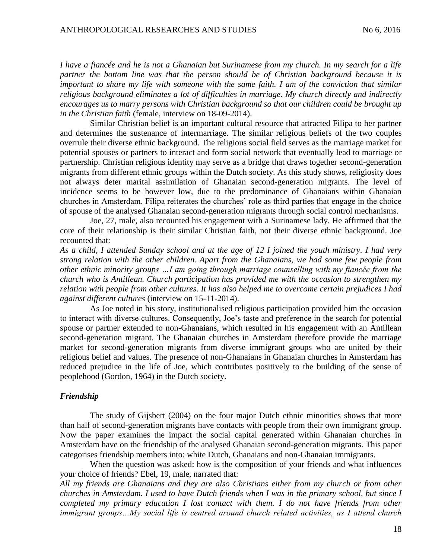*I have a fiancée and he is not a Ghanaian but Surinamese from my church. In my search for a life partner the bottom line was that the person should be of Christian background because it is important to share my life with someone with the same faith. I am of the conviction that similar religious background eliminates a lot of difficulties in marriage. My church directly and indirectly encourages us to marry persons with Christian background so that our children could be brought up in the Christian faith* (female, interview on 18-09-2014).

Similar Christian belief is an important cultural resource that attracted Filipa to her partner and determines the sustenance of intermarriage. The similar religious beliefs of the two couples overrule their diverse ethnic background. The religious social field serves as the marriage market for potential spouses or partners to interact and form social network that eventually lead to marriage or partnership. Christian religious identity may serve as a bridge that draws together second-generation migrants from different ethnic groups within the Dutch society. As this study shows, religiosity does not always deter marital assimilation of Ghanaian second-generation migrants. The level of incidence seems to be however low, due to the predominance of Ghanaians within Ghanaian churches in Amsterdam. Filipa reiterates the churches' role as third parties that engage in the choice of spouse of the analysed Ghanaian second-generation migrants through social control mechanisms.

Joe, 27, male, also recounted his engagement with a Surinamese lady. He affirmed that the core of their relationship is their similar Christian faith, not their diverse ethnic background. Joe recounted that:

*As a child, I attended Sunday school and at the age of 12 I joined the youth ministry. I had very strong relation with the other children. Apart from the Ghanaians, we had some few people from other ethnic minority groups …I am going through marriage counselling with my fiancée from the church who is Antillean. Church participation has provided me with the occasion to strengthen my relation with people from other cultures. It has also helped me to overcome certain prejudices I had against different cultures* (interview on 15-11-2014).

As Joe noted in his story, institutionalised religious participation provided him the occasion to interact with diverse cultures. Consequently, Joe's taste and preference in the search for potential spouse or partner extended to non-Ghanaians, which resulted in his engagement with an Antillean second-generation migrant. The Ghanaian churches in Amsterdam therefore provide the marriage market for second-generation migrants from diverse immigrant groups who are united by their religious belief and values. The presence of non-Ghanaians in Ghanaian churches in Amsterdam has reduced prejudice in the life of Joe, which contributes positively to the building of the sense of peoplehood (Gordon, 1964) in the Dutch society.

### *Friendship*

The study of Gijsbert (2004) on the four major Dutch ethnic minorities shows that more than half of second-generation migrants have contacts with people from their own immigrant group. Now the paper examines the impact the social capital generated within Ghanaian churches in Amsterdam have on the friendship of the analysed Ghanaian second-generation migrants. This paper categorises friendship members into: white Dutch, Ghanaians and non-Ghanaian immigrants.

When the question was asked: how is the composition of your friends and what influences your choice of friends? Ebel, 19, male, narrated that: *All my friends are Ghanaians and they are also Christians either from my church or from other* 

*churches in Amsterdam. I used to have Dutch friends when I was in the primary school, but since I completed my primary education I lost contact with them. I do not have friends from other immigrant groups…My social life is centred around church related activities, as I attend church*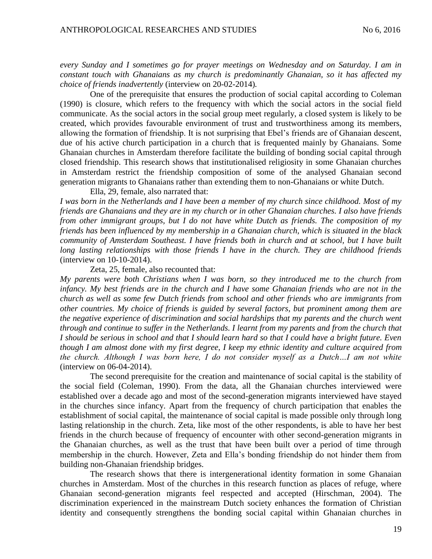*every Sunday and I sometimes go for prayer meetings on Wednesday and on Saturday. I am in constant touch with Ghanaians as my church is predominantly Ghanaian, so it has affected my choice of friends inadvertently* (interview on 20-02-2014)*.* 

One of the prerequisite that ensures the production of social capital according to Coleman (1990) is closure, which refers to the frequency with which the social actors in the social field communicate. As the social actors in the social group meet regularly, a closed system is likely to be created, which provides favourable environment of trust and trustworthiness among its members, allowing the formation of friendship. It is not surprising that Ebel's friends are of Ghanaian descent, due of his active church participation in a church that is frequented mainly by Ghanaians. Some Ghanaian churches in Amsterdam therefore facilitate the building of bonding social capital through closed friendship. This research shows that institutionalised religiosity in some Ghanaian churches in Amsterdam restrict the friendship composition of some of the analysed Ghanaian second generation migrants to Ghanaians rather than extending them to non-Ghanaians or white Dutch.

Ella, 29, female, also narrated that:

*I was born in the Netherlands and I have been a member of my church since childhood. Most of my friends are Ghanaians and they are in my church or in other Ghanaian churches. I also have friends from other immigrant groups, but I do not have white Dutch as friends. The composition of my friends has been influenced by my membership in a Ghanaian church, which is situated in the black community of Amsterdam Southeast. I have friends both in church and at school, but I have built long lasting relationships with those friends I have in the church. They are childhood friends*  (interview on 10-10-2014).

Zeta, 25, female, also recounted that:

*My parents were both Christians when I was born, so they introduced me to the church from infancy. My best friends are in the church and I have some Ghanaian friends who are not in the church as well as some few Dutch friends from school and other friends who are immigrants from other countries. My choice of friends is guided by several factors, but prominent among them are the negative experience of discrimination and social hardships that my parents and the church went through and continue to suffer in the Netherlands. I learnt from my parents and from the church that I should be serious in school and that I should learn hard so that I could have a bright future. Even though I am almost done with my first degree, I keep my ethnic identity and culture acquired from the church. Although I was born here, I do not consider myself as a Dutch…I am not white* (interview on 06-04-2014).

The second prerequisite for the creation and maintenance of social capital is the stability of the social field (Coleman, 1990). From the data, all the Ghanaian churches interviewed were established over a decade ago and most of the second-generation migrants interviewed have stayed in the churches since infancy. Apart from the frequency of church participation that enables the establishment of social capital, the maintenance of social capital is made possible only through long lasting relationship in the church. Zeta, like most of the other respondents, is able to have her best friends in the church because of frequency of encounter with other second-generation migrants in the Ghanaian churches, as well as the trust that have been built over a period of time through membership in the church. However, Zeta and Ella's bonding friendship do not hinder them from building non-Ghanaian friendship bridges.

The research shows that there is intergenerational identity formation in some Ghanaian churches in Amsterdam. Most of the churches in this research function as places of refuge, where Ghanaian second-generation migrants feel respected and accepted (Hirschman, 2004). The discrimination experienced in the mainstream Dutch society enhances the formation of Christian identity and consequently strengthens the bonding social capital within Ghanaian churches in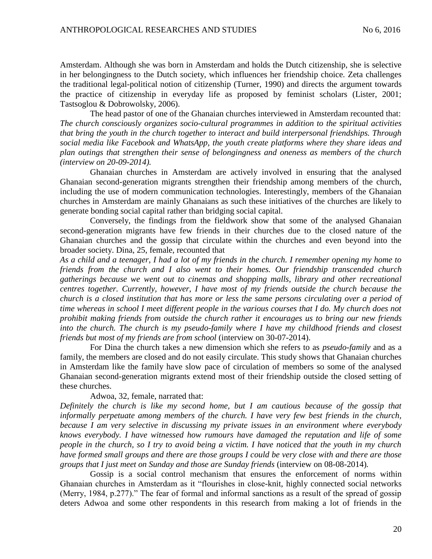Amsterdam. Although she was born in Amsterdam and holds the Dutch citizenship, she is selective in her belongingness to the Dutch society, which influences her friendship choice. Zeta challenges the traditional legal-political notion of citizenship (Turner, 1990) and directs the argument towards the practice of citizenship in everyday life as proposed by feminist scholars (Lister, 2001; Tastsoglou & Dobrowolsky, 2006).

The head pastor of one of the Ghanaian churches interviewed in Amsterdam recounted that: *The church consciously organizes socio-cultural programmes in addition to the spiritual activities that bring the youth in the church together to interact and build interpersonal friendships. Through social media like Facebook and WhatsApp, the youth create platforms where they share ideas and plan outings that strengthen their sense of belongingness and oneness as members of the church (interview on 20-09-2014).*

Ghanaian churches in Amsterdam are actively involved in ensuring that the analysed Ghanaian second-generation migrants strengthen their friendship among members of the church, including the use of modern communication technologies. Interestingly, members of the Ghanaian churches in Amsterdam are mainly Ghanaians as such these initiatives of the churches are likely to generate bonding social capital rather than bridging social capital.

Conversely, the findings from the fieldwork show that some of the analysed Ghanaian second-generation migrants have few friends in their churches due to the closed nature of the Ghanaian churches and the gossip that circulate within the churches and even beyond into the broader society. Dina, 25, female, recounted that

*As a child and a teenager, I had a lot of my friends in the church. I remember opening my home to friends from the church and I also went to their homes. Our friendship transcended church gatherings because we went out to cinemas and shopping malls, library and other recreational centres together. Currently, however, I have most of my friends outside the church because the church is a closed institution that has more or less the same persons circulating over a period of time whereas in school I meet different people in the various courses that I do. My church does not prohibit making friends from outside the church rather it encourages us to bring our new friends into the church. The church is my pseudo-family where I have my childhood friends and closest friends but most of my friends are from school* (interview on 30-07-2014).

For Dina the church takes a new dimension which she refers to as *pseudo-family* and as a family, the members are closed and do not easily circulate. This study shows that Ghanaian churches in Amsterdam like the family have slow pace of circulation of members so some of the analysed Ghanaian second-generation migrants extend most of their friendship outside the closed setting of these churches.

#### Adwoa, 32, female, narrated that:

*Definitely the church is like my second home, but I am cautious because of the gossip that informally perpetuate among members of the church. I have very few best friends in the church, because I am very selective in discussing my private issues in an environment where everybody knows everybody. I have witnessed how rumours have damaged the reputation and life of some people in the church, so I try to avoid being a victim. I have noticed that the youth in my church have formed small groups and there are those groups I could be very close with and there are those groups that I just meet on Sunday and those are Sunday friends* (interview on 08-08-2014)*.* 

Gossip is a social control mechanism that ensures the enforcement of norms within Ghanaian churches in Amsterdam as it "flourishes in close-knit, highly connected social networks (Merry, 1984, p.277)." The fear of formal and informal sanctions as a result of the spread of gossip deters Adwoa and some other respondents in this research from making a lot of friends in the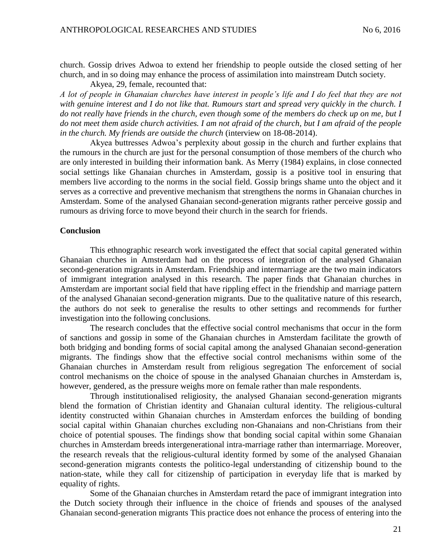church. Gossip drives Adwoa to extend her friendship to people outside the closed setting of her church, and in so doing may enhance the process of assimilation into mainstream Dutch society.

Akyea, 29, female, recounted that: *A lot of people in Ghanaian churches have interest in people's life and I do feel that they are not with genuine interest and I do not like that. Rumours start and spread very quickly in the church. I do not really have friends in the church, even though some of the members do check up on me, but I do not meet them aside church activities. I am not afraid of the church, but I am afraid of the people in the church. My friends are outside the church* (interview on 18-08-2014).

Akyea buttresses Adwoa's perplexity about gossip in the church and further explains that the rumours in the church are just for the personal consumption of those members of the church who are only interested in building their information bank. As Merry (1984) explains, in close connected social settings like Ghanaian churches in Amsterdam, gossip is a positive tool in ensuring that members live according to the norms in the social field. Gossip brings shame unto the object and it serves as a corrective and preventive mechanism that strengthens the norms in Ghanaian churches in Amsterdam. Some of the analysed Ghanaian second-generation migrants rather perceive gossip and rumours as driving force to move beyond their church in the search for friends.

#### **Conclusion**

This ethnographic research work investigated the effect that social capital generated within Ghanaian churches in Amsterdam had on the process of integration of the analysed Ghanaian second-generation migrants in Amsterdam. Friendship and intermarriage are the two main indicators of immigrant integration analysed in this research. The paper finds that Ghanaian churches in Amsterdam are important social field that have rippling effect in the friendship and marriage pattern of the analysed Ghanaian second-generation migrants. Due to the qualitative nature of this research, the authors do not seek to generalise the results to other settings and recommends for further investigation into the following conclusions.

The research concludes that the effective social control mechanisms that occur in the form of sanctions and gossip in some of the Ghanaian churches in Amsterdam facilitate the growth of both bridging and bonding forms of social capital among the analysed Ghanaian second-generation migrants. The findings show that the effective social control mechanisms within some of the Ghanaian churches in Amsterdam result from religious segregation The enforcement of social control mechanisms on the choice of spouse in the analysed Ghanaian churches in Amsterdam is, however, gendered, as the pressure weighs more on female rather than male respondents.

Through institutionalised religiosity, the analysed Ghanaian second-generation migrants blend the formation of Christian identity and Ghanaian cultural identity. The religious-cultural identity constructed within Ghanaian churches in Amsterdam enforces the building of bonding social capital within Ghanaian churches excluding non-Ghanaians and non-Christians from their choice of potential spouses. The findings show that bonding social capital within some Ghanaian churches in Amsterdam breeds intergenerational intra-marriage rather than intermarriage. Moreover, the research reveals that the religious-cultural identity formed by some of the analysed Ghanaian second-generation migrants contests the politico-legal understanding of citizenship bound to the nation-state, while they call for citizenship of participation in everyday life that is marked by equality of rights.

Some of the Ghanaian churches in Amsterdam retard the pace of immigrant integration into the Dutch society through their influence in the choice of friends and spouses of the analysed Ghanaian second-generation migrants This practice does not enhance the process of entering into the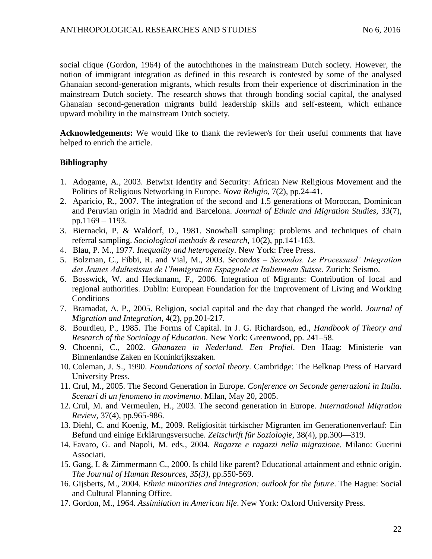social clique (Gordon, 1964) of the autochthones in the mainstream Dutch society. However, the notion of immigrant integration as defined in this research is contested by some of the analysed Ghanaian second-generation migrants, which results from their experience of discrimination in the mainstream Dutch society. The research shows that through bonding social capital, the analysed Ghanaian second-generation migrants build leadership skills and self-esteem, which enhance upward mobility in the mainstream Dutch society.

**Acknowledgements:** We would like to thank the reviewer/s for their useful comments that have helped to enrich the article.

### **Bibliography**

- 1. Adogame, A., 2003. Betwixt Identity and Security: African New Religious Movement and the Politics of Religious Networking in Europe. *Nova Religio,* 7(2), pp.24-41.
- 2. Aparicio, R., 2007. The integration of the second and 1.5 generations of Moroccan, Dominican and Peruvian origin in Madrid and Barcelona. *Journal of Ethnic and Migration Studies,* 33(7), pp.1169 – 1193.
- 3. Biernacki, P. & Waldorf, D., 1981. Snowball sampling: problems and techniques of chain referral sampling. *Sociological methods & research*, 10(2), pp.141-163.
- 4. Blau, P. M., 1977. *Inequality and heterogeneity*. New York: Free Press.
- 5. Bolzman, C., Fibbi, R. and Vial, M., 2003. *Secondas – Secondos. Le Processusd' Integration des Jeunes Adultesissus de l'Immigration Espagnole et Italienneen Suisse*. Zurich: Seismo.
- 6. Bosswick, W. and Heckmann, F., 2006. Integration of Migrants: Contribution of local and regional authorities. Dublin: European Foundation for the Improvement of Living and Working **Conditions**
- 7. Bramadat, A. P., 2005. Religion, social capital and the day that changed the world. *Journal of Migration and Integration,* 4(2), pp.201-217.
- 8. Bourdieu, P., 1985. The Forms of Capital. In J. G. Richardson, ed., *Handbook of Theory and Research of the Sociology of Education*. New York: Greenwood, pp. 241–58.
- 9. Choenni, C., 2002. *Ghanazen in Nederland. Een Profiel*. Den Haag: Ministerie van Binnenlandse Zaken en Koninkrijkszaken.
- 10. Coleman, J. S., 1990. *Foundations of social theory*. Cambridge: The Belknap Press of Harvard University Press.
- 11. Crul, M., 2005. The Second Generation in Europe. *Conference on Seconde generazioni in Italia. Scenari di un fenomeno in movimento*. Milan, May 20, 2005.
- 12. Crul, M. and Vermeulen, H., 2003. The second generation in Europe. *International Migration Review,* 37(4), pp.965-986.
- 13. Diehl, C. and Koenig, M., 2009. Religiosität türkischer Migranten im Generationenverlauf: Ein Befund und einige Erklärungsversuche. *Zeitschrift für Soziologie,* 38(4), pp.300—319.
- 14. Favaro, G. and Napoli, M. eds., 2004. *Ragazze e ragazzi nella migrazione*. Milano: Guerini Associati.
- 15. Gang, I. & Zimmermann C., 2000. Is child like parent? Educational attainment and ethnic origin. *The Journal of Human Resources, 35(3)*, pp.550-569.
- 16. Gijsberts, M., 2004. *Ethnic minorities and integration: outlook for the future*. The Hague: Social and Cultural Planning Office.
- 17. Gordon, M., 1964. *Assimilation in American life*. New York: Oxford University Press.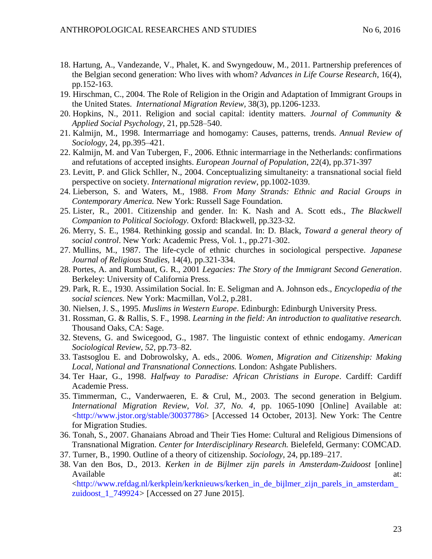- 18. Hartung, A., Vandezande, V., Phalet, K. and Swyngedouw, M., 2011. Partnership preferences of the Belgian second generation: Who lives with whom? *Advances in Life Course Research*, 16(4), pp.152-163.
- 19. Hirschman, C., 2004. The Role of Religion in the Origin and Adaptation of Immigrant Groups in the United States. *International Migration Review,* 38(3), pp.1206-1233.
- 20. Hopkins, N., 2011. Religion and social capital: identity matters. *Journal of Community & Applied Social Psychology,* 21, pp.528–540.
- 21. Kalmijn, M., 1998. Intermarriage and homogamy: Causes, patterns, trends. *Annual Review of Sociology*, 24, pp.395–421.
- 22. Kalmijn, M. and Van Tubergen, F., 2006. Ethnic intermarriage in the Netherlands: confirmations and refutations of accepted insights. *European Journal of Population*, 22(4), pp.371-397
- 23. Levitt, P. and Glick Schller, N., 2004. Conceptualizing simultaneity: a transnational social field perspective on society. *International migration review*, pp.1002-1039.
- 24. Lieberson, S. and Waters, M., 1988. *From Many Strands: Ethnic and Racial Groups in Contemporary America.* New York: Russell Sage Foundation.
- 25. Lister, R., 2001. Citizenship and gender. In: K. Nash and A. Scott eds., *The Blackwell Companion to Political Sociology.* Oxford: Blackwell, pp.323-32.
- 26. Merry, S. E., 1984. Rethinking gossip and scandal. In: D. Black, *Toward a general theory of social control*. New York: Academic Press, Vol. 1., pp.271-302.
- 27. Mullins, M., 1987. The life-cycle of ethnic churches in sociological perspective. *Japanese Journal of Religious Studies,* 14(4), pp.321-334.
- 28. Portes, A. and Rumbaut, G. R., 2001 *Legacies: The Story of the Immigrant Second Generation*. Berkeley: University of California Press.
- 29. Park, R. E., 1930. Assimilation Social. In: E. Seligman and A. Johnson eds., *Encyclopedia of the social sciences.* New York: Macmillan, Vol.2, p.281.
- 30. Nielsen, J. S., 1995. *Muslims in Western Europe*. Edinburgh: Edinburgh University Press.
- 31. Rossman, G. & Rallis, S. F., 1998. *Learning in the field: An introduction to qualitative research.* Thousand Oaks, CA: Sage.
- 32. Stevens, G. and Swicegood, G., 1987. The linguistic context of ethnic endogamy. *American Sociological Review, 52*, pp.73–82.
- 33. Tastsoglou E. and Dobrowolsky, A. eds., 2006. *Women, Migration and Citizenship: Making Local, National and Transnational Connections.* London: Ashgate Publishers.
- 34. Ter Haar, G., 1998. *Halfway to Paradise: African Christians in Europe*. Cardiff: Cardiff Academie Press.
- 35. Timmerman, C., Vanderwaeren, E. & Crul, M., 2003. The second generation in Belgium. *International Migration Review, Vol. 37, No. 4*, pp. 1065-1090 [Online] Available at: [<http://www.jstor.org/stable/30037786>](http://www.jstor.org/stable/30037786) [Accessed 14 October, 2013]. New York: The Centre for Migration Studies.
- 36. Tonah, S., 2007. Ghanaians Abroad and Their Ties Home: Cultural and Religious Dimensions of Transnational Migration. *Center for Interdisciplinary Research.* Bielefeld, Germany: COMCAD.
- 37. Turner, B., 1990. Outline of a theory of citizenship. *Sociology*, 24, pp.189–217.
- 38. Van den Bos, D., 2013. *Kerken in de Bijlmer zijn parels in Amsterdam-Zuidoost* [online] Available at:  $\alpha$ [<http://www.refdag.nl/kerkplein/kerknieuws/kerken\\_in\\_de\\_bijlmer\\_zijn\\_parels\\_in\\_amsterdam\\_](http://www.refdag.nl/kerkplein/kerknieuws/kerken_in_de_bijlmer_zijn_parels_in_amsterdam_zuidoost_1_749924)

[zuidoost\\_1\\_749924](http://www.refdag.nl/kerkplein/kerknieuws/kerken_in_de_bijlmer_zijn_parels_in_amsterdam_zuidoost_1_749924)*>* [Accessed on 27 June 2015].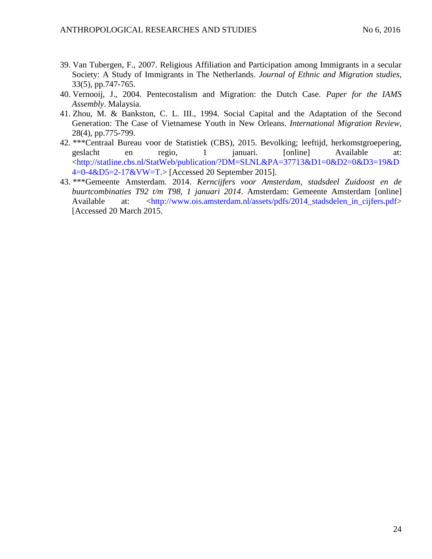- 39. Van Tubergen, F., 2007. Religious Affiliation and Participation among Immigrants in a secular Society: A Study of Immigrants in The Netherlands. *Journal of Ethnic and Migration studies,* 33(5), pp.747-765.
- 40. Vernooij, J., 2004. Pentecostalism and Migration: the Dutch Case. *Paper for the IAMS Assembly*. Malaysia.
- 41. Zhou, M. & Bankston, C. L. III., 1994. Social Capital and the Adaptation of the Second Generation: The Case of Vietnamese Youth in New Orleans. *International Migration Review,*  28(4), pp.775-799.
- 42. \*\*\*Centraal Bureau voor de Statistiek (CBS), 2015. Bevolking; leeftijd, herkomstgroepering, geslacht en regio, 1 januari. [online] Available at: [<http://statline.cbs.nl/StatWeb/publication/?DM=SLNL&PA=37713&D1=0&D2=0&D3=19&D](http://statline.cbs.nl/StatWeb/publication/?DM=SLNL&PA=37713&D1=0&D2=0&D3=19&D4=0-4&D5=2-17&VW=T) [4=0-4&D5=2-17&VW=T.](http://statline.cbs.nl/StatWeb/publication/?DM=SLNL&PA=37713&D1=0&D2=0&D3=19&D4=0-4&D5=2-17&VW=T)> [Accessed 20 September 2015].
- 43. \*\*\*Gemeente Amsterdam. 2014. *Kerncijfers voor Amsterdam, stadsdeel Zuidoost en de buurtcombinaties T92 t/m T98, 1 januari 2014*. Amsterdam: Gemeente Amsterdam [online] Available at: [<http://www.ois.amsterdam.nl/assets/pdfs/2014\\_stadsdelen\\_in\\_cijfers.pdf>](http://www.ois.amsterdam.nl/assets/pdfs/2014_stadsdelen_in_cijfers.pdf) [Accessed 20 March 2015.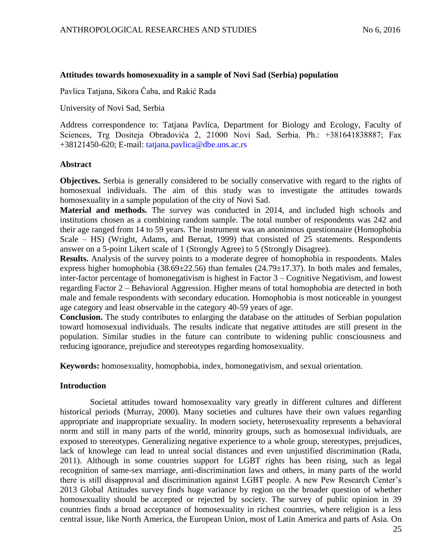### **Attitudes towards homosexuality in a sample of Novi Sad (Serbia) population**

Pavlica Tatjana, Sikora Čaba, and Rakić Rada

University of Novi Sad, Serbia

Address correspondence to: Tatjana Pavlica, Department for Biology and Ecology, Faculty of Sciences, Trg Dositeja Obradovića 2, 21000 Novi Sad, Serbia. Ph.: +381641838887; Fax +38121450-620; E-mail: [tatjana.pavlica@dbe.uns.ac.rs](mailto:tatjana.pavlica@dbe.uns.ac.rs)

### **Abstract**

**Objectives.** Serbia is generally considered to be socially conservative with regard to the rights of homosexual individuals. The aim of this study was to investigate the attitudes towards homosexuality in a sample population of the city of Novi Sad.

**Material and methods.** The survey was conducted in 2014, and included high schools and institutions chosen as a combining random sample. The total number of respondents was 242 and their age ranged from 14 to 59 years. The instrument was an anonimous questionnaire (Homophobia Scale – HS) (Wright, Adams, and Bernat, 1999) that consisted of 25 statements. Respondents answer on a 5-point Likert scale of 1 (Strongly Agree) to 5 (Strongly Disagree).

**Results.** Analysis of the survey points to a moderate degree of homophobia in respondents. Males express higher homophobia ( $38.69 \pm 22.56$ ) than females ( $24.79 \pm 17.37$ ). In both males and females, inter-factor percentage of homonegativism is highest in Factor 3 – Cognitive Negativism, and lowest regarding Factor 2 – Behavioral Aggression. Higher means of total homophobia are detected in both male and female respondents with secondary education. Homophobia is most noticeable in youngest age category and least observable in the category 40-59 years of age.

**Conclusion.** The study contributes to enlarging the database on the attitudes of Serbian population toward homosexual individuals. The results indicate that negative attitudes are still present in the population. Similar studies in the future can contribute to widening public consciousness and reducing ignorance, prejudice and stereotypes regarding homosexuality.

**Keywords:** homosexuality, homophobia, index, homonegativism, and sexual orientation.

# **Introduction**

Societal attitudes toward homosexuality vary greatly in different cultures and different historical periods (Murray, 2000). Many societies and cultures have their own values regarding appropriate and inappropriate sexuality. In modern society, heterosexuality represents a behavioral norm and still in many parts of the world, minority groups, such as homosexual individuals, are exposed to stereotypes. Generalizing negative experience to a whole group, stereotypes, prejudices, lack of knowlege can lead to unreal social distances and even unjustified discrimination (Rada, 2011). Although in some countries support for LGBT rights has been rising, such as legal recognition of same-sex marriage, anti-discrimination laws and others, in many parts of the world there is still disapproval and discrimination against LGBT people. A new Pew Research Center's 2013 Global Attitudes survey finds huge variance by region on the broader question of whether homosexuality should be accepted or rejected by society. The survey of public opinion in 39 countries finds a broad acceptance of homosexuality in richest countries, where religion is a less central issue, like North America, the European Union, most of Latin America and parts of Asia. On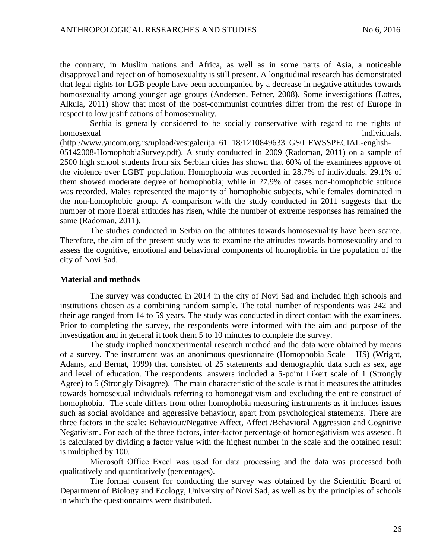the contrary, in Muslim nations and Africa, as well as in some parts of Asia, a noticeable disapproval and rejection of homosexuality is still present. A longitudinal research has demonstrated that legal rights for LGB people have been accompanied by a decrease in negative attitudes towards homosexuality among younger age groups (Andersen, Fetner, 2008). Some investigations (Lottes, Alkula, 2011) show that most of the post-communist countries differ from the rest of Europe in respect to low justifications of homosexuality.

Serbia is generally considered to be socially conservative with regard to the rights of homosexual individuals. The contract of the contract of the contract of the contract of the contract of the contract of the contract of the contract of the contract of the contract of the contract of the contract of the co

(http://www.yucom.org.rs/upload/vestgalerija\_61\_18/1210849633\_GS0\_EWSSPECIAL-english-05142008-HomophobiaSurvey.pdf). A study conducted in 2009 (Radoman, 2011) on a sample of 2500 high school students from six Serbian cities has shown that 60% of the examinees approve of the violence over LGBT population. Homophobia was recorded in 28.7% of individuals, 29.1% of them showed moderate degree of homophobia; while in 27.9% of cases non-homophobic attitude was recorded. Males represented the majority of homophobic subjects, while females dominated in the non-homophobic group. A comparison with the study conducted in 2011 suggests that the number of more liberal attitudes has risen, while the number of extreme responses has remained the same (Radoman, 2011).

The studies conducted in Serbia on the attitutes towards homosexuality have been scarce. Therefore, the aim of the present study was to examine the attitudes towards homosexuality and to assess the cognitive, emotional and behavioral components of homophobia in the population of the city of Novi Sad.

#### **Material and methods**

The survey was conducted in 2014 in the city of Novi Sad and included high schools and institutions chosen as a combining random sample. The total number of respondents was 242 and their age ranged from 14 to 59 years. The study was conducted in direct contact with the examinees. Prior to completing the survey, the respondents were informed with the aim and purpose of the investigation and in general it took them 5 to 10 minutes to complete the survey.

The study implied nonexperimental research method and the data were obtained by means of a survey. The instrument was an anonimous questionnaire (Homophobia Scale – HS) (Wright, Adams, and Bernat, 1999) that consisted of 25 statements and demographic data such as sex, age and level of education. The respondents' answers included a 5-point Likert scale of 1 (Strongly Agree) to 5 (Strongly Disagree). The main characteristic of the scale is that it measures the attitudes towards homosexual individuals referring to homonegativism and excluding the entire construct of homophobia. The scale differs from other homophobia measuring instruments as it includes issues such as social avoidance and aggressive behaviour, apart from psychological statements. There are three factors in the scale: Behaviour/Negative Affect, Affect /Behavioral Aggression and Cognitive Negativism. For each of the three factors, inter-factor percentage of homonegativism was assesed. It is calculated by dividing a factor value with the highest number in the scale and the obtained result is multiplied by 100.

Мicrosoft Оffice Еxcel was used for data processing and the data was processed both qualitatively and quantitatively (percentages).

The formal consent for conducting the survey was obtained by the Scientific Board of Department of Biology and Ecology, University of Novi Sad, as well as by the principles of schools in which the questionnaires were distributed.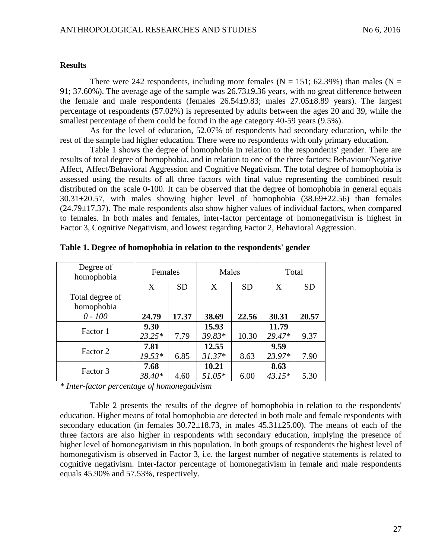### **Results**

There were 242 respondents, including more females ( $N = 151$ ; 62.39%) than males ( $N =$ 91; 37.60%). The average age of the sample was  $26.73\pm9.36$  years, with no great difference between the female and male respondents (females  $26.54\pm9.83$ ; males  $27.05\pm8.89$  years). The largest percentage of respondents (57.02%) is represented by adults between the ages 20 and 39, while the smallest percentage of them could be found in the age category 40-59 years (9.5%).

As for the level of education, 52.07% of respondents had secondary education, while the rest of the sample had higher education. There were no respondents with only primary education.

Table 1 shows the degree of homophobia in relation to the respondents' gender. There are results of total degree of homophobia, and in relation to one of the three factors: Behaviour/Negative Affect, Affect/Behavioral Aggression and Cognitive Negativism. The total degree of homophobia is assessed using the results of all three factors with final value representing the combined result distributed on the scale 0-100. It can be observed that the degree of homophobia in general equals  $30.31 \pm 20.57$ , with males showing higher level of homophobia  $(38.69 \pm 22.56)$  than females  $(24.79 \pm 17.37)$ . The male respondents also show higher values of individual factors, when compared to females. In both males and females, inter-factor percentage of homonegativism is highest in Factor 3, Cognitive Negativism, and lowest regarding Factor 2, Behavioral Aggression.

| Degree of<br>homophobia       | Females          |           | Males             |           | Total            |           |
|-------------------------------|------------------|-----------|-------------------|-----------|------------------|-----------|
|                               | X                | <b>SD</b> | X                 | <b>SD</b> | X                | <b>SD</b> |
| Total degree of<br>homophobia |                  |           |                   |           |                  |           |
| $0 - 100$                     | 24.79            | 17.37     | 38.69             | 22.56     | 30.31            | 20.57     |
| Factor 1                      | 9.30<br>$23.25*$ | 7.79      | 15.93<br>39.83*   | 10.30     | 11.79<br>29.47*  | 9.37      |
| Factor 2                      | 7.81<br>$19.53*$ | 6.85      | 12.55<br>$31.37*$ | 8.63      | 9.59<br>23.97*   | 7.90      |
| Factor 3                      | 7.68<br>38.40*   | 4.60      | 10.21<br>$51.05*$ | 6.00      | 8.63<br>$43.15*$ | 5.30      |

**Table 1. Degree of homophobia in relation to the respondents' gender**

*\* Inter-factor percentage of homonegativism*

Table 2 presents the results of the degree of homophobia in relation to the respondents' education. Higher means of total homophobia are detected in both male and female respondents with secondary education (in females  $30.72 \pm 18.73$ , in males  $45.31 \pm 25.00$ ). The means of each of the three factors are also higher in respondents with secondary education, implying the presence of higher level of homonegativism in this population. In both groups of respondents the highest level of homonegativism is observed in Factor 3, i.e. the largest number of negative statements is related to cognitive negativism. Inter-factor percentage of homonegativism in female and male respondents equals 45.90% and 57.53%, respectively.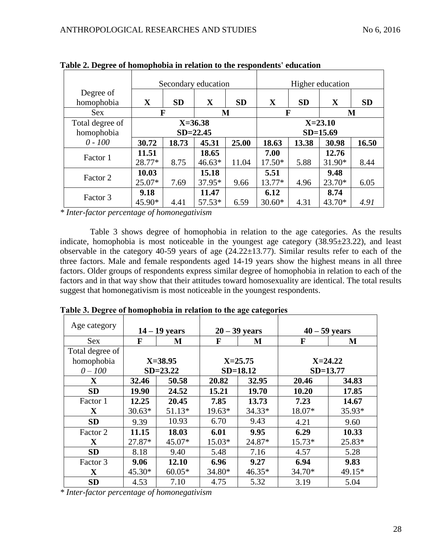| $\mathbf{\Omega}$             |                 |                             | Secondary education |           | Higher education |                             |                 |           |
|-------------------------------|-----------------|-----------------------------|---------------------|-----------|------------------|-----------------------------|-----------------|-----------|
| Degree of<br>homophobia       | $\mathbf X$     | <b>SD</b>                   | $\mathbf X$         | <b>SD</b> | X                | <b>SD</b>                   | $\mathbf X$     | <b>SD</b> |
| <b>Sex</b>                    |                 | F<br>M                      |                     |           |                  | F<br>M                      |                 |           |
| Total degree of<br>homophobia |                 | $X = 36.38$<br>$SD = 22.45$ |                     |           |                  | $X = 23.10$<br>$SD = 15.69$ |                 |           |
| $0 - 100$                     | 30.72           | 18.73                       | 45.31               | 25.00     | 18.63            | 13.38                       | 30.98           | 16.50     |
| Factor 1                      | 11.51<br>28.77* | 8.75                        | 18.65<br>$46.63*$   | 11.04     | 7.00<br>$17.50*$ | 5.88                        | 12.76<br>31.90* | 8.44      |
| Factor 2                      | 10.03<br>25.07* | 7.69                        | 15.18<br>37.95*     | 9.66      | 5.51<br>13.77*   | 4.96                        | 9.48<br>23.70*  | 6.05      |
| Factor 3                      | 9.18<br>45.90*  | 4.41                        | 11.47<br>57.53*     | 6.59      | 6.12<br>$30.60*$ | 4.31                        | 8.74<br>43.70*  | 4.91      |

**Table 2. Degree of homophobia in relation to the respondents' education** 

*\* Inter-factor percentage of homonegativism*

Table 3 shows degree of homophobia in relation to the age categories. As the results indicate, homophobia is most noticeable in the youngest age category  $(38.95\pm 23.22)$ , and least observable in the category 40-59 years of age (24.22±13.77). Similar results refer to each of the three factors. Male and female respondents aged 14-19 years show the highest means in all three factors. Older groups of respondents express similar degree of homophobia in relation to each of the factors and in that way show that their attitudes toward homosexuality are identical. The total results suggest that homonegativism is most noticeable in the youngest respondents.

| Age category    | $14 - 19$ years |             | $20 - 39$ years |              | $40 - 59$ years |          |
|-----------------|-----------------|-------------|-----------------|--------------|-----------------|----------|
| <b>Sex</b>      | F               | M           | F               | M            |                 | M        |
| Total degree of |                 |             |                 |              |                 |          |
| homophobia      |                 | $X = 38.95$ |                 | $X = 25.75$  | $X = 24.22$     |          |
| $0 - 100$       | $SD = 23.22$    |             |                 | $SD = 18.12$ | $SD = 13.77$    |          |
| $\mathbf{X}$    | 32.46           | 50.58       | 20.82           | 32.95        | 20.46           | 34.83    |
| <b>SD</b>       | 19.90           | 24.52       | 15.21           | 19.70        | 10.20           | 17.85    |
| Factor 1        | 12.25           | 20.45       | 7.85            | 13.73        | 7.23            | 14.67    |
| $\mathbf X$     | $30.63*$        | $51.13*$    | $19.63*$        | $34.33*$     | 18.07*          | 35.93*   |
| <b>SD</b>       | 9.39            | 10.93       | 6.70            | 9.43         | 4.21            | 9.60     |
| Factor 2        | 11.15           | 18.03       | 6.01            | 9.95         | 6.29            | 10.33    |
| $\mathbf X$     | 27.87*          | 45.07*      | $15.03*$        | 24.87*       | $15.73*$        | 25.83*   |
| <b>SD</b>       | 8.18            | 9.40        | 5.48            | 7.16         | 4.57            | 5.28     |
| Factor 3        | 9.06            | 12.10       | 6.96            | 9.27         | 6.94            | 9.83     |
| $\mathbf{X}$    | $45.30*$        | $60.05*$    | 34.80*          | $46.35*$     | $34.70*$        | $49.15*$ |
| <b>SD</b>       | 4.53            | 7.10        | 4.75            | 5.32         | 3.19            | 5.04     |

**Таble 3. Degree of homophobia in relation to the age categories**

*\* Inter-factor percentage of homonegativism*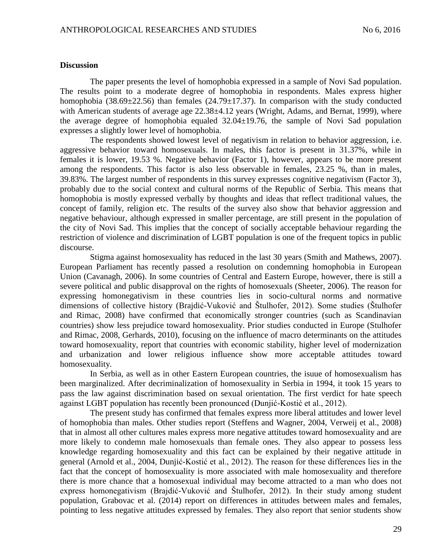#### **Discussion**

The paper presents the level of homophobia expressed in a sample of Novi Sad population. The results point to a moderate degree of homophobia in respondents. Males express higher homophobia (38.69 $\pm$ 22.56) than females (24.79 $\pm$ 17.37). In comparison with the study conducted with American students of average age 22.38±4.12 years (Wright, Adams, and Bernat, 1999), where the average degree of homophobia equaled  $32.04 \pm 19.76$ , the sample of Novi Sad population expresses a slightly lower level of homophobia.

The respondents showed lowest level of negativism in relation to behavior aggression, i.e. aggressive behavior toward homosexuals. In males, this factor is present in 31.37%, while in females it is lower, 19.53 %. Negative behavior (Factor 1), however, appears to be more present among the respondents. This factor is also less observable in females, 23.25 %, than in males, 39.83%. The largest number of respondents in this survey expresses cognitive negativism (Factor 3), probably due to the social context and cultural norms of the Republic of Serbia. This means that homophobia is mostly expressed verbally by thoughts and ideas that reflect traditional values, the concept of family, religion etc. The results of the survey also show that behavior aggression and negative behaviour, although expressed in smaller percentage, are still present in the population of the city of Novi Sad. This implies that the concept of socially acceptable behaviour regarding the restriction of violence and discrimination of LGBT population is one of the frequent topics in public discourse.

Stigma against homosexuality has reduced in the last 30 years (Smith and Mathews, 2007). European Parliament has recently passed a resolution on condemning homophobia in European Union (Cavanagh, 2006). In some countries of Central and Eastern Europe, however, there is still a severe political and public disapproval on the rights of homosexuals (Sheeter, 2006). The reason for expressing homonegativism in these countries lies in socio-cultural norms and normative dimensions of collective history (Brajdić-Vuković and Štulhofer, 2012). Some studies (Štulhofer and Rimac, 2008) have confirmed that economically stronger countries (such as Scandinavian countries) show less prejudice toward homosexuality. Prior studies conducted in Europe (Stulhofer and Rimac, 2008, Gerhards, 2010), focusing on the influence of macro determinants on the attitudes toward homosexuality, report that countries with economic stability, higher level of modernization and urbanization and lower religious influence show more acceptable attitudes toward homosexuality.

In Serbia, as well as in other Eastern European countries, the isuue of homosexualism has been marginalized. After decriminalization of homosexuality in Serbia in 1994, it took 15 years to pass the law against discrimination based on sexual orientation. The first verdict for hate speech against LGBT population has recently been pronounced (Dunjić-Kostić et al., 2012).

The present study has confirmed that females express more liberal attitudes and lower level of homophobia than males. Other studies report (Steffens and Wagner, 2004, Verweij et al., 2008) that in almost all other cultures males express more negative attitudes toward homosexuality and are more likely to condemn male homosexuals than female ones. They also appear to possess less knowledge regarding homosexuality and this fact can be explained by their negative attitude in general (Arnold et al., 2004, Dunjić-Kostić et al., 2012). The reason for these differences lies in the fact that the concept of homosexuality is more associated with male homosexuality and therefore there is more chance that a homosexual individual may become attracted to a man who does not express homonegativism (Brajdić-Vuković and Štulhofer, 2012). In their study among student population, Grabovac et al. (2014) report on differences in attitudes between males and females, pointing to less negative attitudes expressed by females. They also report that senior students show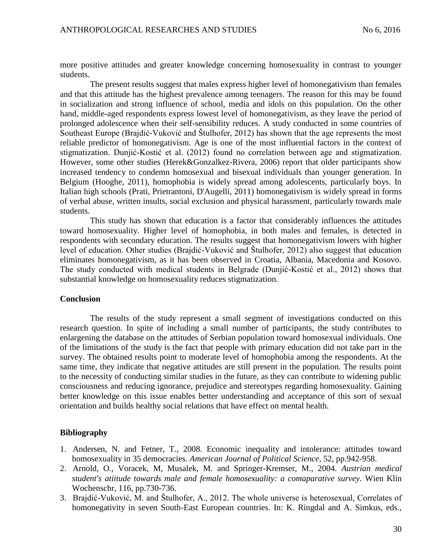more positive attitudes and greater knowledge concerning homosexuality in contrast to younger students.

The present results suggest that males express higher level of homonegativism than females and that this attitude has the highest prevalence among teenagers. The reason for this may be found in socialization and strong influence of school, media and idols on this population. On the other hand, middle-aged respondents express lowest level of homonegativism, as they leave the period of prolonged adolescence when their self-sensibility reduces. A study conducted in some countries of Southeast Europe (Brajdić-Vuković and Štulhofer, 2012) has shown that the age represents the most reliable predictor of homonegativism. Age is one of the most influential factors in the context of stigmatization. Dunjić-Kostić et al. (2012) found no correlation between age and stigmatization. However, some other studies (Herek&Gonzalkez-Rivera, 2006) report that older participants show increased tendency to condemn homosexual and bisexual individuals than younger generation. In Belgium (Hooghe, 2011), homophobia is widely spread among adolescents, particularly boys. In Italian high schools (Prati, Prietrantoni, D'Augelli, 2011) homonegativism is widely spread in forms of verbal abuse, written insults, social exclusion and physical harassment, particularly towards male students.

This study has shown that education is a factor that considerably influences the attitudes toward homosexuality. Higher level of homophobia, in both males and females, is detected in respondents with secondary education. The results suggest that homonegativism lowers with higher level of education. Other studies (Brajdić-Vuković and Štulhofer, 2012) also suggest that education eliminates homonegativism, as it has been observed in Croatia, Albania, Macedonia and Kosovo. The study conducted with medical students in Belgrade (Dunjić-Kostić et al., 2012) shows that substantial knowledge on homosexuality reduces stigmatization.

### **Conclusion**

The results of the study represent a small segment of investigations conducted on this research question. In spite of including a small number of participants, the study contributes to enlargening the database on the attitudes of Serbian population toward homosexual individuals. One of the limitations of the study is the fact that people with primary education did not take part in the survey. The obtained results point to moderate level of homophobia among the respondents. At the same time, they indicate that negative attitudes are still present in the population. The results point to the necessity of conducting similar studies in the future, as they can contribute to widening public consciousness and reducing ignorance, prejudice and stereotypes regarding homosexuality. Gaining better knowledge on this issue enables better understanding and acceptance of this sort of sexual orientation and builds healthy social relations that have effect on mental health.

### **Bibliography**

- 1. Andersen, N. and Fetner, T., 2008. Economic inequality and intolerance: attitudes toward homosexuality in 35 democracies. *American Journal of Political Science*, 52, pp.942-958.
- 2. Arnold, O., Voracek, M, Musalek, M. and Springer-Kremser, M., 2004. *Austrian medical student's atiitude towards male and female homosexuality: a comaparative survey*. Wien Klin Wochenschr, 116, pp.730-736.
- 3. Brajdić-Vuković, M. and Štulhofer, A., 2012. The whole universe is heterosexual, Correlates of homonegativity in seven South-East European countries. In: K. Ringdal and A. Simkus, eds.,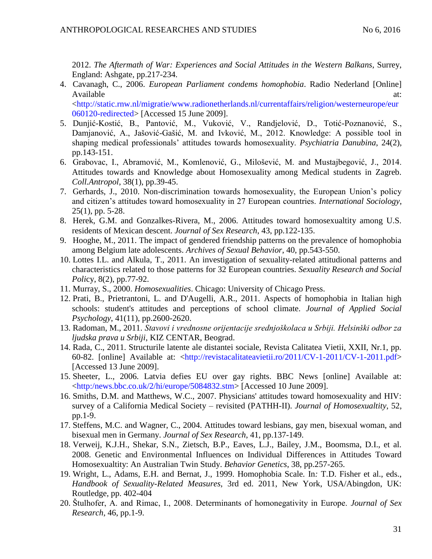2012. *The Aftermath of War: Experiences and Social Attitudes in the Western Balkans*, Surrey, England: Ashgate, pp.217-234.

- 4. Cavanagh, C., 2006. *European Parliament condems homophobia*. Radio Nederland [Online] Available at:  $\alpha$ [<http://static.rnw.nl/migratie/www.radionetherlands.nl/currentaffairs/religion/westerneurope/eur](http://static.rnw.nl/migratie/www.radionetherlands.nl/currentaffairs/religion/westerneurope/eur060120-redirected) [060120-redirected>](http://static.rnw.nl/migratie/www.radionetherlands.nl/currentaffairs/religion/westerneurope/eur060120-redirected) [Accessed 15 June 2009].
- 5. Dunjić-Kostić, B., Pantović, M., Vuković, V., Randjelović, D., Totić-Poznanović, S., Damjanović, A., Jašović-Gašić, M. and Ivković, M., 2012. Knowledge: A possible tool in shaping medical professionals' attitudes towards homosexuality. *Psychiatria Danubina*, 24(2), pp.143-151.
- 6. Grabovac, I., Abramović, M., Komlenović, G., Milošević, M. and Mustajbegović, J., 2014. Attitudes towards and Knowledge about Homosexuality among Medical students in Zagreb. *Coll.Antropol*, 38(1), pp.39-45.
- 7. Gerhards, J., 2010. Non-discrimination towards homosexuality, the European Union's policy and citizen's attitudes toward homosexuality in 27 European countries. *International Sociology*, 25(1), pp. 5-28.
- 8. Herek, G.M. and Gonzalkes-Rivera, M., 2006. Attitudes toward homosexualtity among U.S. residents of Mexican descent. *Journal of Sex Research*, 43, pp.122-135.
- 9. Hooghe, M., 2011. The impact of gendered friendship patterns on the prevalence of homophobia among Belgium late adolescents. *Archives of Sexual Behavior*, 40, pp.543-550.
- 10. Lottes I.L. and Alkula, T., 2011. An investigation of sexuality-related attitudional patterns and characteristics related to those patterns for 32 European countries. *Sexuality Research and Social Poli*cy, 8(2), pp.77-92.
- 11. Murray, S., 2000. *Homosexualities*. Chicago: University of Chicago Press.
- 12. Prati, B., Prietrantoni, L. and D'Augelli, A.R., 2011. Aspects of homophobia in Italian high schools: student's attitudes and perceptions of school climate. *Journal of Applied Social Psychology*, 41(11), pp.2600-2620.
- 13. Radoman, M., 2011. *Stavovi i vrednosne orijentacije srednjoškolaca u Srbiji. Helsinški odbor za ljudska prava u Srbiji*, KIZ CENTAR, Beograd.
- 14. Rada, C., 2011. Structurile latente ale distantei sociale, Revista Calitatea Vietii, XXII, Nr.1, pp. 60-82. [online] Available at: [<http://revistacalitateavietii.ro/2011/CV-1-2011/CV-1-2011.pdf>](http://revistacalitateavietii.ro/2011/CV-1-2011/CV-1-2011.pdf) [Accessed 13 June 2009].
- 15. Sheeter, L., 2006. Latvia defies EU over gay rights. BBC News [online] Available at: [<http:/news.bbc.co.uk/2/hi/europe](http://news.bbc.co.uk/2/hi/europ)/5084832.stm> [Accessed 10 June 2009].
- 16. Smiths, D.M. and Matthews, W.C., 2007. Physicians' attitudes toward homosexuality and HIV: survey of a California Medical Society – revisited (PATHH-II). *Journal of Homosexualtity*, 52, pp.1-9.
- 17. Steffens, M.C. and Wagner, C., 2004. Attitudes toward lesbians, gay men, bisexual woman, and bisexual men in Germany. *Journal of Sex Research*, 41, pp.137-149.
- 18. Verweij, K.J.H., Shekar, S.N., Zietsch, B.P., Eaves, L.J., Bailey, J.M., Boomsma, D.I., et al. 2008. Genetic and Environmental Influences on Individual Differences in Attitudes Toward Homosexualtity: An Australian Twin Study. *Behavior Genetics*, 38, pp.257-265.
- 19. Wright, L., Adams, E.H. and Bernat, J., 1999. Homophobia Scale*.* In*:* T.D. Fisher et al., eds., *Handbook of Sexuality-Related Measures*, 3rd ed. 2011, New York, USA/Abingdon, UK: Routledge, pp. 402-404
- 20. Štulhofer, A. and Rimac, I., 2008. Determinants of homonegativity in Europe. *Journal of Sex Research*, 46, pp.1-9.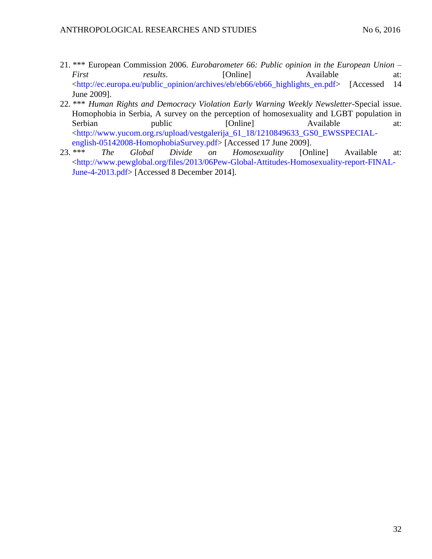- 21. \*\*\* European Commission 2006. *Eurobarometer 66: Public opinion in the European Union – First results*. [Online] Available at: [<http://ec.europa.eu/public\\_opinion/archives/eb/eb66/eb66\\_highlights\\_en.pdf>](http://ec.europa.eu/public_opinion/archives/eb/eb66/eb66_highlights_en.pdf) [Accessed 14 June 2009].
- 22. \*\*\* *Human Rights and Democracy Violation Early Warning Weekly Newsletter*-Special issue. Homophobia in Serbia, A survey on the perception of homosexuality and LGBT population in Serbian public [Online] Available at: [<http://www.yucom.org.rs/upload/vestgalerija\\_61\\_18/1210849633\\_GS0\\_EWSSPECIAL-](http://www.yucom.org.rs/upload/vestgalerija_61_18/1210849633_GS0_EWSSPECIAL-english-05142008-HomophobiaSurvey.pdf)
- [english-05142008-HomophobiaSurvey.pdf>](http://www.yucom.org.rs/upload/vestgalerija_61_18/1210849633_GS0_EWSSPECIAL-english-05142008-HomophobiaSurvey.pdf) [Accessed 17 June 2009].<br>23. \*\*\* The Global Divide on Homosexuality [On 23. \*\*\* *The Global Divide on Homosexuality* [Online] Available at: [<http://www.pewglobal.org/files/2013/06Pew-Global-Attitudes-Homosexuality-report-FINAL-](http://www.pewglobal.org/files/2013/06Pew-Global-Attitudes-Homosexuality-report-FINAL-June-4-2013.pdf)[June-4-2013.pdf>](http://www.pewglobal.org/files/2013/06Pew-Global-Attitudes-Homosexuality-report-FINAL-June-4-2013.pdf) [Accessed 8 December 2014].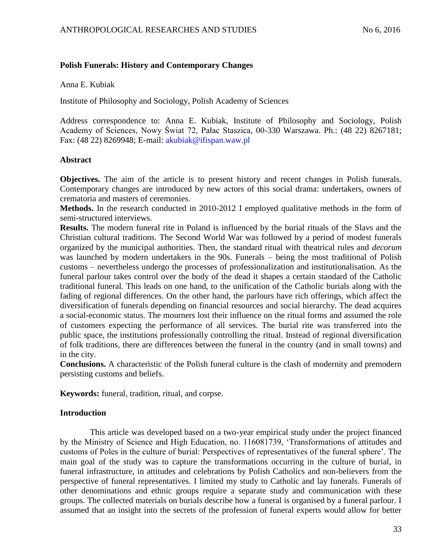### **Polish Funerals: History and Contemporary Changes**

Anna E. Kubiak

Institute of Philosophy and Sociology, Polish Academy of Sciences

Address correspondence to: Anna E. Kubiak, Institute of Philosophy and Sociology, Polish Academy of Sciences, Nowy Świat 72, Pałac Staszica, 00-330 Warszawa. Ph.: (48 22) 8267181; Fax: (48 22) 8269948; E-mail: [akubiak@ifispan.waw.pl](mailto:akubiak@ifispan.waw.pl)

### **Abstract**

**Objectives.** The aim of the article is to present history and recent changes in Polish funerals. Contemporary changes are introduced by new actors of this social drama: undertakers, owners of crematoria and masters of ceremonies.

**Methods.** In the research conducted in 2010-2012 I employed qualitative methods in the form of semi-structured interviews.

**Results.** The modern funeral rite in Poland is influenced by the burial rituals of the Slavs and the Christian cultural traditions. The Second World War was followed by a period of modest funerals organized by the municipal authorities. Then, the standard ritual with theatrical rules and *decorum*  was launched by modern undertakers in the 90s. Funerals – being the most traditional of Polish customs – nevertheless undergo the processes of professionalization and institutionalisation. As the funeral parlour takes control over the body of the dead it shapes a certain standard of the Catholic traditional funeral. This leads on one hand, to the unification of the Catholic burials along with the fading of regional differences. On the other hand, the parlours have rich offerings, which affect the diversification of funerals depending on financial resources and social hierarchy. The dead acquires a social-economic status. The mourners lost their influence on the ritual forms and assumed the role of customers expecting the performance of all services. The burial rite was transferred into the public space, the institutions professionally controlling the ritual. Instead of regional diversification of folk traditions, there are differences between the funeral in the country (and in small towns) and in the city.

**Conclusions.** A characteristic of the Polish funeral culture is the clash of modernity and premodern persisting customs and beliefs.

**Keywords:** funeral, tradition, ritual, and corpse.

### **Introduction**

This article was developed based on a two-year empirical study under the project financed by the Ministry of Science and High Education, no. 116081739, 'Transformations of attitudes and customs of Poles in the culture of burial: Perspectives of representatives of the funeral sphere'. The main goal of the study was to capture the transformations occurring in the culture of burial, in funeral infrastructure, in attitudes and celebrations by Polish Catholics and non-believers from the perspective of funeral representatives. I limited my study to Catholic and lay funerals. Funerals of other denominations and ethnic groups require a separate study and communication with these groups. The collected materials on burials describe how a funeral is organised by a funeral parlour. I assumed that an insight into the secrets of the profession of funeral experts would allow for better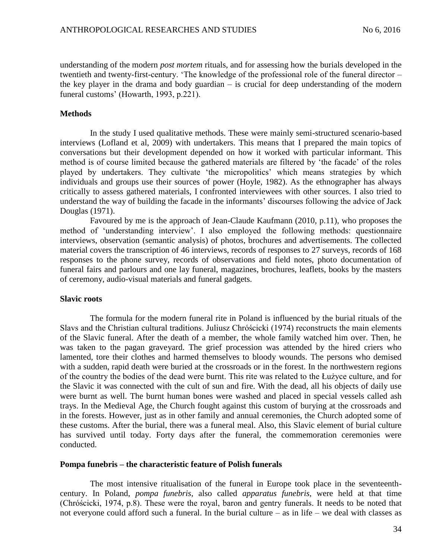understanding of the modern *post mortem* rituals, and for assessing how the burials developed in the twentieth and twenty-first-century. 'The knowledge of the professional role of the funeral director – the key player in the drama and body guardian – is crucial for deep understanding of the modern funeral customs' (Howarth, 1993, p.221).

### **Methods**

In the study I used qualitative methods. These were mainly semi-structured scenario-based interviews (Lofland et al, 2009) with undertakers. This means that I prepared the main topics of conversations but their development depended on how it worked with particular informant. This method is of course limited because the gathered materials are filtered by 'the facade' of the roles played by undertakers. They cultivate 'the micropolitics' which means strategies by which individuals and groups use their sources of power (Hoyle, 1982). As the ethnographer has always critically to assess gathered materials, I confronted interviewees with other sources. I also tried to understand the way of building the facade in the informants' discourses following the advice of Jack Douglas (1971).

Favoured by me is the approach of Jean-Claude Kaufmann (2010, p.11), who proposes the method of 'understanding interview'. I also employed the following methods: questionnaire interviews, observation (semantic analysis) of photos, brochures and advertisements. The collected material covers the transcription of 46 interviews, records of responses to 27 surveys, records of 168 responses to the phone survey, records of observations and field notes, photo documentation of funeral fairs and parlours and one lay funeral, magazines, brochures, leaflets, books by the masters of ceremony, audio-visual materials and funeral gadgets.

### **Slavic roots**

The formula for the modern funeral rite in Poland is influenced by the burial rituals of the Slavs and the Christian cultural traditions. Juliusz Chróścicki (1974) reconstructs the main elements of the Slavic funeral. After the death of a member, the whole family watched him over. Then, he was taken to the pagan graveyard. The grief procession was attended by the hired criers who lamented, tore their clothes and harmed themselves to bloody wounds. The persons who demised with a sudden, rapid death were buried at the crossroads or in the forest. In the northwestern regions of the country the bodies of the dead were burnt. This rite was related to the Łużyce culture, and for the Slavic it was connected with the cult of sun and fire. With the dead, all his objects of daily use were burnt as well. The burnt human bones were washed and placed in special vessels called ash trays. In the Medieval Age, the Church fought against this custom of burying at the crossroads and in the forests. However, just as in other family and annual ceremonies, the Church adopted some of these customs. After the burial, there was a funeral meal. Also, this Slavic element of burial culture has survived until today. Forty days after the funeral, the commemoration ceremonies were conducted.

### **Pompa funebris – the characteristic feature of Polish funerals**

The most intensive ritualisation of the funeral in Europe took place in the seventeenthcentury. In Poland, *pompa funebris*, also called *apparatus funebris,* were held at that time (Chróścicki, 1974, p.8). These were the royal, baron and gentry funerals. It needs to be noted that not everyone could afford such a funeral. In the burial culture – as in life – we deal with classes as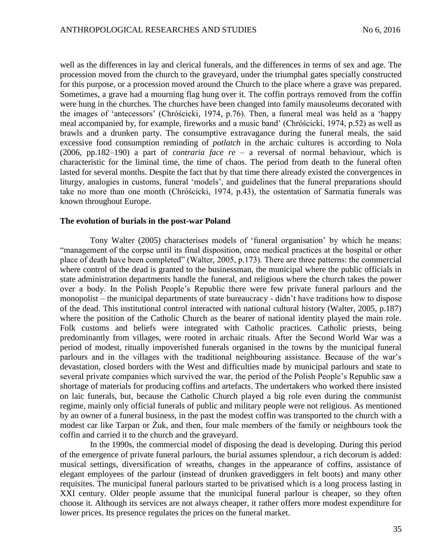well as the differences in lay and clerical funerals, and the differences in terms of sex and age. The procession moved from the church to the graveyard, under the triumphal gates specially constructed for this purpose, or a procession moved around the Church to the place where a grave was prepared. Sometimes, a grave had a mourning flag hung over it. The coffin portrays removed from the coffin were hung in the churches. The churches have been changed into family mausoleums decorated with the images of 'antecessors' (Chróścicki, 1974, p.76). Then, a funeral meal was held as a 'happy meal accompanied by, for example, fireworks and a music band' (Chróścicki, 1974, p.52) as well as brawls and a drunken party. The consumptive extravagance during the funeral meals, the said excessive food consumption reminding of *potlatch* in the archaic cultures is according to Nola (2006, pp.182–190) a part of *contraria face re* – a reversal of normal behaviour, which is characteristic for the liminal time, the time of chaos. The period from death to the funeral often lasted for several months. Despite the fact that by that time there already existed the convergences in liturgy, analogies in customs, funeral 'models', and guidelines that the funeral preparations should take no more than one month (Chróścicki, 1974, p.43), the ostentation of Sarmatia funerals was known throughout Europe.

#### **The evolution of burials in the post-war Poland**

Tony Walter (2005) characterises models of 'funeral organisation' by which he means: "management of the corpse until its final disposition, once medical practices at the hospital or other place of death have been completed" (Walter, 2005, p.173). There are three patterns: the commercial where control of the dead is granted to the businessman, the municipal where the public officials in state administration departments handle the funeral, and religious where the church takes the power over a body. In the Polish People's Republic there were few private funeral parlours and the monopolist – the municipal departments of state bureaucracy - didn't have traditions how to dispose of the dead. This institutional control interacted with national cultural history (Walter, 2005, p.187) where the position of the Catholic Church as the bearer of national identity played the main role. Folk customs and beliefs were integrated with Catholic practices. Catholic priests, being predominantly from villages, were rooted in archaic rituals. After the Second World War was a period of modest, ritually impoverished funerals organised in the towns by the municipal funeral parlours and in the villages with the traditional neighbouring assistance. Because of the war's devastation, closed borders with the West and difficulties made by municipal parlours and state to several private companies which survived the war, the period of the Polish People's Republic saw a shortage of materials for producing coffins and artefacts. The undertakers who worked there insisted on laic funerals, but, because the Catholic Church played a big role even during the communist regime, mainly only official funerals of public and military people were not religious. As mentioned by an owner of a funeral business, in the past the modest coffin was transported to the church with a modest car like Tarpan or Żuk, and then, four male members of the family or neighbours took the coffin and carried it to the church and the graveyard.

In the 1990s, the commercial model of disposing the dead is developing. During this period of the emergence of private funeral parlours, the burial assumes splendour, a rich decorum is added: musical settings, diversification of wreaths, changes in the appearance of coffins, assistance of elegant employees of the parlour (instead of drunken gravediggers in felt boots) and many other requisites. The municipal funeral parlours started to be privatised which is a long process lasting in XXI century. Older people assume that the municipal funeral parlour is cheaper, so they often choose it. Although its services are not always cheaper, it rather offers more modest expenditure for lower prices. Its presence regulates the prices on the funeral market.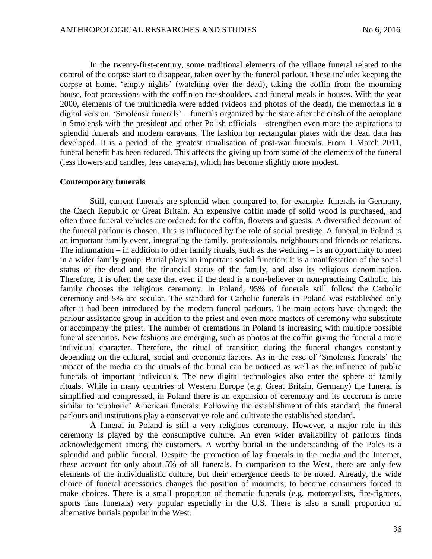In the twenty-first-century, some traditional elements of the village funeral related to the control of the corpse start to disappear, taken over by the funeral parlour. These include: keeping the corpse at home, 'empty nights' (watching over the dead), taking the coffin from the mourning house, foot processions with the coffin on the shoulders, and funeral meals in houses. With the year 2000, elements of the multimedia were added (videos and photos of the dead), the memorials in a digital version. 'Smolensk funerals' – funerals organized by the state after the crash of the aeroplane in Smolensk with the president and other Polish officials – strengthen even more the aspirations to splendid funerals and modern caravans. The fashion for rectangular plates with the dead data has developed. It is a period of the greatest ritualisation of post-war funerals. From 1 March 2011, funeral benefit has been reduced. This affects the giving up from some of the elements of the funeral (less flowers and candles, less caravans), which has become slightly more modest.

#### **Contemporary funerals**

Still, current funerals are splendid when compared to, for example, funerals in Germany, the Czech Republic or Great Britain. An expensive coffin made of solid wood is purchased, and often three funeral vehicles are ordered: for the coffin, flowers and guests. A diversified decorum of the funeral parlour is chosen. This is influenced by the role of social prestige. A funeral in Poland is an important family event, integrating the family, professionals, neighbours and friends or relations. The inhumation – in addition to other family rituals, such as the wedding – is an opportunity to meet in a wider family group. Burial plays an important social function: it is a manifestation of the social status of the dead and the financial status of the family, and also its religious denomination. Therefore, it is often the case that even if the dead is a non-believer or non-practising Catholic, his family chooses the religious ceremony. In Poland, 95% of funerals still follow the Catholic ceremony and 5% are secular. The standard for Catholic funerals in Poland was established only after it had been introduced by the modern funeral parlours. The main actors have changed: the parlour assistance group in addition to the priest and even more masters of ceremony who substitute or accompany the priest. The number of cremations in Poland is increasing with multiple possible funeral scenarios. New fashions are emerging, such as photos at the coffin giving the funeral a more individual character. Therefore, the ritual of transition during the funeral changes constantly depending on the cultural, social and economic factors. As in the case of 'Smolensk funerals' the impact of the media on the rituals of the burial can be noticed as well as the influence of public funerals of important individuals. The new digital technologies also enter the sphere of family rituals. While in many countries of Western Europe (e.g. Great Britain, Germany) the funeral is simplified and compressed, in Poland there is an expansion of ceremony and its decorum is more similar to 'euphoric' American funerals. Following the establishment of this standard, the funeral parlours and institutions play a conservative role and cultivate the established standard.

A funeral in Poland is still a very religious ceremony. However, a major role in this ceremony is played by the consumptive culture. An even wider availability of parlours finds acknowledgement among the customers. A worthy burial in the understanding of the Poles is a splendid and public funeral. Despite the promotion of lay funerals in the media and the Internet, these account for only about 5% of all funerals. In comparison to the West, there are only few elements of the individualistic culture, but their emergence needs to be noted. Already, the wide choice of funeral accessories changes the position of mourners, to become consumers forced to make choices. There is a small proportion of thematic funerals (e.g. motorcyclists, fire-fighters, sports fans funerals) very popular especially in the U.S. There is also a small proportion of alternative burials popular in the West.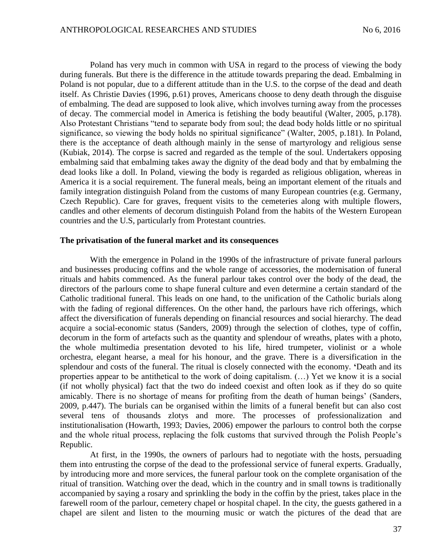Poland has very much in common with USA in regard to the process of viewing the body during funerals. But there is the difference in the attitude towards preparing the dead. Embalming in Poland is not popular, due to a different attitude than in the U.S. to the corpse of the dead and death itself. As Christie Davies (1996, p.61) proves, Americans choose to deny death through the disguise of embalming. The dead are supposed to look alive, which involves turning away from the processes of decay. The commercial model in America is fetishing the body beautiful (Walter, 2005, p.178). Also Protestant Christians "tend to separate body from soul; the dead body holds little or no spiritual significance, so viewing the body holds no spiritual significance" (Walter, 2005, p.181). In Poland, there is the acceptance of death although mainly in the sense of martyrology and religious sense (Kubiak, 2014). The corpse is sacred and regarded as the temple of the soul. Undertakers opposing embalming said that embalming takes away the dignity of the dead body and that by embalming the dead looks like a doll. In Poland, viewing the body is regarded as religious obligation, whereas in America it is a social requirement. The funeral meals, being an important element of the rituals and family integration distinguish Poland from the customs of many European countries (e.g. Germany, Czech Republic). Care for graves, frequent visits to the cemeteries along with multiple flowers, candles and other elements of decorum distinguish Poland from the habits of the Western European countries and the U.S, particularly from Protestant countries.

#### **The privatisation of the funeral market and its consequences**

With the emergence in Poland in the 1990s of the infrastructure of private funeral parlours and businesses producing coffins and the whole range of accessories, the modernisation of funeral rituals and habits commenced. As the funeral parlour takes control over the body of the dead, the directors of the parlours come to shape funeral culture and even determine a certain standard of the Catholic traditional funeral. This leads on one hand, to the unification of the Catholic burials along with the fading of regional differences. On the other hand, the parlours have rich offerings, which affect the diversification of funerals depending on financial resources and social hierarchy. The dead acquire a social-economic status (Sanders, 2009) through the selection of clothes, type of coffin, decorum in the form of artefacts such as the quantity and splendour of wreaths, plates with a photo, the whole multimedia presentation devoted to his life, hired trumpeter, violinist or a whole orchestra, elegant hearse, a meal for his honour, and the grave. There is a diversification in the splendour and costs of the funeral. The ritual is closely connected with the economy. **'**Death and its properties appear to be antithetical to the work of doing capitalism. (…) Yet we know it is a social (if not wholly physical) fact that the two do indeed coexist and often look as if they do so quite amicably. There is no shortage of means for profiting from the death of human beings' (Sanders, 2009, p.447). The burials can be organised within the limits of a funeral benefit but can also cost several tens of thousands zlotys and more. The processes of professionalization and institutionalisation (Howarth, 1993; Davies, 2006) empower the parlours to control both the corpse and the whole ritual process, replacing the folk customs that survived through the Polish People's Republic.

At first, in the 1990s, the owners of parlours had to negotiate with the hosts, persuading them into entrusting the corpse of the dead to the professional service of funeral experts. Gradually, by introducing more and more services, the funeral parlour took on the complete organisation of the ritual of transition. Watching over the dead, which in the country and in small towns is traditionally accompanied by saying a rosary and sprinkling the body in the coffin by the priest, takes place in the farewell room of the parlour, cemetery chapel or hospital chapel. In the city, the guests gathered in a chapel are silent and listen to the mourning music or watch the pictures of the dead that are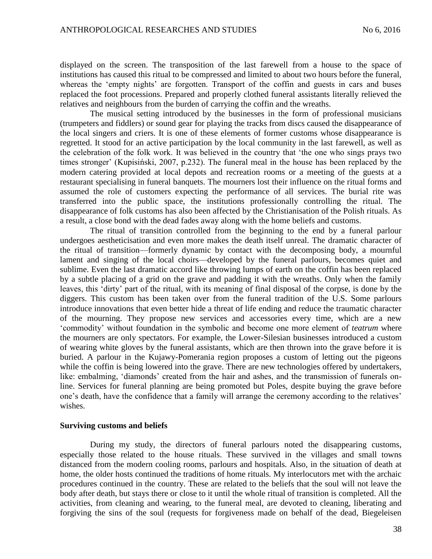displayed on the screen. The transposition of the last farewell from a house to the space of institutions has caused this ritual to be compressed and limited to about two hours before the funeral, whereas the 'empty nights' are forgotten. Transport of the coffin and guests in cars and buses replaced the foot processions. Prepared and properly clothed funeral assistants literally relieved the relatives and neighbours from the burden of carrying the coffin and the wreaths.

The musical setting introduced by the businesses in the form of professional musicians (trumpeters and fiddlers) or sound gear for playing the tracks from discs caused the disappearance of the local singers and criers. It is one of these elements of former customs whose disappearance is regretted. It stood for an active participation by the local community in the last farewell, as well as the celebration of the folk work. It was believed in the country that 'the one who sings prays two times stronger' (Kupisiński, 2007, p.232). The funeral meal in the house has been replaced by the modern catering provided at local depots and recreation rooms or a meeting of the guests at a restaurant specialising in funeral banquets. The mourners lost their influence on the ritual forms and assumed the role of customers expecting the performance of all services. The burial rite was transferred into the public space, the institutions professionally controlling the ritual. The disappearance of folk customs has also been affected by the Christianisation of the Polish rituals. As a result, a close bond with the dead fades away along with the home beliefs and customs.

The ritual of transition controlled from the beginning to the end by a funeral parlour undergoes aestheticisation and even more makes the death itself unreal. The dramatic character of the ritual of transition—formerly dynamic by contact with the decomposing body, a mournful lament and singing of the local choirs—developed by the funeral parlours, becomes quiet and sublime. Even the last dramatic accord like throwing lumps of earth on the coffin has been replaced by a subtle placing of a grid on the grave and padding it with the wreaths. Only when the family leaves, this 'dirty' part of the ritual, with its meaning of final disposal of the corpse, is done by the diggers. This custom has been taken over from the funeral tradition of the U.S. Some parlours introduce innovations that even better hide a threat of life ending and reduce the traumatic character of the mourning. They propose new services and accessories every time, which are a new 'commodity' without foundation in the symbolic and become one more element of *teatrum* where the mourners are only spectators. For example, the Lower-Silesian businesses introduced a custom of wearing white gloves by the funeral assistants, which are then thrown into the grave before it is buried. A parlour in the Kujawy-Pomerania region proposes a custom of letting out the pigeons while the coffin is being lowered into the grave. There are new technologies offered by undertakers, like: embalming, 'diamonds' created from the hair and ashes, and the transmission of funerals online. Services for funeral planning are being promoted but Poles, despite buying the grave before one's death, have the confidence that a family will arrange the ceremony according to the relatives' wishes.

#### **Surviving customs and beliefs**

During my study, the directors of funeral parlours noted the disappearing customs, especially those related to the house rituals. These survived in the villages and small towns distanced from the modern cooling rooms, parlours and hospitals. Also, in the situation of death at home, the older hosts continued the traditions of home rituals. My interlocutors met with the archaic procedures continued in the country. These are related to the beliefs that the soul will not leave the body after death, but stays there or close to it until the whole ritual of transition is completed. All the activities, from cleaning and wearing, to the funeral meal, are devoted to cleaning, liberating and forgiving the sins of the soul (requests for forgiveness made on behalf of the dead, Biegeleisen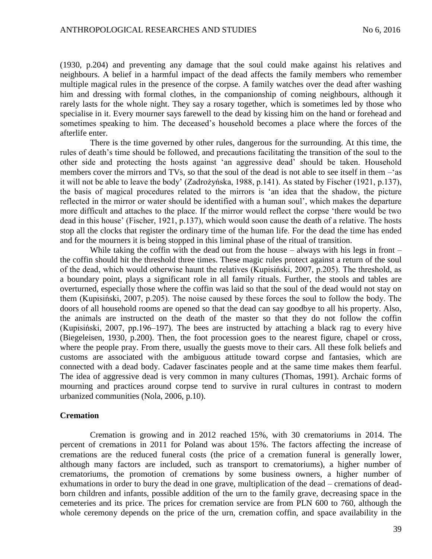(1930, p.204) and preventing any damage that the soul could make against his relatives and neighbours. A belief in a harmful impact of the dead affects the family members who remember multiple magical rules in the presence of the corpse. A family watches over the dead after washing him and dressing with formal clothes, in the companionship of coming neighbours, although it rarely lasts for the whole night. They say a rosary together, which is sometimes led by those who specialise in it. Every mourner says farewell to the dead by kissing him on the hand or forehead and sometimes speaking to him. The deceased's household becomes a place where the forces of the afterlife enter.

There is the time governed by other rules, dangerous for the surrounding. At this time, the rules of death's time should be followed, and precautions facilitating the transition of the soul to the other side and protecting the hosts against 'an aggressive dead' should be taken. Household members cover the mirrors and TVs, so that the soul of the dead is not able to see itself in them –'as it will not be able to leave the body' (Zadrożyńska, 1988, p.141). As stated by Fischer (1921, p.137), the basis of magical procedures related to the mirrors is 'an idea that the shadow, the picture reflected in the mirror or water should be identified with a human soul', which makes the departure more difficult and attaches to the place. If the mirror would reflect the corpse 'there would be two dead in this house' (Fischer, 1921, p.137), which would soon cause the death of a relative. The hosts stop all the clocks that register the ordinary time of the human life. For the dead the time has ended and for the mourners it is being stopped in this liminal phase of the ritual of transition.

While taking the coffin with the dead out from the house  $-$  always with his legs in front  $$ the coffin should hit the threshold three times. These magic rules protect against a return of the soul of the dead, which would otherwise haunt the relatives (Kupisiński, 2007, p.205). The threshold, as a boundary point, plays a significant role in all family rituals. Further, the stools and tables are overturned, especially those where the coffin was laid so that the soul of the dead would not stay on them (Kupisiński, 2007, p.205). The noise caused by these forces the soul to follow the body. The doors of all household rooms are opened so that the dead can say goodbye to all his property. Also, the animals are instructed on the death of the master so that they do not follow the coffin (Kupisiński, 2007, pp.196–197). The bees are instructed by attaching a black rag to every hive (Biegeleisen, 1930, p.200). Then, the foot procession goes to the nearest figure, chapel or cross, where the people pray. From there, usually the guests move to their cars. All these folk beliefs and customs are associated with the ambiguous attitude toward corpse and fantasies, which are connected with a dead body. Cadaver fascinates people and at the same time makes them fearful. The idea of aggressive dead is very common in many cultures (Thomas, 1991). Archaic forms of mourning and practices around corpse tend to survive in rural cultures in contrast to modern urbanized communities (Nola, 2006, p.10).

#### **Cremation**

Cremation is growing and in 2012 reached 15%, with 30 crematoriums in 2014. The percent of cremations in 2011 for Poland was about 15%. The factors affecting the increase of cremations are the reduced funeral costs (the price of a cremation funeral is generally lower, although many factors are included, such as transport to crematoriums), a higher number of crematoriums, the promotion of cremations by some business owners, a higher number of exhumations in order to bury the dead in one grave, multiplication of the dead – cremations of deadborn children and infants, possible addition of the urn to the family grave, decreasing space in the cemeteries and its price. The prices for cremation service are from PLN 600 to 760, although the whole ceremony depends on the price of the urn, cremation coffin, and space availability in the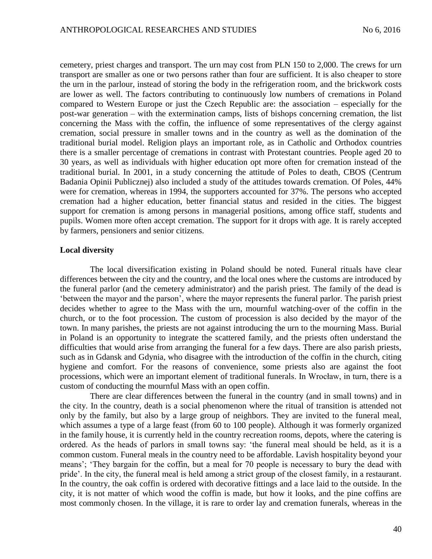cemetery, priest charges and transport. The urn may cost from PLN 150 to 2,000. The crews for urn transport are smaller as one or two persons rather than four are sufficient. It is also cheaper to store the urn in the parlour, instead of storing the body in the refrigeration room, and the brickwork costs are lower as well. The factors contributing to continuously low numbers of cremations in Poland compared to Western Europe or just the Czech Republic are: the association – especially for the post-war generation – with the extermination camps, lists of bishops concerning cremation, the list concerning the Mass with the coffin, the influence of some representatives of the clergy against cremation, social pressure in smaller towns and in the country as well as the domination of the traditional burial model. Religion plays an important role, as in Catholic and Orthodox countries there is a smaller percentage of cremations in contrast with Protestant countries. People aged 20 to 30 years, as well as individuals with higher education opt more often for cremation instead of the traditional burial. In 2001, in a study concerning the attitude of Poles to death, CBOS (Centrum Badania Opinii Publicznej) also included a study of the attitudes towards cremation. Of Poles, 44% were for cremation, whereas in 1994, the supporters accounted for 37%. The persons who accepted cremation had a higher education, better financial status and resided in the cities. The biggest support for cremation is among persons in managerial positions, among office staff, students and pupils. Women more often accept cremation. The support for it drops with age. It is rarely accepted by farmers, pensioners and senior citizens.

#### **Local diversity**

The local diversification existing in Poland should be noted. Funeral rituals have clear differences between the city and the country, and the local ones where the customs are introduced by the funeral parlor (and the cemetery administrator) and the parish priest. The family of the dead is 'between the mayor and the parson', where the mayor represents the funeral parlor. The parish priest decides whether to agree to the Mass with the urn, mournful watching-over of the coffin in the church, or to the foot procession. The custom of procession is also decided by the mayor of the town. In many parishes, the priests are not against introducing the urn to the mourning Mass. Burial in Poland is an opportunity to integrate the scattered family, and the priests often understand the difficulties that would arise from arranging the funeral for a few days. There are also parish priests, such as in Gdansk and Gdynia, who disagree with the introduction of the coffin in the church, citing hygiene and comfort. For the reasons of convenience, some priests also are against the foot processions, which were an important element of traditional funerals. In Wrocław, in turn, there is a custom of conducting the mournful Mass with an open coffin.

There are clear differences between the funeral in the country (and in small towns) and in the city. In the country, death is a social phenomenon where the ritual of transition is attended not only by the family, but also by a large group of neighbors. They are invited to the funeral meal, which assumes a type of a large feast (from 60 to 100 people). Although it was formerly organized in the family house, it is currently held in the country recreation rooms, depots, where the catering is ordered. As the heads of parlors in small towns say: 'the funeral meal should be held, as it is a common custom. Funeral meals in the country need to be affordable. Lavish hospitality beyond your means'; 'They bargain for the coffin, but a meal for 70 people is necessary to bury the dead with pride'. In the city, the funeral meal is held among a strict group of the closest family, in a restaurant. In the country, the oak coffin is ordered with decorative fittings and a lace laid to the outside. In the city, it is not matter of which wood the coffin is made, but how it looks, and the pine coffins are most commonly chosen. In the village, it is rare to order lay and cremation funerals, whereas in the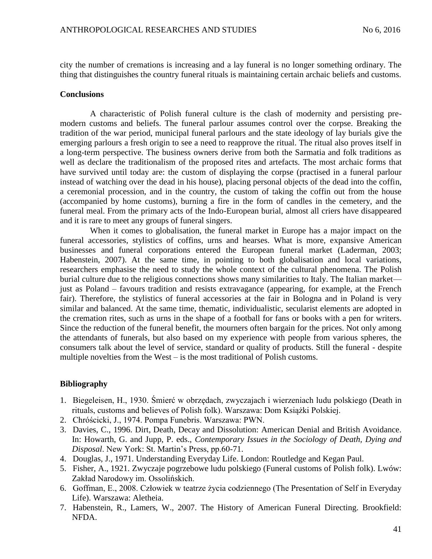city the number of cremations is increasing and a lay funeral is no longer something ordinary. The thing that distinguishes the country funeral rituals is maintaining certain archaic beliefs and customs.

#### **Conclusions**

A characteristic of Polish funeral culture is the clash of modernity and persisting premodern customs and beliefs. The funeral parlour assumes control over the corpse. Breaking the tradition of the war period, municipal funeral parlours and the state ideology of lay burials give the emerging parlours a fresh origin to see a need to reapprove the ritual. The ritual also proves itself in a long-term perspective. The business owners derive from both the Sarmatia and folk traditions as well as declare the traditionalism of the proposed rites and artefacts. The most archaic forms that have survived until today are: the custom of displaying the corpse (practised in a funeral parlour instead of watching over the dead in his house), placing personal objects of the dead into the coffin, a ceremonial procession, and in the country, the custom of taking the coffin out from the house (accompanied by home customs), burning a fire in the form of candles in the cemetery, and the funeral meal. From the primary acts of the Indo-European burial, almost all criers have disappeared and it is rare to meet any groups of funeral singers.

When it comes to globalisation, the funeral market in Europe has a major impact on the funeral accessories, stylistics of coffins, urns and hearses. What is more, expansive American businesses and funeral corporations entered the European funeral market (Laderman, 2003; Habenstein, 2007). At the same time, in pointing to both globalisation and local variations, researchers emphasise the need to study the whole context of the cultural phenomena. The Polish burial culture due to the religious connections shows many similarities to Italy. The Italian market just as Poland – favours tradition and resists extravagance (appearing, for example, at the French fair). Therefore, the stylistics of funeral accessories at the fair in Bologna and in Poland is very similar and balanced. At the same time, thematic, individualistic, secularist elements are adopted in the cremation rites, such as urns in the shape of a football for fans or books with a pen for writers. Since the reduction of the funeral benefit, the mourners often bargain for the prices. Not only among the attendants of funerals, but also based on my experience with people from various spheres, the consumers talk about the level of service, standard or quality of products. Still the funeral - despite multiple novelties from the West – is the most traditional of Polish customs.

## **Bibliography**

- 1. Biegeleisen, H., 1930. Śmierć w obrzędach, zwyczajach i wierzeniach ludu polskiego (Death in rituals, customs and believes of Polish folk). Warszawa: Dom Książki Polskiej.
- 2. Chróścicki, J., 1974. Pompa Funebris. Warszawa: PWN.
- 3. Davies, C., 1996. Dirt, Death, Decay and Dissolution: American Denial and British Avoidance. In: Howarth, G. and Jupp, P. eds., *Contemporary Issues in the Sociology of Death, Dying and Disposal*. New York: St. Martin's Press, pp.60-71.
- 4. Douglas, J., 1971. Understanding Everyday Life. London: Routledge and Kegan Paul.
- 5. Fisher, A., 1921. Zwyczaje pogrzebowe ludu polskiego (Funeral customs of Polish folk). Lwów: Zakład Narodowy im. Ossolińskich.
- 6. Goffman, E., 2008. Człowiek w teatrze życia codziennego (The Presentation of Self in Everyday Life). Warszawa: Aletheia.
- 7. Habenstein, R., Lamers, W., 2007. The History of American Funeral Directing. Brookfield: NFDA.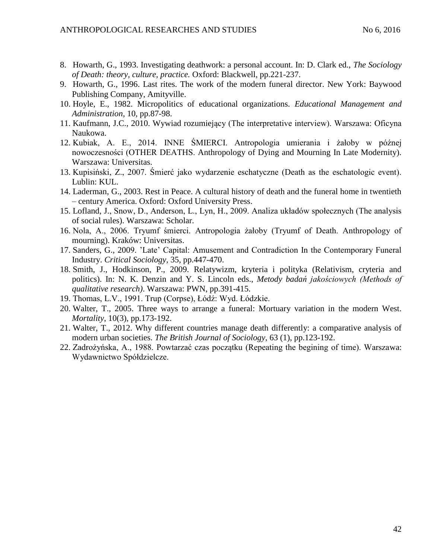- 8. Howarth, G., 1993. Investigating deathwork: a personal account. In: D. Clark ed., *The Sociology of Death: theory, culture, practice.* Oxford: Blackwell, pp.221-237.
- 9. Howarth, G., 1996. Last rites. The work of the modern funeral director. New York: Baywood Publishing Company, Amityville.
- 10. Hoyle, E., 1982. Micropolitics of educational organizations. *Educational Management and Administration*, 10, pp.87-98.
- 11. Kaufmann, J.C., 2010. Wywiad rozumiejący (The interpretative interview). Warszawa: Oficyna Naukowa.
- 12. Kubiak, A. E., 2014. INNE ŚMIERCI. Antropologia umierania i żałoby w późnej nowoczesności (OTHER DEATHS. Anthropology of Dying and Mourning In Late Modernity). Warszawa: Universitas.
- 13. Kupisiński, Z., 2007. Śmierć jako wydarzenie eschatyczne (Death as the eschatologic event). Lublin: KUL.
- 14. Laderman, G., 2003. Rest in Peace. A cultural history of death and the funeral home in twentieth – century America. Oxford: Oxford University Press.
- 15. Lofland, J., Snow, D., Anderson, L., Lyn, H., 2009. Analiza układów społecznych (The analysis of social rules). Warszawa: Scholar.
- 16. Nola, A., 2006. Tryumf śmierci. Antropologia żałoby (Tryumf of Death. Anthropology of mourning). Kraków: Universitas.
- 17. Sanders, G., 2009. 'Late' Capital: Amusement and Contradiction In the Contemporary Funeral Industry. *Critical Sociology,* 35, pp.447-470.
- 18. Smith, J., Hodkinson, P., 2009. Relatywizm, kryteria i polityka (Relativism, cryteria and politics). In: N. K. Denzin and Y. S. Lincoln eds., *Metody badań jakościowych (Methods of qualitative research)*. Warszawa: PWN, pp.391-415.
- 19. Thomas, L.V., 1991. Trup (Corpse), Łódź: Wyd. Łódzkie.
- 20. Walter, T., 2005. Three ways to arrange a funeral: Mortuary variation in the modern West. *Mortality*, 10(3), pp.173-192.
- 21. Walter, T., 2012. Why different countries manage death differently: a comparative analysis of modern urban societies. *The British Journal of Sociology*, 63 (1), pp.123-192.
- 22. Zadrożyńska, A., 1988. Powtarzać czas początku (Repeating the begining of time). Warszawa: Wydawnictwo Spółdzielcze.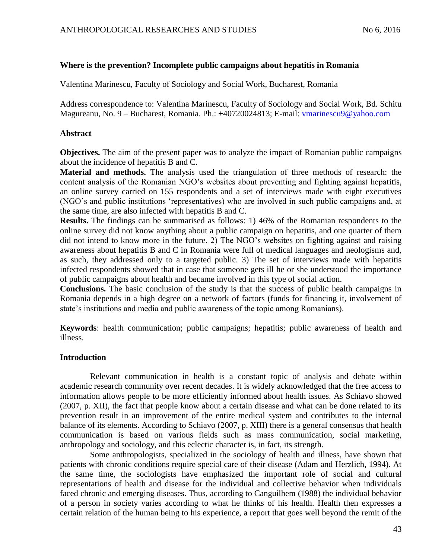# **Where is the prevention? Incomplete public campaigns about hepatitis in Romania**

Valentina Marinescu, Faculty of Sociology and Social Work, Bucharest, Romania

Address correspondence to: Valentina Marinescu, Faculty of Sociology and Social Work, Bd. Schitu Magureanu, No. 9 – Bucharest, Romania. Ph.: +40720024813; E-mail: [vmarinescu9@yahoo.com](mailto:vmarinescu9@yahoo.com)

# **Abstract**

**Objectives.** The aim of the present paper was to analyze the impact of Romanian public campaigns about the incidence of hepatitis B and C.

**Material and methods.** The analysis used the triangulation of three methods of research: the content analysis of the Romanian NGO's websites about preventing and fighting against hepatitis, an online survey carried on 155 respondents and a set of interviews made with eight executives (NGO's and public institutions 'representatives) who are involved in such public campaigns and, at the same time, are also infected with hepatitis B and C.

**Results.** The findings can be summarised as follows: 1) 46% of the Romanian respondents to the online survey did not know anything about a public campaign on hepatitis, and one quarter of them did not intend to know more in the future. 2) The NGO's websites on fighting against and raising awareness about hepatitis B and C in Romania were full of medical languages and neologisms and, as such, they addressed only to a targeted public. 3) The set of interviews made with hepatitis infected respondents showed that in case that someone gets ill he or she understood the importance of public campaigns about health and became involved in this type of social action.

**Conclusions.** The basic conclusion of the study is that the success of public health campaigns in Romania depends in a high degree on a network of factors (funds for financing it, involvement of state's institutions and media and public awareness of the topic among Romanians).

**Keywords**: health communication; public campaigns; hepatitis; public awareness of health and illness.

# **Introduction**

Relevant communication in health is a constant topic of analysis and debate within academic research community over recent decades. It is widely acknowledged that the free access to information allows people to be more efficiently informed about health issues. As Schiavo showed (2007, p. XII), the fact that people know about a certain disease and what can be done related to its prevention result in an improvement of the entire medical system and contributes to the internal balance of its elements. According to Schiavo (2007, p. XIII) there is a general consensus that health communication is based on various fields such as mass communication, social marketing, anthropology and sociology, and this eclectic character is, in fact, its strength.

Some anthropologists, specialized in the sociology of health and illness, have shown that patients with chronic conditions require special care of their disease (Adam and Herzlich, 1994). At the same time, the sociologists have emphasized the important role of social and cultural representations of health and disease for the individual and collective behavior when individuals faced chronic and emerging diseases. Thus, according to Canguilhem (1988) the individual behavior of a person in society varies according to what he thinks of his health. Health then expresses a certain relation of the human being to his experience, a report that goes well beyond the remit of the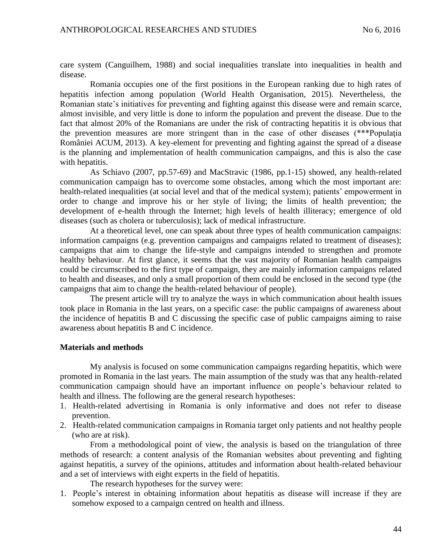care system (Canguilhem, 1988) and social inequalities translate into inequalities in health and disease.

Romania occupies one of the first positions in the European ranking due to high rates of hepatitis infection among population (World Health Organisation, 2015). Nevertheless, the Romanian state's initiatives for preventing and fighting against this disease were and remain scarce, almost invisible, and very little is done to inform the population and prevent the disease. Due to the fact that almost 20% of the Romanians are under the risk of contracting hepatitis it is obvious that the prevention measures are more stringent than in the case of other diseases (\*\*\*Populaţia României ACUM, 2013). A key-element for preventing and fighting against the spread of a disease is the planning and implementation of health communication campaigns, and this is also the case with hepatitis.

As Schiavo (2007, pp.57-69) and MacStravic (1986, pp.1-15) showed, any health-related communication campaign has to overcome some obstacles, among which the most important are: health-related inequalities (at social level and that of the medical system); patients' empowerment in order to change and improve his or her style of living; the limits of health prevention; the development of e-health through the Internet; high levels of health illiteracy; emergence of old diseases (such as cholera or tuberculosis); lack of medical infrastructure.

At a theoretical level, one can speak about three types of health communication campaigns: information campaigns (e.g. prevention campaigns and campaigns related to treatment of diseases); campaigns that aim to change the life-style and campaigns intended to strengthen and promote healthy behaviour. At first glance, it seems that the vast majority of Romanian health campaigns could be circumscribed to the first type of campaign, they are mainly information campaigns related to health and diseases, and only a small proportion of them could be enclosed in the second type (the campaigns that aim to change the health-related behaviour of people).

The present article will try to analyze the ways in which communication about health issues took place in Romania in the last years, on a specific case: the public campaigns of awareness about the incidence of hepatitis B and C discussing the specific case of public campaigns aiming to raise awareness about hepatitis B and C incidence.

#### **Materials and methods**

My analysis is focused on some communication campaigns regarding hepatitis, which were promoted in Romania in the last years. The main assumption of the study was that any health-related communication campaign should have an important influence on people's behaviour related to health and illness. The following are the general research hypotheses:

- 1. Health-related advertising in Romania is only informative and does not refer to disease prevention.
- 2. Health-related communication campaigns in Romania target only patients and not healthy people (who are at risk).

From a methodological point of view, the analysis is based on the triangulation of three methods of research: a content analysis of the Romanian websites about preventing and fighting against hepatitis, a survey of the opinions, attitudes and information about health-related behaviour and a set of interviews with eight experts in the field of hepatitis.

The research hypotheses for the survey were:

1. People's interest in obtaining information about hepatitis as disease will increase if they are somehow exposed to a campaign centred on health and illness.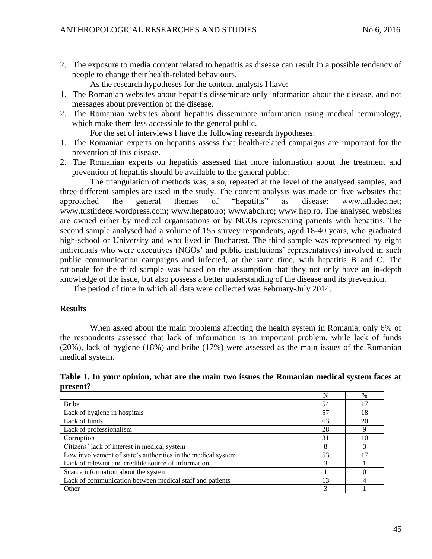2. The exposure to media content related to hepatitis as disease can result in a possible tendency of people to change their health-related behaviours.

As the research hypotheses for the content analysis I have:

- 1. The Romanian websites about hepatitis disseminate only information about the disease, and not messages about prevention of the disease.
- 2. The Romanian websites about hepatitis disseminate information using medical terminology, which make them less accessible to the general public.

For the set of interviews I have the following research hypotheses:

- 1. The Romanian experts on hepatitis assess that health-related campaigns are important for the prevention of this disease.
- 2. The Romanian experts on hepatitis assessed that more information about the treatment and prevention of hepatitis should be available to the general public.

The triangulation of methods was, also, repeated at the level of the analysed samples, and three different samples are used in the study. The content analysis was made on five websites that approached the general themes of "hepatitis" as disease: www.afladec.net; www.tustiidece.wordpress.com; www.hepato.ro; www.abch.ro; www.hep.ro. The analysed websites are owned either by medical organisations or by NGOs representing patients with hepatitis. The second sample analysed had a volume of 155 survey respondents, aged 18-40 years, who graduated high-school or University and who lived in Bucharest. The third sample was represented by eight individuals who were executives (NGOs' and public institutions' representatives) involved in such public communication campaigns and infected, at the same time, with hepatitis B and C. The rationale for the third sample was based on the assumption that they not only have an in-depth knowledge of the issue, but also possess a better understanding of the disease and its prevention.

The period of time in which all data were collected was February-July 2014.

## **Results**

When asked about the main problems affecting the health system in Romania, only 6% of the respondents assessed that lack of information is an important problem, while lack of funds (20%), lack of hygiene (18%) and bribe (17%) were assessed as the main issues of the Romanian medical system.

**Table 1. In your opinion, what are the main two issues the Romanian medical system faces at present?** 

|                                                              |    | $\%$ |
|--------------------------------------------------------------|----|------|
| <b>Bribe</b>                                                 | 54 | 17   |
| Lack of hygiene in hospitals                                 | 57 | 18   |
| Lack of funds                                                | 63 | 20   |
| Lack of professionalism                                      | 28 | 9    |
| Corruption                                                   | 31 | 10   |
| Citizens' lack of interest in medical system                 |    | 3    |
| Low involvement of state's authorities in the medical system | 53 | 17   |
| Lack of relevant and credible source of information          | 3  |      |
| Scarce information about the system                          |    |      |
| Lack of communication between medical staff and patients     | 13 |      |
| Other                                                        |    |      |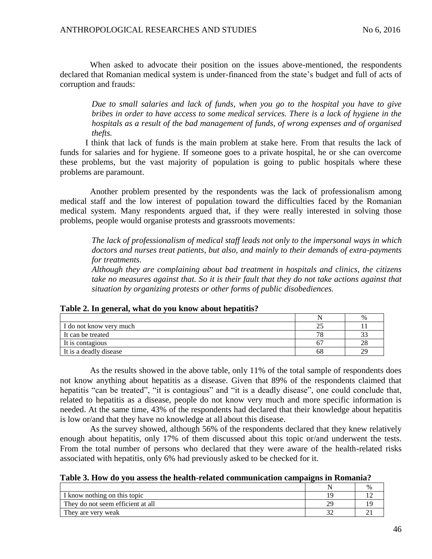When asked to advocate their position on the issues above-mentioned, the respondents declared that Romanian medical system is under-financed from the state's budget and full of acts of corruption and frauds:

*Due to small salaries and lack of funds, when you go to the hospital you have to give bribes in order to have access to some medical services. There is a lack of hygiene in the hospitals as a result of the bad management of funds, of wrong expenses and of organised thefts.*

I think that lack of funds is the main problem at stake here. From that results the lack of funds for salaries and for hygiene. If someone goes to a private hospital, he or she can overcome these problems, but the vast majority of population is going to public hospitals where these problems are paramount.

Another problem presented by the respondents was the lack of professionalism among medical staff and the low interest of population toward the difficulties faced by the Romanian medical system. Many respondents argued that, if they were really interested in solving those problems, people would organise protests and grassroots movements:

*The lack of professionalism of medical staff leads not only to the impersonal ways in which doctors and nurses treat patients, but also, and mainly to their demands of extra-payments for treatments.*

*Although they are complaining about bad treatment in hospitals and clinics, the citizens take no measures against that. So it is their fault that they do not take actions against that situation by organizing protests or other forms of public disobediences.*

|                         |    | %      |
|-------------------------|----|--------|
| I do not know very much |    |        |
| It can be treated       | 78 | $\sim$ |
| It is contagious        | 6. | 28     |
| It is a deadly disease  | 68 | 29     |

## **Table 2. In general, what do you know about hepatitis?**

As the results showed in the above table, only 11% of the total sample of respondents does not know anything about hepatitis as a disease. Given that 89% of the respondents claimed that hepatitis "can be treated", "it is contagious" and "it is a deadly disease", one could conclude that, related to hepatitis as a disease, people do not know very much and more specific information is needed. At the same time, 43% of the respondents had declared that their knowledge about hepatitis is low or/and that they have no knowledge at all about this disease.

As the survey showed, although 56% of the respondents declared that they knew relatively enough about hepatitis, only 17% of them discussed about this topic or/and underwent the tests. From the total number of persons who declared that they were aware of the health-related risks associated with hepatitis, only 6% had previously asked to be checked for it.

| Table 3. How do you assess the health-related communication campaigns in Romania? |  |  |  |  |  |
|-----------------------------------------------------------------------------------|--|--|--|--|--|
|-----------------------------------------------------------------------------------|--|--|--|--|--|

|                                   |    | % |
|-----------------------------------|----|---|
| I know nothing on this topic      |    |   |
| They do not seem efficient at all | 29 |   |
| They are very weak                |    |   |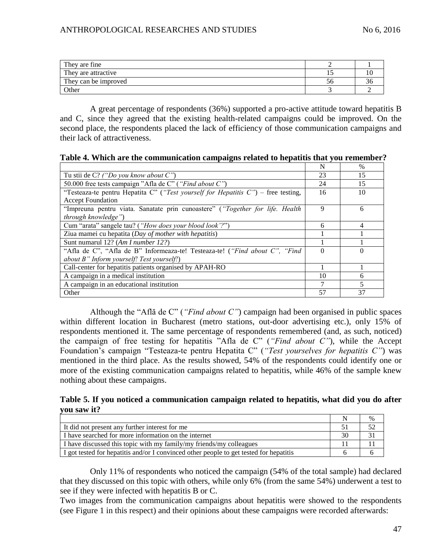| They are fine        |    |    |
|----------------------|----|----|
| They are attractive  |    | ΙU |
| They can be improved | эc | აი |
| Other                |    |    |

A great percentage of respondents (36%) supported a pro-active attitude toward hepatitis B and C, since they agreed that the existing health-related campaigns could be improved. On the second place, the respondents placed the lack of efficiency of those communication campaigns and their lack of attractiveness.

**Table 4. Which are the communication campaigns related to hepatitis that you remember?** 

|                                                                                   | N        | $\%$           |
|-----------------------------------------------------------------------------------|----------|----------------|
| Tu stii de $C$ ? ("Do you know about $C$ ")                                       | 23       | 15             |
| 50.000 free tests campaign "Afla de C" ("Find about C")                           | 24       | 15             |
| "Testeaza-te pentru Hepatita C" ("Test yourself for Hepatitis C") – free testing, | 16       | 10             |
| <b>Accept Foundation</b>                                                          |          |                |
| "Impreuna pentru viata. Sanatate prin cunoastere" ("Together for life. Health     | 9        | 6              |
| through knowledge")                                                               |          |                |
| Cum "arata" sangele tau? ("How does your blood look'?")                           | 6        | $\overline{4}$ |
| Ziua mamei cu hepatita (Day of mother with hepatitis)                             |          |                |
| Sunt numarul 12? (Am I number 12?)                                                |          |                |
| "Afla de C", "Afla de B" Informeaza-te! Testeaza-te! ("Find about C", "Find"      | $\Omega$ | $\Omega$       |
| about B" Inform yourself! Test yourself!)                                         |          |                |
| Call-center for hepatitis patients organised by APAH-RO                           |          |                |
| A campaign in a medical institution                                               | 10       | 6              |
| A campaign in an educational institution                                          | 7        | 5              |
| Other                                                                             | 57       | 37             |

Although the "Află de C" (*"Find about C"*) campaign had been organised in public spaces within different location in Bucharest (metro stations, out-door advertising etc.), only 15% of respondents mentioned it. The same percentage of respondents remembered (and, as such, noticed) the campaign of free testing for hepatitis "Afla de C" (*"Find about C"*), while the Accept Foundation's campaign "Testeaza-te pentru Hepatita C" (*"Test yourselves for hepatitis C"*) was mentioned in the third place. As the results showed, 54% of the respondents could identify one or more of the existing communication campaigns related to hepatitis, while 46% of the sample knew nothing about these campaigns.

**Table 5. If you noticed a communication campaign related to hepatitis, what did you do after you saw it?** 

|                                                                                        |    | $\%$ |
|----------------------------------------------------------------------------------------|----|------|
| It did not present any further interest for me                                         |    |      |
| I have searched for more information on the internet                                   | 30 |      |
| I have discussed this topic with my family/my friends/my colleagues                    |    |      |
| I got tested for hepatitis and/or I convinced other people to get tested for hepatitis |    |      |

Only 11% of respondents who noticed the campaign (54% of the total sample) had declared that they discussed on this topic with others, while only 6% (from the same 54%) underwent a test to see if they were infected with hepatitis B or C.

Two images from the communication campaigns about hepatitis were showed to the respondents (see Figure 1 in this respect) and their opinions about these campaigns were recorded afterwards: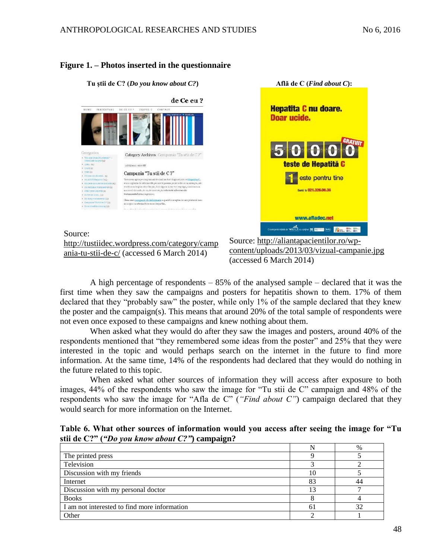## **Figure 1. – Photos inserted in the questionnaire**



Source:

[http://tustiidec.wordpress.com/category/camp](http://tustiidec.wordpress.com/category/campania-tu-stii-de-c/) [ania-tu-stii-de-c/](http://tustiidec.wordpress.com/category/campania-tu-stii-de-c/) (accessed 6 March 2014)

Source: [http://aliantapacientilor.ro/wp](http://aliantapacientilor.ro/wp-content/uploads/2013/03/vizual-campanie.jpg)[content/uploads/2013/03/vizual-campanie.jpg](http://aliantapacientilor.ro/wp-content/uploads/2013/03/vizual-campanie.jpg) (accessed 6 March 2014)

**Află de C (***Find about C***):**

teste de Hepatită C

**Sunn la 021.326.00.36** 

www.afladec.net

**SAPOR CONTROL BOOM OF THE AREA CONTROL** 

este pentru tine

**Hepatita C nu doare.** 

Doar ucide.

A high percentage of respondents – 85% of the analysed sample – declared that it was the first time when they saw the campaigns and posters for hepatitis shown to them. 17% of them declared that they "probably saw" the poster, while only 1% of the sample declared that they knew the poster and the campaign(s). This means that around 20% of the total sample of respondents were not even once exposed to these campaigns and knew nothing about them.

When asked what they would do after they saw the images and posters, around 40% of the respondents mentioned that "they remembered some ideas from the poster" and 25% that they were interested in the topic and would perhaps search on the internet in the future to find more information. At the same time, 14% of the respondents had declared that they would do nothing in the future related to this topic.

When asked what other sources of information they will access after exposure to both images, 44% of the respondents who saw the image for "Tu stii de C" campaign and 48% of the respondents who saw the image for "Afla de C" (*"Find about C"*) campaign declared that they would search for more information on the Internet.

**Table 6. What other sources of information would you access after seeing the image for "Tu stii de C?" (***"Do you know about C?"***) campaign?** 

|                                              |    | $\%$ |
|----------------------------------------------|----|------|
| The printed press                            |    |      |
| Television                                   |    |      |
| Discussion with my friends                   | 10 |      |
| Internet                                     | 83 |      |
| Discussion with my personal doctor           |    |      |
| <b>Books</b>                                 |    |      |
| I am not interested to find more information | 61 |      |
| Other                                        |    |      |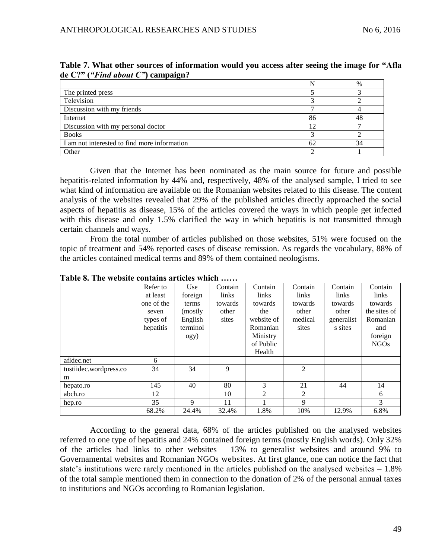|                                              |    | $\%$ |
|----------------------------------------------|----|------|
| The printed press                            |    |      |
| Television                                   |    |      |
| Discussion with my friends                   |    |      |
| Internet                                     | 86 |      |
| Discussion with my personal doctor           | 12 |      |
| <b>Books</b>                                 |    |      |
| I am not interested to find more information | 62 | 34   |
| Other                                        |    |      |

**Table 7. What other sources of information would you access after seeing the image for "Afla de C?" (***"Find about C"***) campaign?** 

Given that the Internet has been nominated as the main source for future and possible hepatitis-related information by 44% and, respectively, 48% of the analysed sample, I tried to see what kind of information are available on the Romanian websites related to this disease. The content analysis of the websites revealed that 29% of the published articles directly approached the social aspects of hepatitis as disease, 15% of the articles covered the ways in which people get infected with this disease and only 1.5% clarified the way in which hepatitis is not transmitted through certain channels and ways.

From the total number of articles published on those websites, 51% were focused on the topic of treatment and 54% reported cases of disease remission. As regards the vocabulary, 88% of the articles contained medical terms and 89% of them contained neologisms.

|                        | Refer to   | Use      | Contain | Contain    | Contain        | Contain    | Contain          |
|------------------------|------------|----------|---------|------------|----------------|------------|------------------|
|                        | at least   | foreign  | links   | links      | links          | links      | links            |
|                        | one of the | terms    | towards | towards    | towards        | towards    | towards          |
|                        | seven      | (mostly  | other   | the        | other          | other      | the sites of     |
|                        | types of   | English  | sites   | website of | medical        | generalist | Romanian         |
|                        | hepatitis  | terminol |         | Romanian   | sites          | s sites    | and              |
|                        |            | ogy)     |         | Ministry   |                |            | foreign          |
|                        |            |          |         | of Public  |                |            | NGO <sub>s</sub> |
|                        |            |          |         | Health     |                |            |                  |
| afldec.net             | 6          |          |         |            |                |            |                  |
| tustiidec.wordpress.co | 34         | 34       | 9       |            | $\overline{2}$ |            |                  |
| m                      |            |          |         |            |                |            |                  |
| hepato.ro              | 145        | 40       | 80      | 3          | 21             | 44         | 14               |
| abch.ro                | 12         |          | 10      | 2          | 2              |            | 6                |
| hep.ro                 | 35         | 9        | 11      |            | 9              |            | 3                |
|                        | 68.2%      | 24.4%    | 32.4%   | 1.8%       | 10%            | 12.9%      | 6.8%             |

**Table 8. The website contains articles which ……**

According to the general data, 68% of the articles published on the analysed websites referred to one type of hepatitis and 24% contained foreign terms (mostly English words). Only 32% of the articles had links to other websites – 13% to generalist websites and around 9% to Governamental websites and Romanian NGOs websites. At first glance, one can notice the fact that state's institutions were rarely mentioned in the articles published on the analysed websites – 1.8% of the total sample mentioned them in connection to the donation of 2% of the personal annual taxes to institutions and NGOs according to Romanian legislation.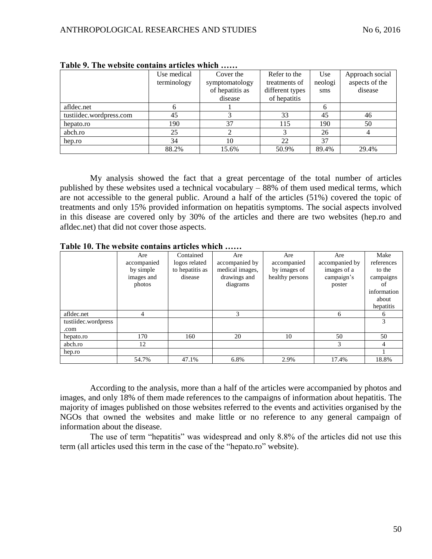|                         | Use medical<br>terminology | Cover the<br>symptomatology | Refer to the<br>treatments of | Use<br>neologi | Approach social<br>aspects of the |
|-------------------------|----------------------------|-----------------------------|-------------------------------|----------------|-----------------------------------|
|                         |                            | of hepatitis as             | different types               | sms            | disease                           |
|                         |                            | disease                     | of hepatitis                  |                |                                   |
| afldec.net              |                            |                             |                               |                |                                   |
| tustiidec.wordpress.com | 45                         |                             | 33                            | 45             | 46                                |
| hepato.ro               | 190                        | 37                          | 115                           | 190            | 50                                |
| abch.ro                 | 25                         |                             |                               | 26             |                                   |
| hep.ro                  | 34                         | 10                          | 22                            | 37             |                                   |
|                         | 88.2%                      | 15.6%                       | 50.9%                         | 89.4%          | 29.4%                             |

**Table 9. The website contains articles which ……**

My analysis showed the fact that a great percentage of the total number of articles published by these websites used a technical vocabulary – 88% of them used medical terms, which are not accessible to the general public. Around a half of the articles (51%) covered the topic of treatments and only 15% provided information on hepatitis symptoms. The social aspects involved in this disease are covered only by 30% of the articles and there are two websites (hep.ro and afldec.net) that did not cover those aspects.

**Table 10. The website contains articles which ……**

|                     | Are         | Contained       | Are             | Are             | Are            | Make         |
|---------------------|-------------|-----------------|-----------------|-----------------|----------------|--------------|
|                     | accompanied | logos related   | accompanied by  | accompanied     | accompanied by | references   |
|                     | by simple   | to hepatitis as | medical images. | by images of    | images of a    | to the       |
|                     | images and  | disease         | drawings and    | healthy persons | campaign's     | campaigns    |
|                     | photos      |                 | diagrams        |                 | poster         | оt           |
|                     |             |                 |                 |                 |                | information  |
|                     |             |                 |                 |                 |                | about        |
|                     |             |                 |                 |                 |                | hepatitis    |
| afldec.net          | 4           |                 | 3               |                 | 6              | <sub>6</sub> |
| tustiidec.wordpress |             |                 |                 |                 |                | 3            |
| .com                |             |                 |                 |                 |                |              |
| hepato.ro           | 170         | 160             | 20              | 10              | 50             | 50           |
| abch.ro             | 12          |                 |                 |                 | 3              | 4            |
| hep.ro              |             |                 |                 |                 |                |              |
|                     | 54.7%       | 47.1%           | 6.8%            | 2.9%            | 17.4%          | 18.8%        |

According to the analysis, more than a half of the articles were accompanied by photos and images, and only 18% of them made references to the campaigns of information about hepatitis. The majority of images published on those websites referred to the events and activities organised by the NGOs that owned the websites and make little or no reference to any general campaign of information about the disease.

The use of term "hepatitis" was widespread and only 8.8% of the articles did not use this term (all articles used this term in the case of the "hepato.ro" website).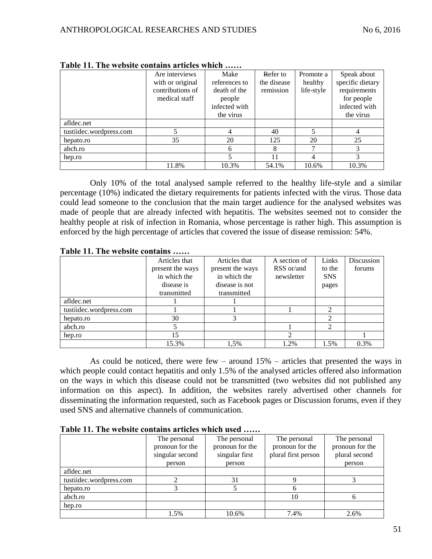|                         | Are interviews<br>with or original<br>contributions of | Make<br>references to<br>death of the | Refer to<br>the disease<br>remission | Promote a<br>healthy<br>life-style | Speak about<br>specific dietary<br>requirements |
|-------------------------|--------------------------------------------------------|---------------------------------------|--------------------------------------|------------------------------------|-------------------------------------------------|
|                         | medical staff                                          | people<br>infected with               |                                      |                                    | for people<br>infected with                     |
|                         |                                                        | the virus                             |                                      |                                    | the virus                                       |
| afldec.net              |                                                        |                                       |                                      |                                    |                                                 |
| tustiidec.wordpress.com |                                                        |                                       | 40                                   |                                    |                                                 |
| hepato.ro               | 35                                                     | 20                                    | 125                                  | 20                                 | 25                                              |
| abch.ro                 |                                                        | 6                                     | 8                                    | ⇁                                  | 3                                               |
| hep.ro                  |                                                        | 5                                     | 11                                   | 4                                  |                                                 |
|                         | 11.8%                                                  | 10.3%                                 | 54.1%                                | 10.6%                              | 10.3%                                           |

**Table 11. The website contains articles which ……**

Only 10% of the total analysed sample referred to the healthy life-style and a similar percentage (10%) indicated the dietary requirements for patients infected with the virus. Those data could lead someone to the conclusion that the main target audience for the analysed websites was made of people that are already infected with hepatitis. The websites seemed not to consider the healthy people at risk of infection in Romania, whose percentage is rather high. This assumption is enforced by the high percentage of articles that covered the issue of disease remission: 54%.

|                         | Articles that    | Articles that    | A section of | Links          | Discussion |
|-------------------------|------------------|------------------|--------------|----------------|------------|
|                         | present the ways | present the ways | RSS or/and   | to the         | forums     |
|                         | in which the     | in which the     | newsletter   | <b>SNS</b>     |            |
|                         | disease is       | disease is not   |              | pages          |            |
|                         | transmitted      | transmitted      |              |                |            |
| afldec.net              |                  |                  |              |                |            |
| tustiidec.wordpress.com |                  |                  |              | ി              |            |
| hepato.ro               | 30               | 3                |              | ◠              |            |
| abch.ro                 |                  |                  |              | $\mathfrak{D}$ |            |
| hep.ro                  | 15               |                  |              |                |            |
|                         | 15.3%            | 1,5%             | 1.2%         | 1.5%           | 0.3%       |

**Table 11. The website contains ……**

As could be noticed, there were few – around 15% – articles that presented the ways in which people could contact hepatitis and only 1.5% of the analysed articles offered also information on the ways in which this disease could not be transmitted (two websites did not published any information on this aspect). In addition, the websites rarely advertised other channels for disseminating the information requested, such as Facebook pages or Discussion forums, even if they used SNS and alternative channels of communication.

**Table 11. The website contains articles which used ……**

|                         | The personal    | The personal    | The personal        | The personal    |
|-------------------------|-----------------|-----------------|---------------------|-----------------|
|                         | pronoun for the | pronoun for the | pronoun for the     | pronoun for the |
|                         | singular second | singular first  | plural first person | plural second   |
|                         | person          | person          |                     | person          |
| afldec.net              |                 |                 |                     |                 |
| tustiidec.wordpress.com |                 | 31              |                     |                 |
| hepato.ro               |                 |                 |                     |                 |
| abch.ro                 |                 |                 | 10                  |                 |
| hep.ro                  |                 |                 |                     |                 |
|                         | 1.5%            | 10.6%           | 7.4%                | 2.6%            |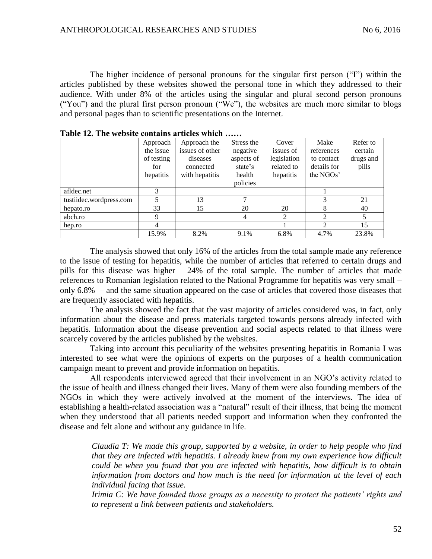The higher incidence of personal pronouns for the singular first person ("I") within the articles published by these websites showed the personal tone in which they addressed to their audience. With under 8% of the articles using the singular and plural second person pronouns ("You") and the plural first person pronoun ("We"), the websites are much more similar to blogs and personal pages than to scientific presentations on the Internet.

|                         | Approach   | Approach-the    | Stress the | Cover       | Make        | Refer to  |
|-------------------------|------------|-----------------|------------|-------------|-------------|-----------|
|                         | the issue  | issues of other | negative   | issues of   | references  | certain   |
|                         | of testing | diseases        | aspects of | legislation | to contact  | drugs and |
|                         | for        | connected       | state's    | related to  | details for | pills     |
|                         | hepatitis  | with hepatitis  | health     | hepatitis   | the NGOs'   |           |
|                         |            |                 | policies   |             |             |           |
| afldec.net              | 3          |                 |            |             |             |           |
| tustiidec.wordpress.com | 5          | 13              | ⇁          |             |             | 21        |
| hepato.ro               | 33         | 15              | 20         | 20          | 8           | 40        |
| abch.ro                 | 9          |                 | 4          | 2           | ↑           |           |
| hep.ro                  | 4          |                 |            |             | ↑           | 15        |
|                         | 15.9%      | 8.2%            | 9.1%       | 6.8%        | 4.7%        | 23.8%     |

**Table 12. The website contains articles which ……**

The analysis showed that only 16% of the articles from the total sample made any reference to the issue of testing for hepatitis, while the number of articles that referred to certain drugs and pills for this disease was higher – 24% of the total sample. The number of articles that made references to Romanian legislation related to the National Programme for hepatitis was very small – only 6.8% – and the same situation appeared on the case of articles that covered those diseases that are frequently associated with hepatitis.

The analysis showed the fact that the vast majority of articles considered was, in fact, only information about the disease and press materials targeted towards persons already infected with hepatitis. Information about the disease prevention and social aspects related to that illness were scarcely covered by the articles published by the websites.

Taking into account this peculiarity of the websites presenting hepatitis in Romania I was interested to see what were the opinions of experts on the purposes of a health communication campaign meant to prevent and provide information on hepatitis.

All respondents interviewed agreed that their involvement in an NGO's activity related to the issue of health and illness changed their lives. Many of them were also founding members of the NGOs in which they were actively involved at the moment of the interviews. The idea of establishing a health-related association was a "natural" result of their illness, that being the moment when they understood that all patients needed support and information when they confronted the disease and felt alone and without any guidance in life.

*Claudia T: We made this group, supported by a website, in order to help people who find that they are infected with hepatitis. I already knew from my own experience how difficult could be when you found that you are infected with hepatitis, how difficult is to obtain information from doctors and how much is the need for information at the level of each individual facing that issue.* 

*Irimia C: We have founded those groups as a necessity to protect the patients' rights and to represent a link between patients and stakeholders.*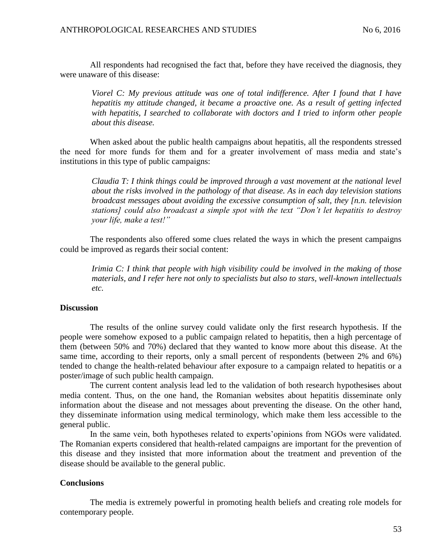All respondents had recognised the fact that, before they have received the diagnosis, they were unaware of this disease:

*Viorel C: My previous attitude was one of total indifference. After I found that I have hepatitis my attitude changed, it became a proactive one. As a result of getting infected with hepatitis, I searched to collaborate with doctors and I tried to inform other people about this disease.* 

When asked about the public health campaigns about hepatitis, all the respondents stressed the need for more funds for them and for a greater involvement of mass media and state's institutions in this type of public campaigns:

*Claudia T: I think things could be improved through a vast movement at the national level about the risks involved in the pathology of that disease. As in each day television stations broadcast messages about avoiding the excessive consumption of salt, they [n.n. television stations] could also broadcast a simple spot with the text "Don't let hepatitis to destroy your life, make a test!"* 

The respondents also offered some clues related the ways in which the present campaigns could be improved as regards their social content:

*Irimia C: I think that people with high visibility could be involved in the making of those materials, and I refer here not only to specialists but also to stars, well-known intellectuals etc.* 

#### **Discussion**

The results of the online survey could validate only the first research hypothesis. If the people were somehow exposed to a public campaign related to hepatitis, then a high percentage of them (between 50% and 70%) declared that they wanted to know more about this disease. At the same time, according to their reports, only a small percent of respondents (between 2% and 6%) tended to change the health-related behaviour after exposure to a campaign related to hepatitis or a poster/image of such public health campaign.

The current content analysis lead led to the validation of both research hypothesises about media content. Thus, on the one hand, the Romanian websites about hepatitis disseminate only information about the disease and not messages about preventing the disease. On the other hand, they disseminate information using medical terminology, which make them less accessible to the general public.

In the same vein, both hypotheses related to experts'opinions from NGOs were validated. The Romanian experts considered that health-related campaigns are important for the prevention of this disease and they insisted that more information about the treatment and prevention of the disease should be available to the general public.

## **Conclusions**

The media is extremely powerful in promoting health beliefs and creating role models for contemporary people.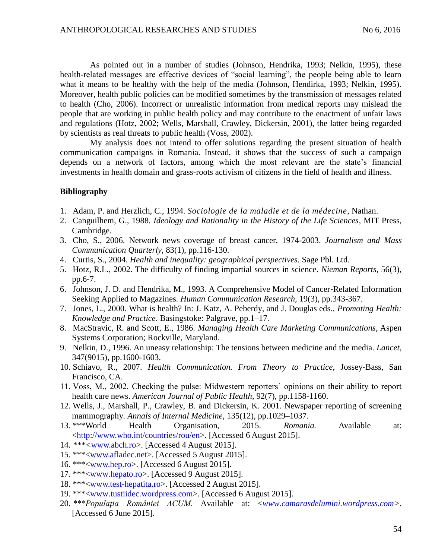As pointed out in a number of studies (Johnson, Hendrika, 1993; Nelkin, 1995), these health-related messages are effective devices of "social learning", the people being able to learn what it means to be healthy with the help of the media (Johnson, Hendirka, 1993; Nelkin, 1995). Moreover, health public policies can be modified sometimes by the transmission of messages related to health (Cho, 2006). Incorrect or unrealistic information from medical reports may mislead the people that are working in public health policy and may contribute to the enactment of unfair laws and regulations (Hotz, 2002; Wells, Marshall, Crawley, Dickersin, 2001), the latter being regarded by scientists as real threats to public health (Voss, 2002).

My analysis does not intend to offer solutions regarding the present situation of health communication campaigns in Romania. Instead, it shows that the success of such a campaign depends on a network of factors, among which the most relevant are the state's financial investments in health domain and grass-roots activism of citizens in the field of health and illness.

#### **Bibliography**

- 1. Adam, P. and Herzlich, C., 1994. *Sociologie de la maladie et de la médecine*, Nathan.
- 2. Canguilhem, G., 1988*. Ideology and Rationality in the History of the Life Sciences*, MIT Press, Cambridge.
- 3. Cho, S., 2006. Network news coverage of breast cancer, 1974-2003. *Journalism and Mass Communication Quarterly*, 83(1), pp.116-130.
- 4. Curtis, S., 2004. *Health and inequality: geographical perspectives*. Sage Pbl. Ltd.
- 5. Hotz, R.L., 2002. The difficulty of finding impartial sources in science. *Nieman Reports,* 56(3), pp.6-7.
- 6. Johnson, J. D. and Hendrika, M., 1993. A Comprehensive Model of Cancer‐Related Information Seeking Applied to Magazines. *Human Communication Research,* 19(3), pp.343-367.
- 7. Jones, L., 2000. What is health? In: J. Katz, A. Peberdy, and J. Douglas eds., *Promoting Health: Knowledge and Practice*. Basingstoke: Palgrave, pp.1–17.
- 8. MacStravic, R. and Scott, E., 1986. *Managing Health Care Marketing Communications*, Aspen Systems Corporation; Rockville, Maryland.
- 9. Nelkin, D., 1996. An uneasy relationship: The tensions between medicine and the media. *Lancet*, 347(9015), pp.1600-1603.
- 10. Schiavo, R., 2007. *Health Communication. From Theory to Practice*, Jossey-Bass, San Francisco, CA.
- 11. Voss, M., 2002. Checking the pulse: Midwestern reporters' opinions on their ability to report health care news. *American Journal of Public Health*, 92(7), pp.1158-1160.
- 12. Wells, J., Marshall, P., Crawley, B. and Dickersin, K. 2001. Newspaper reporting of screening mammography. *Annals of Internal Medicine*, 135(12), pp.1029–1037.
- 13. \*\*\*World Health Organisation, 2015. *Romania.* Available at: [<http://www.who.int/countries/rou/en>](http://www.who.int/countries/rou/en). [Accessed 6 August 2015].
- 14. *\*\*\*<*[www.abch.ro>](http://www.abch.ro/). [Accessed 4 August 2015].
- 15. \*\*\*[<www.afladec.net>](http://www.afladec.net/). [Accessed 5 August 2015].
- 16. \*\*\*[<www.hep.ro>](http://www.hep.ro/). [Accessed 6 August 2015].
- 17. \*\*\*[<www.hepato.ro>](http://www.hepato.ro/). [Accessed 9 August 2015].
- 18. \*\*\*[<www.test-hepatita.ro>](http://www.test-hepatita.ro/). [Accessed 2 August 2015].
- 19. \*\*\*[<www.tustiidec.wordpress.com>](http://www.tustiidec.wordpress.com/)*.* [Accessed 6 August 2015].
- 20. *\*\*\*Populaţia României ACUM.* Available at: <*[www.camarasdelumini.wordpress.com>](http://www.camarasdelumini.wordpress.com/)*. [Accessed 6 June 2015].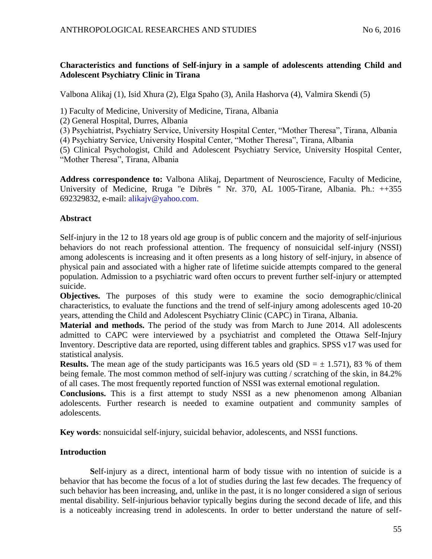# **Characteristics and functions of Self-injury in a sample of adolescents attending Child and Adolescent Psychiatry Clinic in Tirana**

Valbona Alikaj (1), Isid Xhura (2), Elga Spaho (3), Anila Hashorva (4), Valmira Skendi (5)

1) Faculty of Medicine, University of Medicine, Tirana, Albania

(2) General Hospital, Durres, Albania

(3) Psychiatrist, Psychiatry Service, University Hospital Center, "Mother Theresa", Tirana, Albania

(4) Psychiatry Service, University Hospital Center, "Mother Theresa", Tirana, Albania

(5) Clinical Psychologist, Child and Adolescent Psychiatry Service, University Hospital Center, "Mother Theresa", Tirana, Albania

**Address correspondence to:** Valbona Alikaj, Department of Neuroscience, Faculty of Medicine, University of Medicine, Rruga "e Dibrës " Nr. 370, AL 1005-Tirane, Albania. Ph.: ++355 692329832, e-mail: [alikajv@yahoo.com.](mailto:alikajv@yahoo.com)

# **Abstract**

Self-injury in the 12 to 18 years old age group is of public concern and the majority of self-injurious behaviors do not reach professional attention. The frequency of nonsuicidal self-injury (NSSI) among adolescents is increasing and it often presents as a long history of self-injury, in absence of physical pain and associated with a higher rate of lifetime suicide attempts compared to the general population. Admission to a psychiatric ward often occurs to prevent further self-injury or attempted suicide.

**Objectives.** The purposes of this study were to examine the socio demographic/clinical characteristics, to evaluate the functions and the trend of self-injury among adolescents aged 10-20 years, attending the Child and Adolescent Psychiatry Clinic (CAPC) in Tirana, Albania.

**Material and methods.** The period of the study was from March to June 2014. All adolescents admitted to CAPC were interviewed by a psychiatrist and completed the Ottawa Self-Injury Inventory. Descriptive data are reported, using different tables and graphics. SPSS v17 was used for statistical analysis.

**Results.** The mean age of the study participants was 16.5 years old (SD =  $\pm$  1.571), 83 % of them being female. The most common method of self-injury was cutting / scratching of the skin, in 84.2% of all cases. The most frequently reported function of NSSI was external emotional regulation.

**Conclusions.** This is a first attempt to study NSSI as a new phenomenon among Albanian adolescents. Further research is needed to examine outpatient and community samples of adolescents.

**Key words**: nonsuicidal self-injury, suicidal behavior, adolescents, and NSSI functions.

# **Introduction**

**S**elf-injury as a direct, intentional harm of body tissue with no intention of suicide is a behavior that has become the focus of a lot of studies during the last few decades. The frequency of such behavior has been increasing, and, unlike in the past, it is no longer considered a sign of serious mental disability. Self-injurious behavior typically begins during the second decade of life, and this is a noticeably increasing trend in adolescents. In order to better understand the nature of self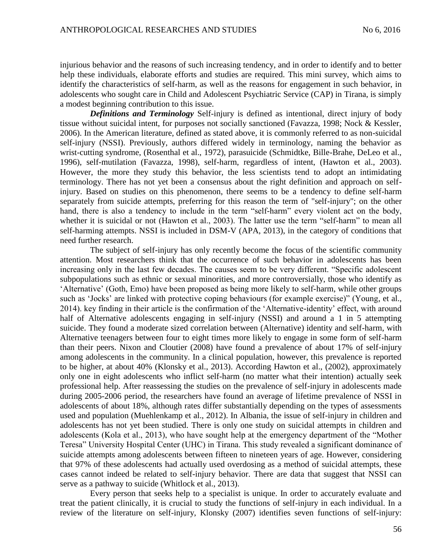injurious behavior and the reasons of such increasing tendency, and in order to identify and to better help these individuals, elaborate efforts and studies are required. This mini survey, which aims to identify the characteristics of self-harm, as well as the reasons for engagement in such behavior, in adolescents who sought care in Child and Adolescent Psychiatric Service (CAP) in Tirana, is simply a modest beginning contribution to this issue.

*Definitions and Terminology* Self-injury is defined as intentional, direct injury of body tissue without suicidal intent, for purposes not socially sanctioned (Favazza, 1998; Nock & Kessler, 2006). In the American literature, defined as stated above, it is commonly referred to as non-suicidal self-injury (NSSI). Previously, authors differed widely in terminology, naming the behavior as wrist-cutting syndrome, (Rosenthal et al., 1972), parasuicide (Schmidtke, Bille-Brahe, DeLeo et al., 1996), self-mutilation (Favazza, 1998), self-harm, regardless of intent, (Hawton et al., 2003). However, the more they study this behavior, the less scientists tend to adopt an intimidating terminology. There has not yet been a consensus about the right definition and approach on selfinjury. Based on studies on this phenomenon, there seems to be a tendency to define self-harm separately from suicide attempts, preferring for this reason the term of "self-injury"; on the other hand, there is also a tendency to include in the term "self-harm" every violent act on the body, whether it is suicidal or not (Hawton et al., 2003). The latter use the term "self-harm" to mean all self-harming attempts. NSSI is included in DSM-V (APA, 2013), in the category of conditions that need further research.

The subject of self-injury has only recently become the focus of the scientific community attention. Most researchers think that the occurrence of such behavior in adolescents has been increasing only in the last few decades. The causes seem to be very different. "Specific adolescent subpopulations such as ethnic or sexual minorities, and more controversially, those who identify as 'Alternative' (Goth, Emo) have been proposed as being more likely to self-harm, while other groups such as 'Jocks' are linked with protective coping behaviours (for example exercise)" (Young, et al., 2014). key finding in their article is the confirmation of the 'Alternative-identity' effect, with around half of Alternative adolescents engaging in self-injury (NSSI) and around a 1 in 5 attempting suicide. They found a moderate sized correlation between (Alternative) identity and self-harm, with Alternative teenagers between four to eight times more likely to engage in some form of self-harm than their peers. Nixon and Cloutier (2008) have found a prevalence of about 17% of self-injury among adolescents in the community. In a clinical population, however, this prevalence is reported to be higher, at about 40% (Klonsky et al., 2013). According Hawton et al., (2002), approximately only one in eight adolescents who inflict self-harm (no matter what their intention) actually seek professional help. After reassessing the studies on the prevalence of self-injury in adolescents made during 2005-2006 period, the researchers have found an average of lifetime prevalence of NSSI in adolescents of about 18%, although rates differ substantially depending on the types of assessments used and population (Muehlenkamp et al., 2012). In Albania, the issue of self-injury in children and adolescents has not yet been studied. There is only one study on suicidal attempts in children and adolescents (Kola et al., 2013), who have sought help at the emergency department of the "Mother Teresa" University Hospital Center (UHC) in Tirana. This study revealed a significant dominance of suicide attempts among adolescents between fifteen to nineteen years of age. However, considering that 97% of these adolescents had actually used overdosing as a method of suicidal attempts, these cases cannot indeed be related to self-injury behavior. There are data that suggest that NSSI can serve as a pathway to suicide (Whitlock et al., 2013).

Every person that seeks help to a specialist is unique. In order to accurately evaluate and treat the patient clinically, it is crucial to study the functions of self-injury in each individual. In a review of the literature on self-injury, Klonsky (2007) identifies seven functions of self-injury: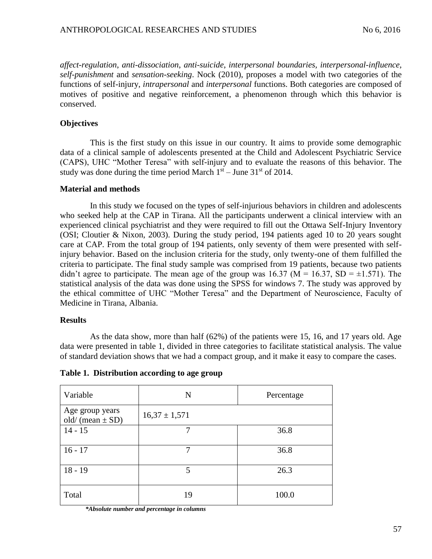*affect-regulation*, *anti-dissociation*, *anti-suicide*, *interpersonal boundaries, interpersonal-influence, self-punishment* and *sensation-seeking*. Nock (2010), proposes a model with two categories of the functions of self-injury, *intrapersonal* and *interpersonal* functions. Both categories are composed of motives of positive and negative reinforcement, a phenomenon through which this behavior is conserved.

# **Objectives**

This is the first study on this issue in our country. It aims to provide some demographic data of a clinical sample of adolescents presented at the Child and Adolescent Psychiatric Service (CAPS), UHC "Mother Teresa" with self-injury and to evaluate the reasons of this behavior. The study was done during the time period March  $1<sup>st</sup> - June 31<sup>st</sup>$  of 2014.

## **Material and methods**

In this study we focused on the types of self-injurious behaviors in children and adolescents who seeked help at the CAP in Tirana. All the participants underwent a clinical interview with an experienced clinical psychiatrist and they were required to fill out the Ottawa Self-Injury Inventory (OSI; Cloutier & Nixon, 2003). During the study period, 194 patients aged 10 to 20 years sought care at CAP. From the total group of 194 patients, only seventy of them were presented with selfinjury behavior. Based on the inclusion criteria for the study, only twenty-one of them fulfilled the criteria to participate. The final study sample was comprised from 19 patients, because two patients didn't agree to participate. The mean age of the group was  $16.37$  (M =  $16.37$ , SD =  $\pm 1.571$ ). The statistical analysis of the data was done using the SPSS for windows 7. The study was approved by the ethical committee of UHC "Mother Teresa" and the Department of Neuroscience, Faculty of Medicine in Tirana, Albania.

## **Results**

As the data show, more than half (62%) of the patients were 15, 16, and 17 years old. Age data were presented in table 1, divided in three categories to facilitate statistical analysis. The value of standard deviation shows that we had a compact group, and it make it easy to compare the cases.

| Variable                                | N                 | Percentage |
|-----------------------------------------|-------------------|------------|
| Age group years<br>old/ (mean $\pm$ SD) | $16,37 \pm 1,571$ |            |
| $14 - 15$                               |                   | 36.8       |
| $16 - 17$                               | 7                 | 36.8       |
| $18 - 19$                               | 5                 | 26.3       |
| Total                                   | 19                | 100.0      |

**Table 1. Distribution according to age group**

*\*Absolute number and percentage in columns*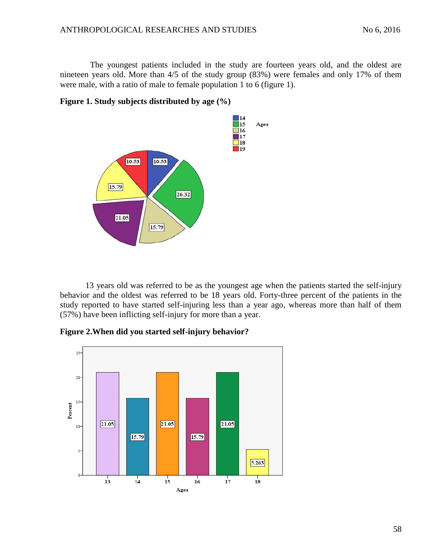The youngest patients included in the study are fourteen years old, and the oldest are nineteen years old. More than 4/5 of the study group (83%) were females and only 17% of them were male, with a ratio of male to female population 1 to 6 (figure 1).



**Figure 1. Study subjects distributed by age (%)**

13 years old was referred to be as the youngest age when the patients started the self-injury behavior and the oldest was referred to be 18 years old. Forty-three percent of the patients in the study reported to have started self-injuring less than a year ago, whereas more than half of them (57%) have been inflicting self-injury for more than a year.

**Figure 2.When did you started self-injury behavior?**

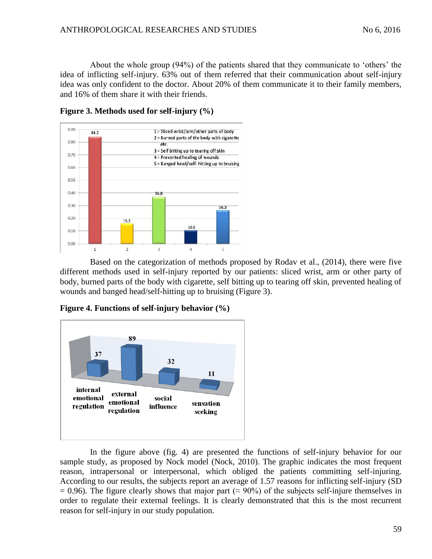About the whole group (94%) of the patients shared that they communicate to 'others' the idea of inflicting self-injury. 63% out of them referred that their communication about self-injury idea was only confident to the doctor. About 20% of them communicate it to their family members, and 16% of them share it with their friends.



**Figure 3. Methods used for self-injury (%)**

Based on the categorization of methods proposed by Rodav et al., (2014), there were five different methods used in self-injury reported by our patients: sliced wrist, arm or other party of body, burned parts of the body with cigarette, self bitting up to tearing off skin, prevented healing of wounds and banged head/self-hitting up to bruising (Figure 3).



**Figure 4. Functions of self-injury behavior (%)**

In the figure above (fig. 4) are presented the functions of self-injury behavior for our sample study, as proposed by Nock model (Nock, 2010). The graphic indicates the most frequent reason, intrapersonal or interpersonal, which obliged the patients committing self-injuring. According to our results, the subjects report an average of 1.57 reasons for inflicting self-injury (SD  $= 0.96$ ). The figure clearly shows that major part ( $\approx 90\%$ ) of the subjects self-injure themselves in order to regulate their external feelings. It is clearly demonstrated that this is the most recurrent reason for self-injury in our study population.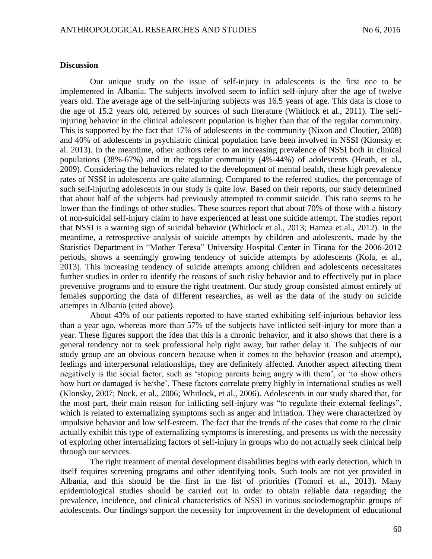#### **Discussion**

Our unique study on the issue of self-injury in adolescents is the first one to be implemented in Albania. The subjects involved seem to inflict self-injury after the age of twelve years old. The average age of the self-injuring subjects was 16.5 years of age. This data is close to the age of 15.2 years old, referred by sources of such literature (Whitlock et al., 2011). The selfinjuring behavior in the clinical adolescent population is higher than that of the regular community. This is supported by the fact that 17% of adolescents in the community (Nixon and Cloutier, 2008) and 40% of adolescents in psychiatric clinical population have been involved in NSSI (Klonsky et al. 2013). In the meantime, other authors refer to an increasing prevalence of NSSI both in clinical populations (38%-67%) and in the regular community (4%-44%) of adolescents (Heath, et al., 2009). Considering the behaviors related to the development of mental health, these high prevalence rates of NSSI in adolescents are quite alarming. Compared to the referred studies, the percentage of such self-injuring adolescents in our study is quite low. Based on their reports, our study determined that about half of the subjects had previously attempted to commit suicide. This ratio seems to be lower than the findings of other studies. These sources report that about 70% of those with a history of non-suicidal self-injury claim to have experienced at least one suicide attempt. The studies report that NSSI is a warning sign of suicidal behavior (Whitlock et al., 2013; Hamza et al., 2012). In the meantime, a retrospective analysis of suicide attempts by children and adolescents, made by the Statistics Department in "Mother Teresa" University Hospital Center in Tirana for the 2006-2012 periods, shows a seemingly growing tendency of suicide attempts by adolescents (Kola, et al., 2013). This increasing tendency of suicide attempts among children and adolescents necessitates further studies in order to identify the reasons of such risky behavior and to effectively put in place preventive programs and to ensure the right treatment. Our study group consisted almost entirely of females supporting the data of different researches, as well as the data of the study on suicide attempts in Albania (cited above).

About 43% of our patients reported to have started exhibiting self-injurious behavior less than a year ago, whereas more than 57% of the subjects have inflicted self-injury for more than a year. These figures support the idea that this is a chronic behavior, and it also shows that there is a general tendency not to seek professional help right away, but rather delay it. The subjects of our study group are an obvious concern because when it comes to the behavior (reason and attempt), feelings and interpersonal relationships, they are definitely affected. Another aspect affecting them negatively is the social factor, such as 'stoping parents being angry with them', or 'to show others how hurt or damaged is he/she'. These factors correlate pretty highly in international studies as well (Klonsky, 2007; Nock, et al., 2006; Whitlock, et al., 2006). Adolescents in our study shared that, for the most part, their main reason for inflicting self-injury was "to regulate their external feelings", which is related to externalizing symptoms such as anger and irritation. They were characterized by impulsive behavior and low self-esteem. The fact that the trends of the cases that come to the clinic actually exhibit this type of externalizing symptoms is interesting, and presents us with the necessity of exploring other internalizing factors of self-injury in groups who do not actually seek clinical help through our services.

The right treatment of mental development disabilities begins with early detection, which in itself requires screening programs and other identifying tools. Such tools are not yet provided in Albania, and this should be the first in the list of priorities (Tomori et al., 2013). Many epidemiological studies should be carried out in order to obtain reliable data regarding the prevalence, incidence, and clinical characteristics of NSSI in various sociodemographic groups of adolescents. Our findings support the necessity for improvement in the development of educational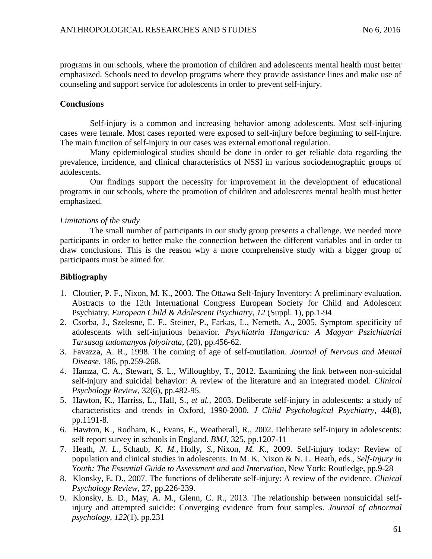programs in our schools, where the promotion of children and adolescents mental health must better emphasized. Schools need to develop programs where they provide assistance lines and make use of counseling and support service for adolescents in order to prevent self-injury.

## **Conclusions**

Self-injury is a common and increasing behavior among adolescents. Most self-injuring cases were female. Most cases reported were exposed to self-injury before beginning to self-injure. The main function of self-injury in our cases was external emotional regulation.

Many epidemiological studies should be done in order to get reliable data regarding the prevalence, incidence, and clinical characteristics of NSSI in various sociodemographic groups of adolescents.

Our findings support the necessity for improvement in the development of educational programs in our schools, where the promotion of children and adolescents mental health must better emphasized.

# *Limitations of the study*

The small number of participants in our study group presents a challenge. We needed more participants in order to better make the connection between the different variables and in order to draw conclusions. This is the reason why a more comprehensive study with a bigger group of participants must be aimed for.

# **Bibliography**

- 1. Cloutier, P. F., Nixon, M. K., 2003. The Ottawa Self-Injury Inventory: A preliminary evaluation. Abstracts to the 12th International Congress European Society for Child and Adolescent Psychiatry. *European Child & Adolescent Psychiatry, 12* (Suppl. 1), pp.1-94
- 2. Csorba, J., Szelesne, E. F., Steiner, P., Farkas, L., Nemeth, A., 2005. Symptom specificity of adolescents with self-injurious behavior. *Psychiatria Hungarica: A Magyar Pszichiatriai Tarsasag tudomanyos folyoirata,* (20), pp.456-62.
- 3. Favazza, A. R., 1998. The coming of age of self-mutilation. *Journal of Nervous and Mental Disease*, 186, pp.259-268.
- 4. Hamza, C. A., Stewart, S. L., Willoughby, T., 2012. Examining the link between non-suicidal self-injury and suicidal behavior: A review of the literature and an integrated model. *Clinical Psychology Review*, 32(6), pp.482-95.
- 5. Hawton, K., Harriss, L., Hall, S., *et al.,* 2003. Deliberate self-injury in adolescents: a study of characteristics and trends in Oxford, 1990-2000. *J Child Psychological Psychiatry*, 44(8), pp.1191-8.
- 6. Hawton, K., Rodham, K., Evans, E., Weatherall, R., 2002. Deliberate self-injury in adolescents: self report survey in schools in England. *BMJ,* 325, pp.1207-11
- 7. Heath*, N. L.,* Schaub*, K. M.,* Holly*, S.,* Nixon*, M. K.,* 2009*.* Self-injury today: Review of population and clinical studies in adolescents. In M. K. Nixon & N. L. Heath, eds., *Self-Injury in Youth: The Essential Guide to Assessment and and Intervation*, New York: Routledge, pp.9-28
- 8. Klonsky, E. D., 2007. The functions of deliberate self-injury: A review of the evidence. *Clinical Psychology Review*, 27, pp.226-239.
- 9. Klonsky, E. D., May, A. M., Glenn, C. R., 2013. The relationship between nonsuicidal selfinjury and attempted suicide: Converging evidence from four samples. *Journal of abnormal psychology*, *122*(1), pp.231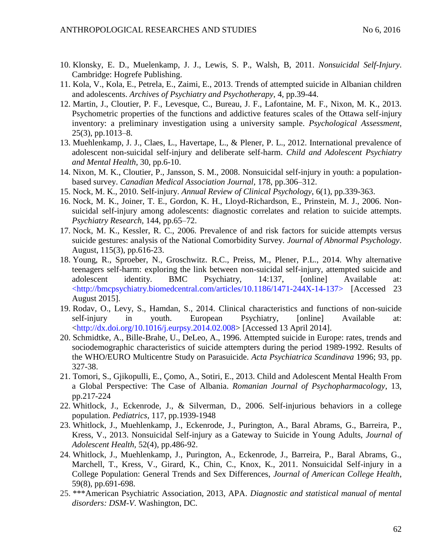- 10. Klonsky, E. D., Muelenkamp, J. J., Lewis, S. P., Walsh, B, 2011. *Nonsuicidal Self-Injury*. Cambridge: Hogrefe Publishing.
- 11. Kola, V., Kola, E., Petrela, E., Zaimi, E., 2013. Trends of attempted suicide in Albanian children and adolescents. *Archives of Psychiatry and Psychotherapy*, 4, pp.39-44.
- 12. Martin, J., Cloutier, P. F., Levesque, C., Bureau, J. F., Lafontaine, M. F., Nixon, M. K., 2013. Psychometric properties of the functions and addictive features scales of the Ottawa self-injury inventory: a preliminary investigation using a university sample. *Psychological Assessment*, 25(3), pp.1013–8.
- 13. Muehlenkamp, J. J., Claes, L., Havertape, L., & Plener, P. L., 2012. International prevalence of adolescent non-suicidal self-injury and deliberate self-harm. *Child and Adolescent Psychiatry and Mental Health*, 30, pp.6-10.
- 14. Nixon, M. K., Cloutier, P., Jansson, S. M., 2008. Nonsuicidal self-injury in youth: a populationbased survey. *Canadian Medical Association Journal,* 178, pp.306–312.
- 15. Nock, M. K., 2010. Self-injury. *Annual Review of Clinical Psychology*, 6(1), pp.339-363.
- 16. Nock, M. K., Joiner, T. E., Gordon, K. H., Lloyd-Richardson, E., Prinstein, M. J., 2006. Nonsuicidal self-injury among adolescents: diagnostic correlates and relation to suicide attempts. *Psychiatry Research,* 144, pp.65–72.
- 17. Nock, M. K., Kessler, R. C., 2006. Prevalence of and risk factors for suicide attempts versus suicide gestures: analysis of the National Comorbidity Survey. *Journal of Abnormal Psychology*. August, 115(3), pp.616-23.
- 18. Young, R., Sproeber, N., Groschwitz. R.C., Preiss, M., Plener, P.L., 2014. Why alternative teenagers self-harm: exploring the link between non-suicidal self-injury, attempted suicide and adolescent identity. BMC Psychiatry, 14:137, [online] Available at: <http://bmcpsychiatry.biomedcentral.com/articles/10.1186/1471-244X-14-137> [Accessed 23 August 2015].
- 19. Rodav, O., Levy, S., Hamdan, S., 2014. Clinical characteristics and functions of non-suicide self-injury in youth. European Psychiatry, [online] Available at: [<http://dx.doi.org/10.1016/j.eurpsy.2014.02.008>](http://dx.doi.org/10.1016/j.eurpsy.2014.02.008) [Accessed 13 April 2014].
- 20. Schmidtke, A., Bille-Brahe, U., DeLeo, A., 1996. Attempted suicide in Europe: rates, trends and sociodemographic characteristics of suicide attempters during the period 1989-1992. Results of the WHO/EURO Multicentre Study on Parasuicide. *Acta Psychiatrica Scandinava* 1996; 93, pp. 327-38.
- 21. Tomori, S., Gjikopulli, E., Çomo, A., Sotiri, E., 2013. Child and Adolescent Mental Health From a Global Perspective: The Case of Albania. *Romanian Journal of Psychopharmacology*, 13, pp.217-224
- 22. Whitlock, J., Eckenrode, J., & Silverman, D., 2006. Self-injurious behaviors in a college population. *Pediatrics*, 117, pp.1939-1948
- 23. Whitlock, J., Muehlenkamp, J., Eckenrode, J., Purington, A., Baral Abrams, G., Barreira, P., Kress, V., 2013. Nonsuicidal Self-injury as a Gateway to Suicide in Young Adults, *Journal of Adolescent Health,* 52(4), pp.486-92.
- 24. Whitlock, J., Muehlenkamp, J., Purington, A., Eckenrode, J., Barreira, P., Baral Abrams, G., Marchell, T., Kress, V., Girard, K., Chin, C., Knox, K., 2011. Nonsuicidal Self-injury in a College Population: General Trends and Sex Differences, *Journal of American College Health*, 59(8), pp.691-698.
- 25. \*\*\*American Psychiatric Association, 2013, APA. *Diagnostic and statistical manual of mental disorders: DSM-V*. Washington, DC.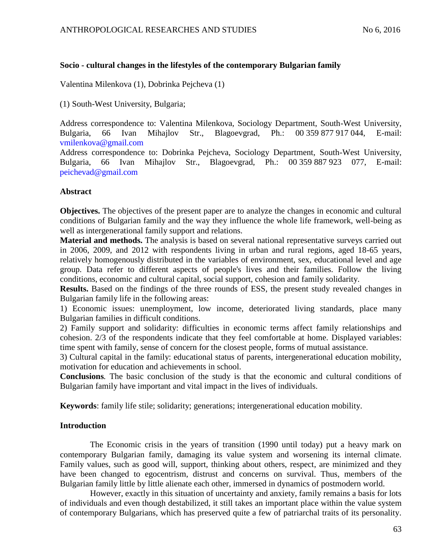# **Socio - cultural changes in the lifestyles of the contemporary Bulgarian family**

Valentina Milenkova (1), Dobrinka Pejcheva (1)

(1) South-West University, Bulgaria;

Address correspondence to: Valentina Milenkova, Sociology Department, South-West University, Bulgaria, 66 Ivan Mihajlov Str., Blagoevgrad, Ph.: 00 359 877 917 044, E-mail: [vmilenkova@gmail.com](mailto:vmilenkova@gmail.com)

Address correspondence to: Dobrinka Pejcheva, Sociology Department, South-West University, Bulgaria, 66 Ivan Mihajlov Str., Blagoevgrad, Ph.: 00 359 887 923 077, E-mail: [peichevad@gmail.com](mailto:peichevad@gmail.com)

# **Abstract**

**Objectives.** The objectives of the present paper are to analyze the changes in economic and cultural conditions of Bulgarian family and the way they influence the whole life framework, well-being as well as intergenerational family support and relations.

**Material and methods.** The analysis is based on several national representative surveys carried out in 2006, 2009, and 2012 with respondents living in urban and rural regions, aged 18-65 years, relatively homogenously distributed in the variables of environment, sex, educational level and age group. Data refer to different aspects of people's lives and their families. Follow the living conditions, economic and cultural capital, social support, cohesion and family solidarity.

**Results.** Based on the findings of the three rounds of ESS, the present study revealed changes in Bulgarian family life in the following areas:

1) Economic issues: unemployment, low income, deteriorated living standards, place many Bulgarian families in difficult conditions.

2) Family support and solidarity: difficulties in economic terms affect family relationships and cohesion. 2/3 of the respondents indicate that they feel comfortable at home. Displayed variables: time spent with family, sense of concern for the closest people, forms of mutual assistance.

3) Cultural capital in the family: educational status of parents, intergenerational education mobility, motivation for education and achievements in school.

**Conclusions***.* The basic conclusion of the study is that the economic and cultural conditions of Bulgarian family have important and vital impact in the lives of individuals.

**Keywords**: family life stile; solidarity; generations; intergenerational education mobility.

## **Introduction**

The Economic crisis in the years of transition (1990 until today) put a heavy mark on contemporary Bulgarian family, damaging its value system and worsening its internal climate. Family values, such as good will, support, thinking about others, respect, are minimized and they have been changed to egocentrism, distrust and concerns on survival. Thus, members of the Bulgarian family little by little alienate each other, immersed in dynamics of postmodern world.

However, exactly in this situation of uncertainty and anxiety, family remains a basis for lots of individuals and even though destabilized, it still takes an important place within the value system of contemporary Bulgarians, which has preserved quite a few of patriarchal traits of its personality.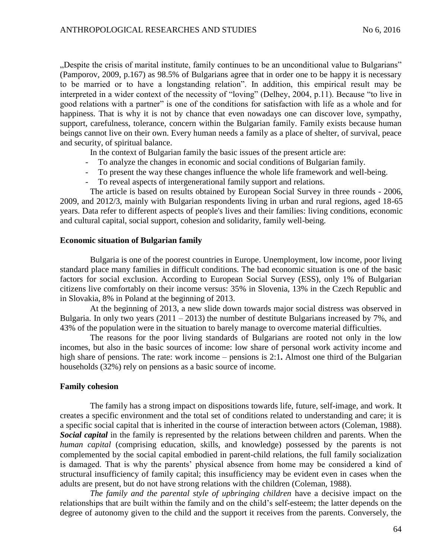"Despite the crisis of marital institute, family continues to be an unconditional value to Bulgarians" (Pamporov, 2009, p.167) as 98.5% of Bulgarians agree that in order one to be happy it is necessary to be married or to have a longstanding relation". In addition, this empirical result may be interpreted in a wider context of the necessity of "loving" (Delhey, 2004, p.11). Because "to live in good relations with a partner" is one of the conditions for satisfaction with life as a whole and for happiness. That is why it is not by chance that even nowadays one can discover love, sympathy, support, carefulness, tolerance, concern within the Bulgarian family. Family exists because human beings cannot live on their own. Every human needs a family as a place of shelter, of survival, peace and security, of spiritual balance.

In the context of Bulgarian family the basic issues of the present article are:

- To analyze the changes in economic and social conditions of Bulgarian family.
- To present the way these changes influence the whole life framework and well-being.
- To reveal aspects of intergenerational family support and relations.

The article is based on results obtained by European Social Survey in three rounds - 2006, 2009, and 2012/3, mainly with Bulgarian respondents living in urban and rural regions, aged 18-65 years. Data refer to different aspects of people's lives and their families: living conditions, economic and cultural capital, social support, cohesion and solidarity, family well-being.

#### **Economic situation of Bulgarian family**

Bulgaria is one of the poorest countries in Europe. Unemployment, low income, poor living standard place many families in difficult conditions. The bad economic situation is one of the basic factors for social exclusion. According to European Social Survey (ESS), only 1% of Bulgarian citizens live comfortably on their income versus: 35% in Slovenia, 13% in the Czech Republic and in Slovakia, 8% in Poland at the beginning of 2013.

At the beginning of 2013, a new slide down towards major social distress was observed in Bulgaria. In only two years  $(2011 – 2013)$  the number of destitute Bulgarians increased by 7%, and 43% of the population were in the situation to barely manage to overcome material difficulties.

The reasons for the poor living standards of Bulgarians are rooted not only in the low incomes, but also in the basic sources of income: low share of personal work activity income and high share of pensions. The rate: work income – pensions is 2:1**.** Almost one third of the Bulgarian households (32%) rely on pensions as a basic source of income.

## **Family cohesion**

The family has a strong impact on dispositions towards life, future, self-image, and work. It creates a specific environment and the total set of conditions related to understanding and care; it is a specific social capital that is inherited in the course of interaction between actors (Coleman, 1988). *Social capital* in the family is represented by the relations between children and parents. When the *human capital* (comprising education, skills, and knowledge) possessed by the parents is not complemented by the social capital embodied in parent-child relations, the full family socialization is damaged. That is why the parents' physical absence from home may be considered a kind of structural insufficiency of family capital; this insufficiency may be evident even in cases when the adults are present, but do not have strong relations with the children (Coleman, 1988).

*The family and the parental style of upbringing children* have a decisive impact on the relationships that are built within the family and on the child's self-esteem; the latter depends on the degree of autonomy given to the child and the support it receives from the parents. Conversely, the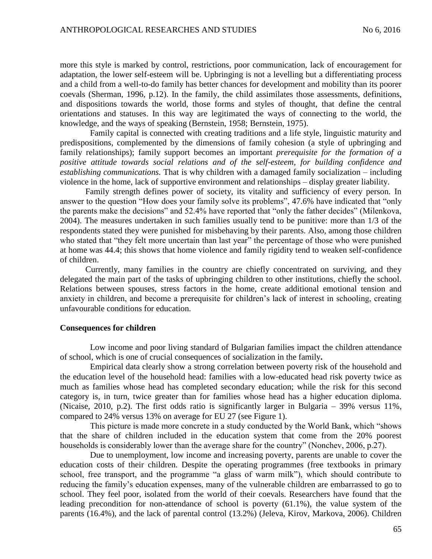more this style is marked by control, restrictions, poor communication, lack of encouragement for adaptation, the lower self-esteem will be. Upbringing is not a levelling but a differentiating process and a child from a well-to-do family has better chances for development and mobility than its poorer coevals (Sherman, 1996, p.12). In the family, the child assimilates those assessments, definitions, and dispositions towards the world, those forms and styles of thought, that define the central orientations and statuses. In this way are legitimated the ways of connecting to the world, the knowledge, and the ways of speaking (Bernstein, 1958; Bernstein, 1975).

Family capital is connected with creating traditions and a life style, linguistic maturity and predispositions, complemented by the dimensions of family cohesion (a style of upbringing and family relationships); family support becomes an important *prerequisite for the formation of a positive attitude towards social relations and of the self-esteem, for building confidence and establishing communications.* That is why children with a damaged family socialization – including violence in the home, lack of supportive environment and relationships – display greater liability.

Family strength defines power of society, its vitality and sufficiency of every person. In answer to the question "How does your family solve its problems", 47.6% have indicated that "only the parents make the decisions" and 52.4% have reported that "only the father decides" (Milenkova, 2004). The measures undertaken in such families usually tend to be punitive: more than 1/3 of the respondents stated they were punished for misbehaving by their parents. Also, among those children who stated that "they felt more uncertain than last year" the percentage of those who were punished at home was 44.4; this shows that home violence and family rigidity tend to weaken self-confidence of children.

Currently, many families in the country are chiefly concentrated on surviving, and they delegated the main part of the tasks of upbringing children to other institutions, chiefly the school. Relations between spouses, stress factors in the home, create additional emotional tension and anxiety in children, and become a prerequisite for children's lack of interest in schooling, creating unfavourable conditions for education.

#### **Consequences for children**

Low income and poor living standard of Bulgarian families impact the children attendance of school, which is one of crucial consequences of socialization in the family**.** 

Empirical data clearly show a strong correlation between poverty risk of the household and the education level of the household head: families with a low‐educated head risk poverty twice as much as families whose head has completed secondary education; while the risk for this second category is, in turn, twice greater than for families whose head has a higher education diploma. (Nicaise, 2010, p.2). The first odds ratio is significantly larger in Bulgaria – 39% versus 11%, compared to 24% versus 13% on average for EU 27 (see Figure 1).

This picture is made more concrete in a study conducted by the World Bank, which "shows that the share of children included in the education system that come from the 20% poorest households is considerably lower than the average share for the country" (Nonchev, 2006, p.27).

Due to unemployment, low income and increasing poverty, parents are unable to cover the education costs of their children. Despite the operating programmes (free textbooks in primary school, free transport, and the programme "a glass of warm milk"), which should contribute to reducing the family's education expenses, many of the vulnerable children are embarrassed to go to school. They feel poor, isolated from the world of their coevals. Researchers have found that the leading precondition for non-attendance of school is poverty (61.1%), the value system of the parents (16.4%), and the lack of parental control (13.2%) (Jeleva, Kirov, Markova, 2006). Children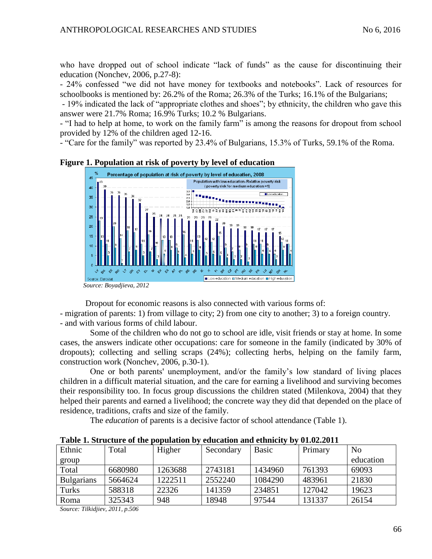who have dropped out of school indicate "lack of funds" as the cause for discontinuing their education (Nonchev, 2006, p.27-8):

- 24% confessed "we did not have money for textbooks and notebooks". Lack of resources for schoolbooks is mentioned by: 26.2% of the Roma; 26.3% of the Turks; 16.1% of the Bulgarians;

- 19% indicated the lack of "appropriate clothes and shoes"; by ethnicity, the children who gave this answer were 21.7% Roma; 16.9% Turks; 10.2 % Bulgarians.

- "I had to help at home, to work on the family farm" is among the reasons for dropout from school provided by 12% of the children aged 12-16.

- "Care for the family" was reported by 23.4% of Bulgarians, 15.3% of Turks, 59.1% of the Roma.



## **Figure 1. Population at risk of poverty by level of education**

Dropout for economic reasons is also connected with various forms of:

- migration of parents: 1) from village to city; 2) from one city to another; 3) to a foreign country. - and with various forms of child labour.

Some of the children who do not go to school are idle, visit friends or stay at home. In some cases, the answers indicate other occupations: care for someone in the family (indicated by 30% of dropouts); collecting and selling scraps (24%); collecting herbs, helping on the family farm, construction work (Nonchev, 2006, p.30-1).

One or both parents' unemployment, and/or the family's low standard of living places children in a difficult material situation, and the care for earning a livelihood and surviving becomes their responsibility too. In focus group discussions the children stated (Milenkova, 2004) that they helped their parents and earned a livelihood; the concrete way they did that depended on the place of residence, traditions, crafts and size of the family.

The *education* of parents is a decisive factor of school attendance (Table 1).

|                   | таріс ті ри асште от піс рораницоп р |         | cuucuusi unu cunniciv v<br>$V = V - V + V$ |              |         |           |  |
|-------------------|--------------------------------------|---------|--------------------------------------------|--------------|---------|-----------|--|
| Ethnic            | Total                                | Higher  | Secondary                                  | <b>Basic</b> | Primary | No        |  |
| group             |                                      |         |                                            |              |         | education |  |
| Total             | 6680980                              | 1263688 | 2743181                                    | 1434960      | 761393  | 69093     |  |
| <b>Bulgarians</b> | 5664624                              | 1222511 | 2552240                                    | 1084290      | 483961  | 21830     |  |
| Turks             | 588318                               | 22326   | 141359                                     | 234851       | 127042  | 19623     |  |
| Roma              | 325343                               | 948     | 18948                                      | 97544        | 131337  | 26154     |  |

**Table 1. Structure of the population by education and ethnicity by 01.02.2011**

*Source: Tilkidjiev, 2011, p.506*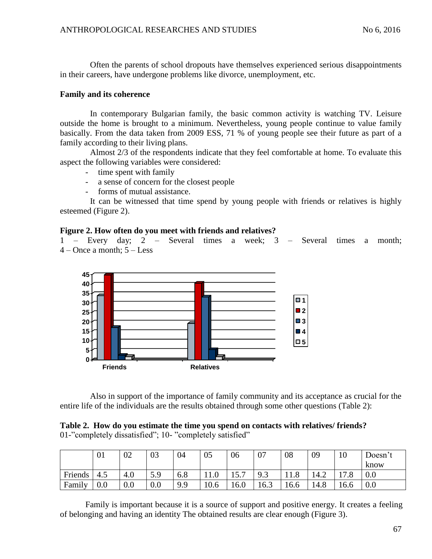Often the parents of school dropouts have themselves experienced serious disappointments in their careers, have undergone problems like divorce, unemployment, etc.

## **Family and its coherence**

In contemporary Bulgarian family, the basic common activity is watching TV. Leisure outside the home is brought to a minimum. Nevertheless, young people continue to value family basically. From the data taken from 2009 ESS, 71 % of young people see their future as part of a family according to their living plans.

Almost 2/3 of the respondents indicate that they feel comfortable at home. To evaluate this aspect the following variables were considered:

- time spent with family
- a sense of concern for the closest people
- forms of mutual assistance.

It can be witnessed that time spend by young people with friends or relatives is highly esteemed (Figure 2).

# **Figure 2. How often do you meet with friends and relatives?**

1 – Every day; 2 – Several times a week; 3 – Several times a month;  $4 -$ Once a month;  $5 -$ Less



Also in support of the importance of family community and its acceptance as crucial for the entire life of the individuals are the results obtained through some other questions (Table 2):

# **Table 2. How do you estimate the time you spend on contacts with relatives/ friends?** 01-"completely dissatisfied"; 10- "completely satisfied"

|         | 01  | 02  | 03      | 04  | 05   | 06   | 07                     | 08   | 09   | 10   | Doesn't |
|---------|-----|-----|---------|-----|------|------|------------------------|------|------|------|---------|
|         |     |     |         |     |      |      |                        |      |      |      | know    |
| Friends | 4.5 | 4.0 | 5.9     | 6.8 | 11.0 | 15.7 | Q <sub>2</sub><br>ر. ر | 11.8 | 14.2 | 17 O | 0.0     |
| Family  | 0.0 | 0.0 | $0.0\,$ | 9.9 | 10.6 | 16.0 | 16.3                   | 16.6 | 14.8 | 16.6 | 0.0     |

Family is important because it is a source of support and positive energy. It creates a feeling of belonging and having an identity The obtained results are clear enough (Figure 3).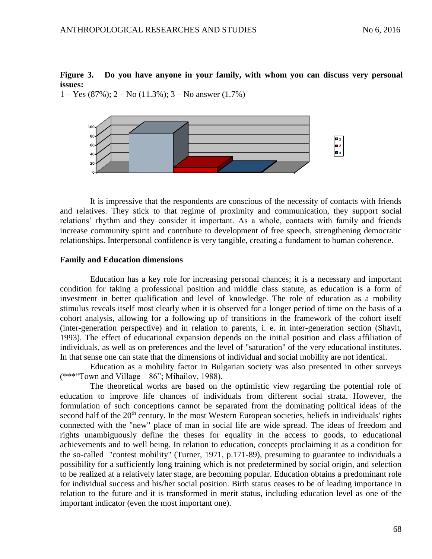# **Figure 3. Do you have anyone in your family, with whom you can discuss very personal issues:**

 $1 - Yes (87\%)$ ;  $2 - No (11.3\%)$ ;  $3 - No$  answer  $(1.7\%)$ 



It is impressive that the respondents are conscious of the necessity of contacts with friends and relatives. They stick to that regime of proximity and communication, they support social relations' rhythm and they consider it important. As a whole, contacts with family and friends increase community spirit and contribute to development of free speech, strengthening democratic relationships. Interpersonal confidence is very tangible, creating a fundament to human coherence.

## **Family and Education dimensions**

Education has a key role for increasing personal chances; it is a necessary and important condition for taking a professional position and middle class statute, as education is a form of investment in better qualification and level of knowledge. The role of education as a mobility stimulus reveals itself most clearly when it is observed for a longer period of time on the basis of a cohort analysis, allowing for a following up of transitions in the framework of the cohort itself (inter-generation perspective) and in relation to parents, i. e. in inter-generation section (Shavit, 1993). The effect of educational expansion depends on the initial position and class affiliation of individuals, as well as on preferences and the level of "saturation" of the very educational institutes. In that sense one can state that the dimensions of individual and social mobility are not identical.

Education as a mobility factor in Bulgarian society was also presented in other surveys  $(***$ "Town and Village – 86"; Mihailov, 1988).

The theoretical works are based on the optimistic view regarding the potential role of education to improve life chances of individuals from different social strata. However, the formulation of such conceptions cannot be separated from the dominating political ideas of the second half of the 20<sup>th</sup> century. In the most Western European societies, beliefs in individuals' rights connected with the "new" place of man in social life are wide spread. The ideas of freedom and rights unambiguously define the theses for equality in the access to goods, to educational achievements and to well being. In relation to education, concepts proclaiming it as a condition for the so-called "contest mobility" (Turner, 1971, p.171-89), presuming to guarantee to individuals a possibility for a sufficiently long training which is not predetermined by social origin, and selection to be realized at a relatively later stage, are becoming popular. Education obtains a predominant role for individual success and his/her social position. Birth status ceases to be of leading importance in relation to the future and it is transformed in merit status, including education level as one of the important indicator (even the most important one).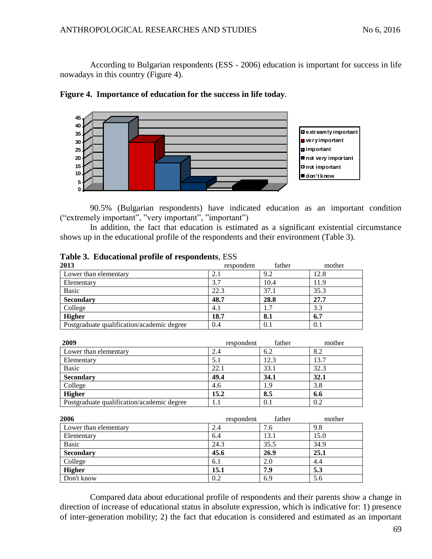According to Bulgarian respondents (ESS - 2006) education is important for success in life nowadays in this country (Figure 4).





90.5% (Bulgarian respondents) have indicated education as an important condition ("extremely important", "very important", "important")

In addition, the fact that education is estimated as a significant existential circumstance shows up in the educational profile of the respondents and their environment (Table 3).

| 2013                                       | respondent | father | mother |
|--------------------------------------------|------------|--------|--------|
| Lower than elementary                      | 2.1        | 9.2    | 12.8   |
| Elementary                                 | 3.7        | 10.4   | 11.9   |
| <b>Basic</b>                               | 22.3       | 37.1   | 35.3   |
| <b>Secondary</b>                           | 48.7       | 28.8   | 27.7   |
| College                                    | 4.1        | 1.7    | 3.3    |
| <b>Higher</b>                              | 18.7       | 8.1    | 6.7    |
| Postgraduate qualification/academic degree | 0.4        | 0.1    | 0.1    |

**Table 3. Educational profile of respondents**, ESS

| 2009                                       | respondent | father | mother |
|--------------------------------------------|------------|--------|--------|
| Lower than elementary                      | 2.4        | 6.2    | 8.2    |
| Elementary                                 | 5.1        | 12.3   | 13.7   |
| Basic                                      | 22.1       | 33.1   | 32.3   |
| <b>Secondary</b>                           | 49.4       | 34.1   | 32.1   |
| College                                    | 4.6        | l.9    | 3.8    |
| <b>Higher</b>                              | 15.2       | 8.5    | 6.6    |
| Postgraduate qualification/academic degree | 1.1        | 0.1    | 0.2    |

| 2006                  | respondent | father | mother |
|-----------------------|------------|--------|--------|
| Lower than elementary | 2.4        | 7.6    | 9.8    |
| Elementary            | 6.4        | 13.1   | 15.0   |
| Basic                 | 24.3       | 35.5   | 34.9   |
| <b>Secondary</b>      | 45.6       | 26.9   | 25.1   |
| College               | 6.1        | 2.0    | 4.4    |
| <b>Higher</b>         | 15.1       | 7.9    | 5.3    |
| Don't know            | 0.2        | 6.9    | 5.6    |

Compared data about educational profile of respondents and their parents show a change in direction of increase of educational status in absolute expression, which is indicative for: 1) presence of inter-generation mobility; 2) the fact that education is considered and estimated as an important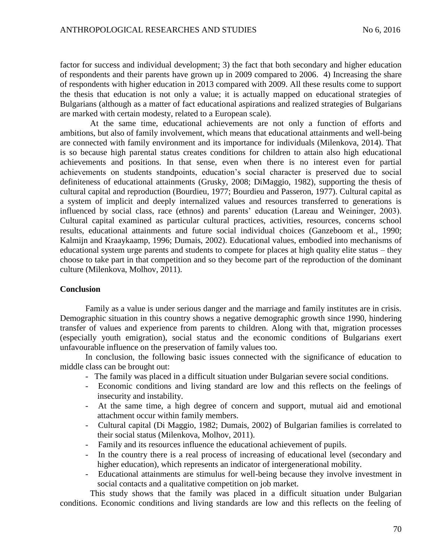factor for success and individual development; 3) the fact that both secondary and higher education of respondents and their parents have grown up in 2009 compared to 2006. 4) Increasing the share of respondents with higher education in 2013 compared with 2009. All these results come to support the thesis that education is not only a value; it is actually mapped on educational strategies of Bulgarians (although as a matter of fact educational aspirations and realized strategies of Bulgarians are marked with certain modesty, related to a European scale).

At the same time, educational achievements are not only a function of efforts and ambitions, but also of family involvement, which means that educational attainments and well-being are connected with family environment and its importance for individuals (Milenkova, 2014). That is so because high parental status creates conditions for children to attain also high educational achievements and positions. In that sense, even when there is no interest even for partial achievements on students standpoints, education's social character is preserved due to social definiteness of educational attainments (Grusky, 2008; DiMaggio, 1982), supporting the thesis of cultural capital and reproduction (Bourdieu, 1977; Bourdieu and Passeron, 1977). Cultural capital as a system of implicit and deeply internalized values and resources transferred to generations is influenced by social class, race (ethnos) and parents' education (Lareau and Weininger, 2003). Cultural capital examined as particular cultural practices, activities, resources, concerns school results, educational attainments and future social individual choices (Ganzeboom et al., 1990; Kalmijn and Kraaykaamp, 1996; Dumais, 2002). Educational values, embodied into mechanisms of educational system urge parents and students to compete for places at high quality elite status – they choose to take part in that competition and so they become part of the reproduction of the dominant culture (Milenkova, Molhov, 2011).

#### **Conclusion**

Family as a value is under serious danger and the marriage and family institutes are in crisis. Demographic situation in this country shows a negative demographic growth since 1990, hindering transfer of values and experience from parents to children. Along with that, migration processes (especially youth emigration), social status and the economic conditions of Bulgarians exert unfavourable influence on the preservation of family values too.

In conclusion, the following basic issues connected with the significance of education to middle class can be brought out:

- The family was placed in a difficult situation under Bulgarian severe social conditions.
- Economic conditions and living standard are low and this reflects on the feelings of insecurity and instability.
- At the same time, a high degree of concern and support, mutual aid and emotional attachment occur within family members.
- Cultural capital (Di Maggio, 1982; Dumais, 2002) of Bulgarian families is correlated to their social status (Milenkova, Molhov, 2011).
- Family and its resources influence the educational achievement of pupils.
- In the country there is a real process of increasing of educational level (secondary and higher education), which represents an indicator of intergenerational mobility.
- Educational attainments are stimulus for well-being because they involve investment in social contacts and a qualitative competition on job market.

This study shows that the family was placed in a difficult situation under Bulgarian conditions. Economic conditions and living standards are low and this reflects on the feeling of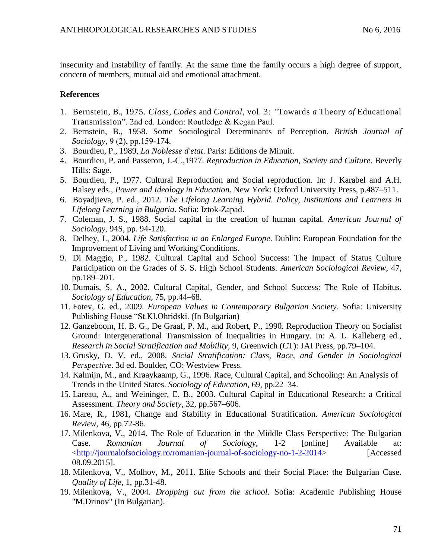insecurity and instability of family. At the same time the family occurs a high degree of support, concern of members, mutual aid and emotional attachment.

# **References**

- 1. Bernstein, B., 1975*. Class*, *Codes* and *Control*, vol*.* 3: *"*Towards *a* Theory *of* Educational Transmission". 2nd ed. London: Routledge & Kegan Paul.
- 2. Bernstein, B., 1958. Some Sociological Determinants of Perception. *British Journal of Sociology*, 9 (2), рp.159-174.
- 3. Bourdieu, P., 1989, *La Noblesse d'etat*. Paris: Editions de Minuit.
- 4. Bourdieu, P. and Passeron, J.-C.,1977. *Reproduction in Education, Society and Culture*. Beverly Hills: Sage.
- 5. Bourdieu, P., 1977. Cultural Reproduction and Social reproduction. In: J. Karabel and A.H. Halsey eds., *Power and Ideology in Education*. New York: Oxford University Press, p.487–511.
- 6. Boyadjieva, P. ed., 2012. *The Lifelong Learning Hybrid. Policy, Institutions and Learners in Lifelong Learning in Bulgaria*. Sofia: Iztok-Zapad.
- 7. Coleman, J. S., 1988. Social capital in the creation of human capital. *American Journal of Sociology*, 94S, pp. 94-120.
- 8. Delhey, J., 2004. *Life Satisfaction in an Enlarged Europe*. Dublin: European Foundation for the Improvement of Living and Working Conditions.
- 9. Di Maggio, P., 1982. Cultural Capital and School Success: The Impact of Status Culture Participation on the Grades of S. S. High School Students. *American Sociological Review*, 47, pp.189–201.
- 10. Dumais, S. A., 2002. Cultural Capital, Gender, and School Success: The Role of Habitus. *Sociology of Education,* 75, pp.44–68.
- 11. Fotev, G. ed., 2009*. European Values in Contemporary Bulgarian Society*. Sofia: University Publishing House "St.Kl.Ohridski. (In Bulgarian)
- 12. Ganzeboom, H. B. G., De Graaf, P. M., and Robert, P., 1990. Reproduction Theory on Socialist Ground: Intergenerational Transmission of Inequalities in Hungary. In: A. L. Kalleberg ed., *Research in Social Stratification and Mobility*, 9, Greenwich (CT): JAI Press, pp.79–104.
- 13. Grusky, D. V. ed., 2008. *Social Stratification: Class, Race, and Gender in Sociological Perspective*. 3d ed. Boulder, CO: Westview Press.
- 14. Kalmijn, M., and Kraaykaamp, G., 1996. Race, Cultural Capital, and Schooling: An Analysis of Trends in the United States. *Sociology of Education*, 69, pp.22–34.
- 15. Lareau, A., and Weininger, E. B., 2003. Cultural Capital in Educational Research: a Critical Assessment. *Theory and Society*, 32, pp.567–606.
- 16. Mare, R., 1981, Change and Stability in Educational Stratification. *American Sociological Review,* 46, pp.72-86.
- 17. Milenkova, V., 2014. The Role of Education in the Middle Class Perspective: The Bulgarian Case. *Romanian Journal of Sociology*, 1-2 [online] Available at: [<http://journalofsociology.ro/romanian-journal-of-sociology-no-1-2-2014>](http://journalofsociology.ro/romanian-journal-of-sociology-no-1-2-2014) [Accessed 08.09.2015].
- 18. Milenkova, V., Molhov, M., 2011. Elite Schools and their Social Place: the Bulgarian Case. *Quality of Life*, 1, pp.31-48.
- 19. Milenkova, V., 2004. *Dropping out from the school*. Sofia: Academic Publishing House "M.Drinov" (In Bulgarian).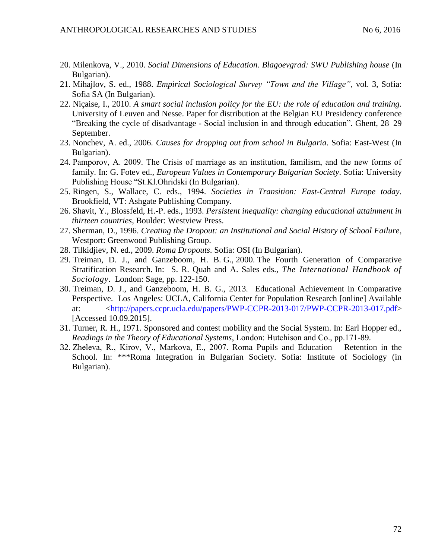- 20. Milenkova, V., 2010. *Social Dimensions of Education. Blagoevgrad: SWU Publishing house* (In Bulgarian).
- 21. Mihajlov, S. ed., 1988. *Empirical Sociological Survey "Town and the Village"*, vol. 3, Sofia: Sofia SA (In Bulgarian).
- 22. Niçaise, I., 2010. *A smart social inclusion policy for the EU: the role of education and training.*  University of Leuven and Nesse. Paper for distribution at the Belgian EU Presidency conference "Breaking the cycle of disadvantage - Social inclusion in and through education"*.* Ghent, 28–29 September.
- 23. Nonchev, A. ed., 2006. *Causes for dropping out from school in Bulgaria*. Sofia: East-West (In Bulgarian).
- 24. Pamporov, А. 2009. The Crisis of marriage as an institution, familism, and the new forms of family. In: G. Fotev ed., *European Values in Contemporary Bulgarian Society*. Sofia: University Publishing House "St.Kl.Ohridski (In Bulgarian).
- 25. Ringen, S., Wallace, C. eds., 1994. *Societies in Transition: East-Central Europe today*. Brookfield, VT: Ashgate Publishing Company.
- 26. Shavit, Y., Blossfeld, H.-P. eds., 1993. *Persistent inequality: changing educational attainment in thirteen countries*, Boulder: Westview Press.
- 27. Sherman, D., 1996. *Creating the Dropout: an Institutional and Social History of School Failure*, Westport: Greenwood Publishing Group.
- 28. Tilkidjiev, N. ed., 2009. *Roma Dropouts*. Sofia: OSI (In Bulgarian).
- 29. Treiman, D. J., and Ganzeboom, H. B. G., 2000. The Fourth Generation of Comparative Stratification Research. In: S. R. Quah and A. Sales eds., *The International Handbook of Sociology*. London: Sage, pp. 122-150.
- 30. Treiman, D. J., and Ganzeboom, H. B. G., 2013. Educational Achievement in Comparative Perspective. Los Angeles: UCLA, California Center for Population Research [online] Available at: [<http://papers.ccpr.ucla.edu/papers/PWP-CCPR-2013-017/PWP-CCPR-2013-017.pdf>](http://papers.ccpr.ucla.edu/papers/PWP-CCPR-2013-017/PWP-CCPR-2013-017.pdf) [Accessed 10.09.2015].
- 31. Turner, R. H., 1971. Sponsored and contest mobility and the Social System. In: Earl Hopper ed., *Readings in the Theory of Educational Systems*, London: Hutchison and Co., рp.171-89.
- 32. Zheleva, R., Kirov, V., Markova, Е., 2007. Roma Pupils and Education Retention in the School. In: \*\*\*Roma Integration in Bulgarian Society. Sofia: Institute of Sociology (in Bulgarian).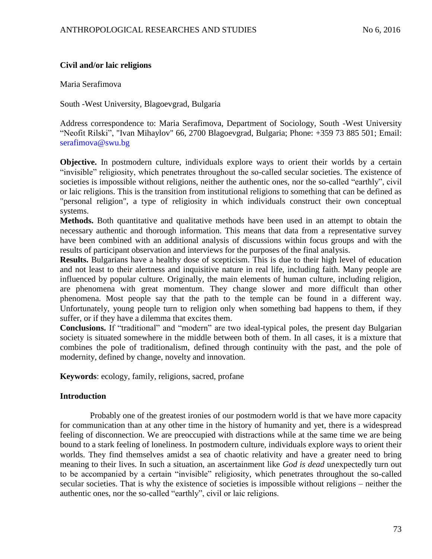# **Civil and/or laic religions**

Maria Serafimova

South -West University, Blagoevgrad, Bulgaria

Address correspondence to: Maria Serafimova, Department of Sociology, South -West University "Neofit Rilski", "Ivan Mihaylov" 66, 2700 Blagoevgrad, Bulgaria; Phone: +359 73 885 501; Email: [serafimova@swu.bg](mailto:serafimova@swu.bg)

**Objective.** In postmodern culture, individuals explore ways to orient their worlds by a certain "invisible" religiosity, which penetrates throughout the so-called secular societies. The existence of societies is impossible without religions, neither the authentic ones, nor the so-called "earthly", civil or laic religions. This is the transition from institutional religions to something that can be defined as "personal religion", a type of religiosity in which individuals construct their own conceptual systems.

**Methods.** Both quantitative and qualitative methods have been used in an attempt to obtain the necessary authentic and thorough information. This means that data from a representative survey have been combined with an additional analysis of discussions within focus groups and with the results of participant observation and interviews for the purposes of the final analysis.

**Results.** Bulgarians have a healthy dose of scepticism. This is due to their high level of education and not least to their alertness and inquisitive nature in real life, including faith. Many people are influenced by popular culture. Originally, the main elements of human culture, including religion, are phenomena with great momentum. They change slower and more difficult than other phenomena. Most people say that the path to the temple can be found in a different way. Unfortunately, young people turn to religion only when something bad happens to them, if they suffer, or if they have a dilemma that excites them.

**Conclusions.** If "traditional" and "modern" are two ideal-typical poles, the present day Bulgarian society is situated somewhere in the middle between both of them. In all cases, it is a mixture that combines the pole of traditionalism, defined through continuity with the past, and the pole of modernity, defined by change, novelty and innovation.

**Keywords**: ecology, family, religions, sacred, profane

## **Introduction**

Probably one of the greatest ironies of our postmodern world is that we have more capacity for communication than at any other time in the history of humanity and yet, there is a widespread feeling of disconnection. We are preoccupied with distractions while at the same time we are being bound to a stark feeling of loneliness. In postmodern culture, individuals explore ways to orient their worlds. They find themselves amidst a sea of chaotic relativity and have a greater need to bring meaning to their lives. In such a situation, an ascertainment like *God is dead* unexpectedly turn out to be accompanied by a certain "invisible" religiosity, which penetrates throughout the so-called secular societies. That is why the existence of societies is impossible without religions – neither the authentic ones, nor the so-called "earthly", civil or laic religions.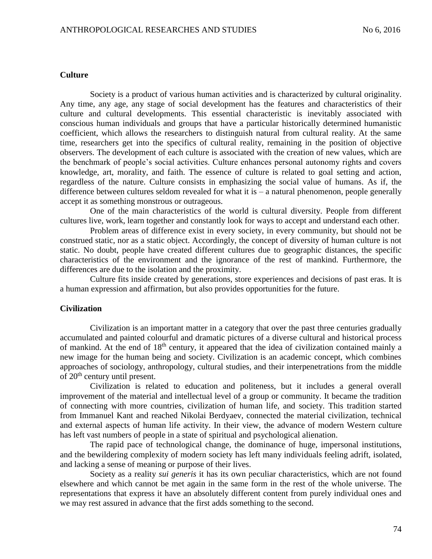#### **Culture**

Society is a product of various human activities and is characterized by cultural originality. Any time, any age, any stage of social development has the features and characteristics of their culture and cultural developments. This essential characteristic is inevitably associated with conscious human individuals and groups that have a particular historically determined humanistic coefficient, which allows the researchers to distinguish natural from cultural reality. At the same time, researchers get into the specifics of cultural reality, remaining in the position of objective observers. The development of each culture is associated with the creation of new values, which are the benchmark of people's social activities. Culture enhances personal autonomy rights and covers knowledge, art, morality, and faith. The essence of culture is related to goal setting and action, regardless of the nature. Culture consists in emphasizing the social value of humans. As if, the difference between cultures seldom revealed for what it is  $-$  a natural phenomenon, people generally accept it as something monstrous or outrageous.

One of the main characteristics of the world is cultural diversity. People from different cultures live, work, learn together and constantly look for ways to accept and understand each other.

Problem areas of difference exist in every society, in every community, but should not be construed static, nor as a static object. Accordingly, the concept of diversity of human culture is not static. No doubt, people have created different cultures due to geographic distances, the specific characteristics of the environment and the ignorance of the rest of mankind. Furthermore, the differences are due to the isolation and the proximity.

Culture fits inside created by generations, store experiences and decisions of past eras. It is a human expression and affirmation, but also provides opportunities for the future.

## **Civilization**

Civilization is an important matter in a category that over the past three centuries gradually accumulated and painted colourful and dramatic pictures of a diverse cultural and historical process of mankind. At the end of 18th century, it appeared that the idea of civilization contained mainly a new image for the human being and society. Civilization is an academic concept, which combines approaches of sociology, anthropology, cultural studies, and their interpenetrations from the middle of 20th century until present.

Civilization is related to education and politeness, but it includes a general overall improvement of the material and intellectual level of a group or community. It became the tradition of connecting with more countries, civilization of human life, and society. This tradition started from Immanuel Kant and reached Nikolai Berdyaev, connected the material civilization, technical and external aspects of human life activity. In their view, the advance of modern Western culture has left vast numbers of people in a state of spiritual and psychological alienation.

The rapid pace of technological change, the dominance of huge, impersonal institutions, and the bewildering complexity of modern society has left many individuals feeling adrift, isolated, and lacking a sense of meaning or purpose of their lives.

Society as a reality *sui generis* it has its own peculiar characteristics, which are not found elsewhere and which cannot be met again in the same form in the rest of the whole universe. The representations that express it have an absolutely different content from purely individual ones and we may rest assured in advance that the first adds something to the second.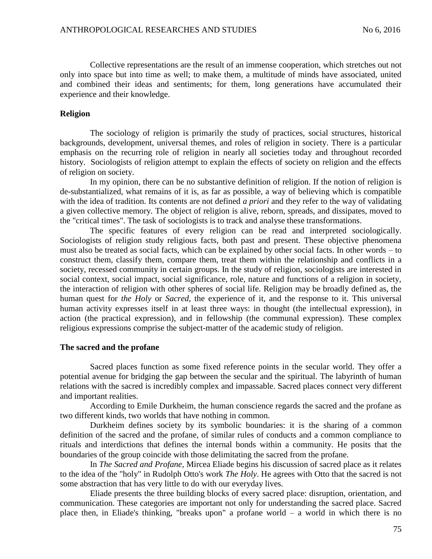Collective representations are the result of an immense cooperation, which stretches out not only into space but into time as well; to make them, a multitude of minds have associated, united and combined their ideas and sentiments; for them, long generations have accumulated their experience and their knowledge.

## **Religion**

The sociology of religion is primarily the study of practices, social structures, historical backgrounds, development, universal themes, and roles of religion in society. There is a particular emphasis on the recurring role of religion in nearly all societies today and throughout recorded history. Sociologists of religion attempt to explain the effects of society on religion and the effects of religion on society.

In my opinion, there can be no substantive definition of religion. If the notion of religion is de-substantialized, what remains of it is, as far as possible, a way of believing which is compatible with the idea of tradition. Its contents are not defined *a priori* and they refer to the way of validating a given collective memory. The object of religion is alive, reborn, spreads, and dissipates, moved to the "critical times". The task of sociologists is to track and analyse these transformations.

The specific features of every religion can be read and interpreted sociologically. Sociologists of religion study religious facts, both past and present. These objective phenomena must also be treated as social facts, which can be explained by other social facts. In other words – to construct them, classify them, compare them, treat them within the relationship and conflicts in a society, recessed community in certain groups. In the study of religion, sociologists are interested in social context, social impact, social significance, role, nature and functions of a religion in society, the interaction of religion with other spheres of social life. Religion may be broadly defined as, the human quest for *the Holy* or *Sacred*, the experience of it, and the response to it. This universal human activity expresses itself in at least three ways: in thought (the intellectual expression), in action (the practical expression), and in fellowship (the communal expression). These complex religious expressions comprise the subject-matter of the academic study of religion.

## **The sacred and the profane**

Sacred places function as some fixed reference points in the secular world. They offer a potential avenue for bridging the gap between the secular and the spiritual. The labyrinth of human relations with the sacred is incredibly complex and impassable. Sacred places connect very different and important realities.

According to Emile Durkheim, the human conscience regards the sacred and the profane as two different kinds, two worlds that have nothing in common.

Durkheim defines society by its symbolic boundaries: it is the sharing of a common definition of the sacred and the profane, of similar rules of conducts and a common compliance to rituals and interdictions that defines the internal bonds within a community. He posits that the boundaries of the group coincide with those delimitating the sacred from the profane.

In *The Sacred and Profane*, Mircea Eliade begins his discussion of sacred place as it relates to the idea of the "holy" in Rudolph Otto's work *The Holy*. He agrees with Otto that the sacred is not some abstraction that has very little to do with our everyday lives.

Eliade presents the three building blocks of every sacred place: disruption, orientation, and communication. These categories are important not only for understanding the sacred place. Sacred place then, in Eliade's thinking, "breaks upon" a profane world – a world in which there is no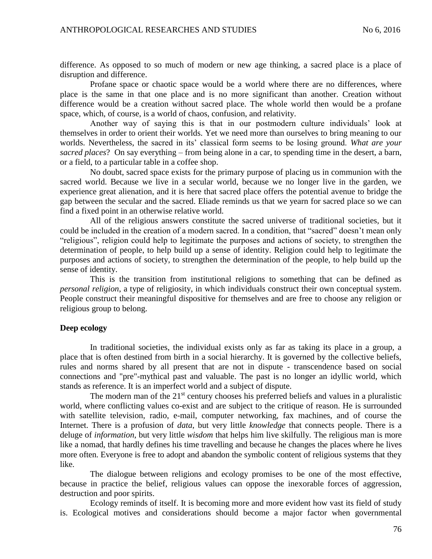difference. As opposed to so much of modern or new age thinking, a sacred place is a place of disruption and difference.

Profane space or chaotic space would be a world where there are no differences, where place is the same in that one place and is no more significant than another. Creation without difference would be a creation without sacred place. The whole world then would be a profane space, which, of course, is a world of chaos, confusion, and relativity.

Another way of saying this is that in our postmodern culture individuals' look at themselves in order to orient their worlds. Yet we need more than ourselves to bring meaning to our worlds. Nevertheless, the sacred in its' classical form seems to be losing ground. *What are your sacred places*? On say everything – from being alone in a car, to spending time in the desert, a barn, or a field, to a particular table in a coffee shop.

No doubt, sacred space exists for the primary purpose of placing us in communion with the sacred world. Because we live in a secular world, because we no longer live in the garden, we experience great alienation, and it is here that sacred place offers the potential avenue to bridge the gap between the secular and the sacred. Eliade reminds us that we yearn for sacred place so we can find a fixed point in an otherwise relative world.

All of the religious answers constitute the sacred universe of traditional societies, but it could be included in the creation of a modern sacred. In a condition, that "sacred" doesn't mean only "religious", religion could help to legitimate the purposes and actions of society, to strengthen the determination of people, to help build up a sense of identity. Religion could help to legitimate the purposes and actions of society, to strengthen the determination of the people, to help build up the sense of identity.

This is the transition from institutional religions to something that can be defined as *personal religion*, a type of religiosity, in which individuals construct their own conceptual system. People construct their meaningful dispositive for themselves and are free to choose any religion or religious group to belong.

## **Deep ecology**

In traditional societies, the individual exists only as far as taking its place in a group, a place that is often destined from birth in a social hierarchy. It is governed by the collective beliefs, rules and norms shared by all present that are not in dispute - transcendence based on social connections and "pre"-mythical past and valuable. The past is no longer an idyllic world, which stands as reference. It is an imperfect world and a subject of dispute.

The modern man of the  $21<sup>st</sup>$  century chooses his preferred beliefs and values in a pluralistic world, where conflicting values co-exist and are subject to the critique of reason. He is surrounded with satellite television, radio, e-mail, computer networking, fax machines, and of course the Internet. There is a profusion of *data*, but very little *knowledge* that connects people. There is a deluge of *information*, but very little *wisdom* that helps him live skilfully. The religious man is more like a nomad, that hardly defines his time travelling and because he changes the places where he lives more often. Everyone is free to adopt and abandon the symbolic content of religious systems that they like.

The dialogue between religions and ecology promises to be one of the most effective, because in practice the belief, religious values can oppose the inexorable forces of aggression, destruction and poor spirits.

Ecology reminds of itself. It is becoming more and more evident how vast its field of study is. Ecological motives and considerations should become a major factor when governmental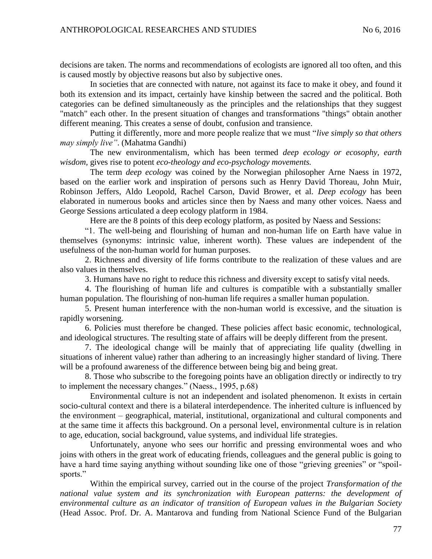decisions are taken. The norms and recommendations of ecologists are ignored all too often, and this is caused mostly by objective reasons but also by subjective ones.

In societies that are connected with nature, not against its face to make it obey, and found it both its extension and its impact, certainly have kinship between the sacred and the political. Both categories can be defined simultaneously as the principles and the relationships that they suggest "match" each other. In the present situation of changes and transformations "things" obtain another different meaning. This creates a sense of doubt, confusion and transience.

Putting it differently, more and more people realize that we must "*live simply so that others may simply live"*. (Mahatma Gandhi)

The new environmentalism, which has been termed *deep ecology or ecosophy, earth wisdom,* gives rise to potent *eco-theology and eco-psychology movements.* 

The term *deep ecology* was coined by the Norwegian philosopher Arne Naess in 1972, based on the earlier work and inspiration of persons such as Henry David Thoreau, John Muir, Robinson Jeffers, Aldo Leopold, Rachel Carson, David Brower, et al. *Deep ecology* has been elaborated in numerous books and articles since then by Naess and many other voices. Naess and George Sessions articulated a deep ecology platform in 1984.

Here are the 8 points of this deep ecology platform, as posited by Naess and Sessions:

"1. The well-being and flourishing of human and non-human life on Earth have value in themselves (synonyms: intrinsic value, inherent worth). These values are independent of the usefulness of the non-human world for human purposes.

2. Richness and diversity of life forms contribute to the realization of these values and are also values in themselves.

3. Humans have no right to reduce this richness and diversity except to satisfy vital needs.

4. The flourishing of human life and cultures is compatible with a substantially smaller human population. The flourishing of non-human life requires a smaller human population.

5. Present human interference with the non-human world is excessive, and the situation is rapidly worsening.

6. Policies must therefore be changed. These policies affect basic economic, technological, and ideological structures. The resulting state of affairs will be deeply different from the present.

7. The ideological change will be mainly that of appreciating life quality (dwelling in situations of inherent value) rather than adhering to an increasingly higher standard of living. There will be a profound awareness of the difference between being big and being great.

8. Those who subscribe to the foregoing points have an obligation directly or indirectly to try to implement the necessary changes." (Naess., 1995, p.68)

Environmental culture is not an independent and isolated phenomenon. It exists in certain socio-cultural context and there is a bilateral interdependence. The inherited culture is influenced by the environment – geographical, material, institutional, organizational and cultural components and at the same time it affects this background. On a personal level, environmental culture is in relation to age, education, social background, value systems, and individual life strategies.

Unfortunately, anyone who sees our horrific and pressing environmental woes and who joins with others in the great work of educating friends, colleagues and the general public is going to have a hard time saying anything without sounding like one of those "grieving greenies" or "spoilsports."

Within the empirical survey, carried out in the course of the project *Transformation of the national value system and its synchronization with European patterns: the development of environmental culture as an indicator of transition of European values in the Bulgarian Society* (Head Assoc. Prof. Dr. A. Mantarova and funding from National Science Fund of the Bulgarian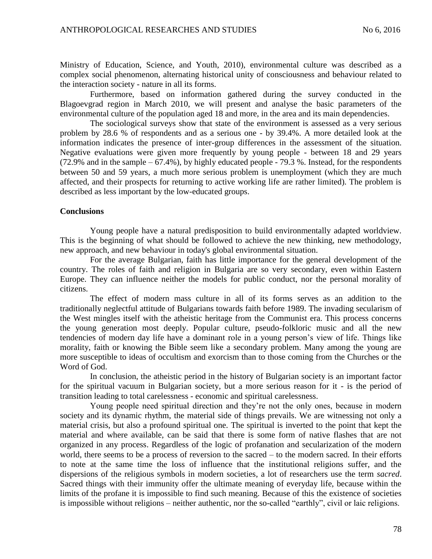Ministry of Education, Science, and Youth, 2010), environmental culture was described as a complex social phenomenon, alternating historical unity of consciousness and behaviour related to the interaction society - nature in all its forms.

Furthermore, based on information gathered during the survey conducted in the Blagoevgrad region in March 2010, we will present and analyse the basic parameters of the environmental culture of the population aged 18 and more, in the area and its main dependencies.

The sociological surveys show that state of the environment is assessed as a very serious problem by 28.6 % of respondents and as a serious one - by 39.4%. A more detailed look at the information indicates the presence of inter-group differences in the assessment of the situation. Negative evaluations were given more frequently by young people - between 18 and 29 years (72.9% and in the sample – 67.4%), by highly educated people - 79.3 %. Instead, for the respondents between 50 and 59 years, a much more serious problem is unemployment (which they are much affected, and their prospects for returning to active working life are rather limited). The problem is described as less important by the low-educated groups.

## **Conclusions**

Young people have a natural predisposition to build environmentally adapted worldview. This is the beginning of what should be followed to achieve the new thinking, new methodology, new approach, and new behaviour in today's global environmental situation.

For the average Bulgarian, faith has little importance for the general development of the country. The roles of faith and religion in Bulgaria are so very secondary, even within Eastern Europe. They can influence neither the models for public conduct, nor the personal morality of citizens.

The effect of modern mass culture in all of its forms serves as an addition to the traditionally neglectful attitude of Bulgarians towards faith before 1989. The invading secularism of the West mingles itself with the atheistic heritage from the Communist era. This process concerns the young generation most deeply. Popular culture, pseudo-folkloric music and all the new tendencies of modern day life have a dominant role in a young person's view of life. Things like morality, faith or knowing the Bible seem like a secondary problem. Many among the young are more susceptible to ideas of occultism and exorcism than to those coming from the Churches or the Word of God.

In conclusion, the atheistic period in the history of Bulgarian society is an important factor for the spiritual vacuum in Bulgarian society, but a more serious reason for it - is the period of transition leading to total carelessness - economic and spiritual carelessness.

Young people need spiritual direction and they're not the only ones, because in modern society and its dynamic rhythm, the material side of things prevails. We are witnessing not only a material crisis, but also a profound spiritual one. The spiritual is inverted to the point that kept the material and where available, can be said that there is some form of native flashes that are not organized in any process. Regardless of the logic of profanation and secularization of the modern world, there seems to be a process of reversion to the sacred – to the modern sacred. In their efforts to note at the same time the loss of influence that the institutional religions suffer, and the dispersions of the religious symbols in modern societies, a lot of researchers use the term *sacred*. Sacred things with their immunity offer the ultimate meaning of everyday life, because within the limits of the profane it is impossible to find such meaning. Because of this the existence of societies is impossible without religions – neither authentic, nor the so-called "earthly", civil or laic religions.